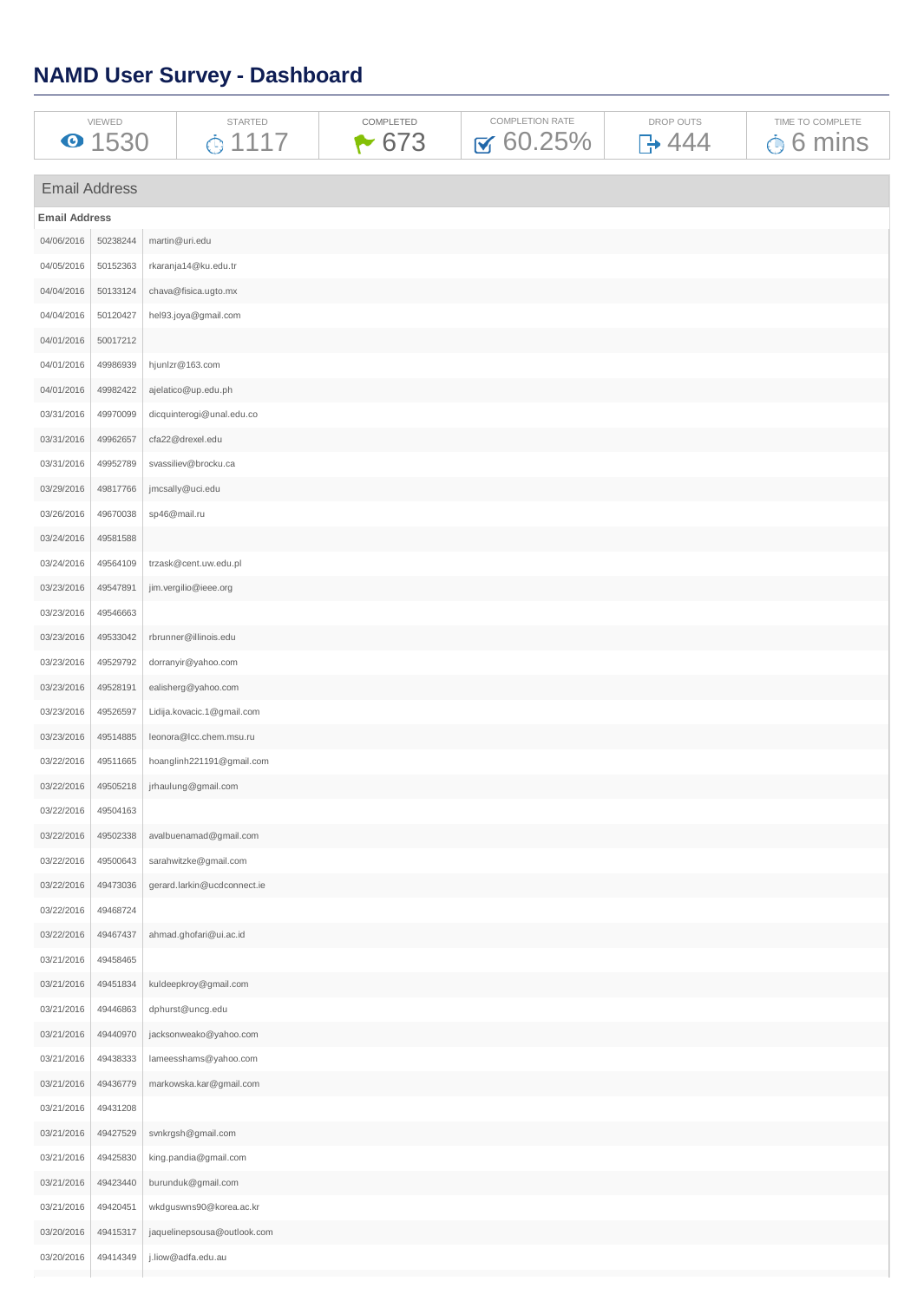# **NAMD User Survey - Dashboard**

| VIEWED | STARTED | <b>COMPLETED</b> | COMPLETION RATE                      | <b>DROP OUTS</b> | COMPLETE             |
|--------|---------|------------------|--------------------------------------|------------------|----------------------|
| ∸⊃∽    |         | 673              | <b>5%</b><br>$\overline{\mathsf{M}}$ | Λ.               | mins<br>$\checkmark$ |

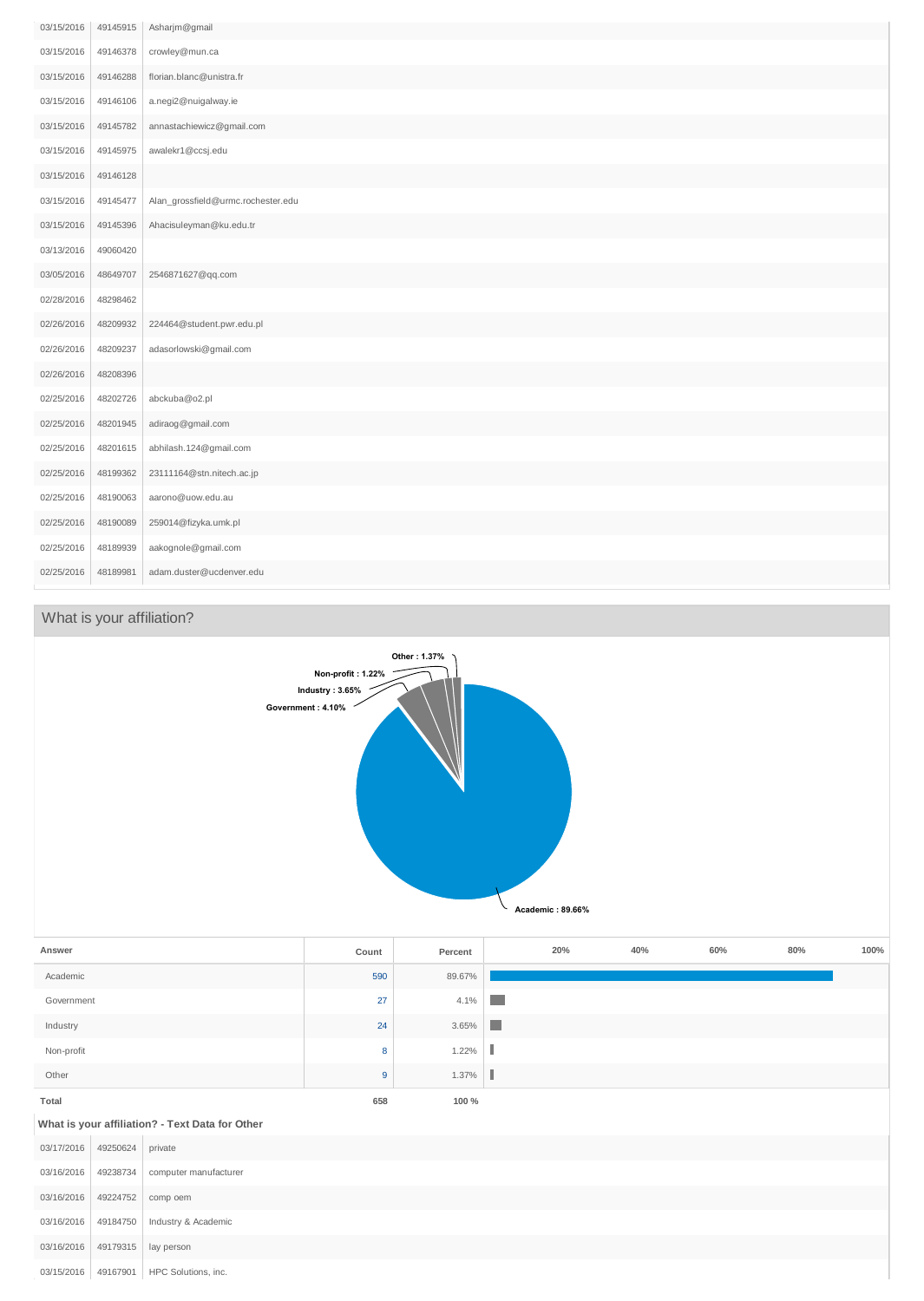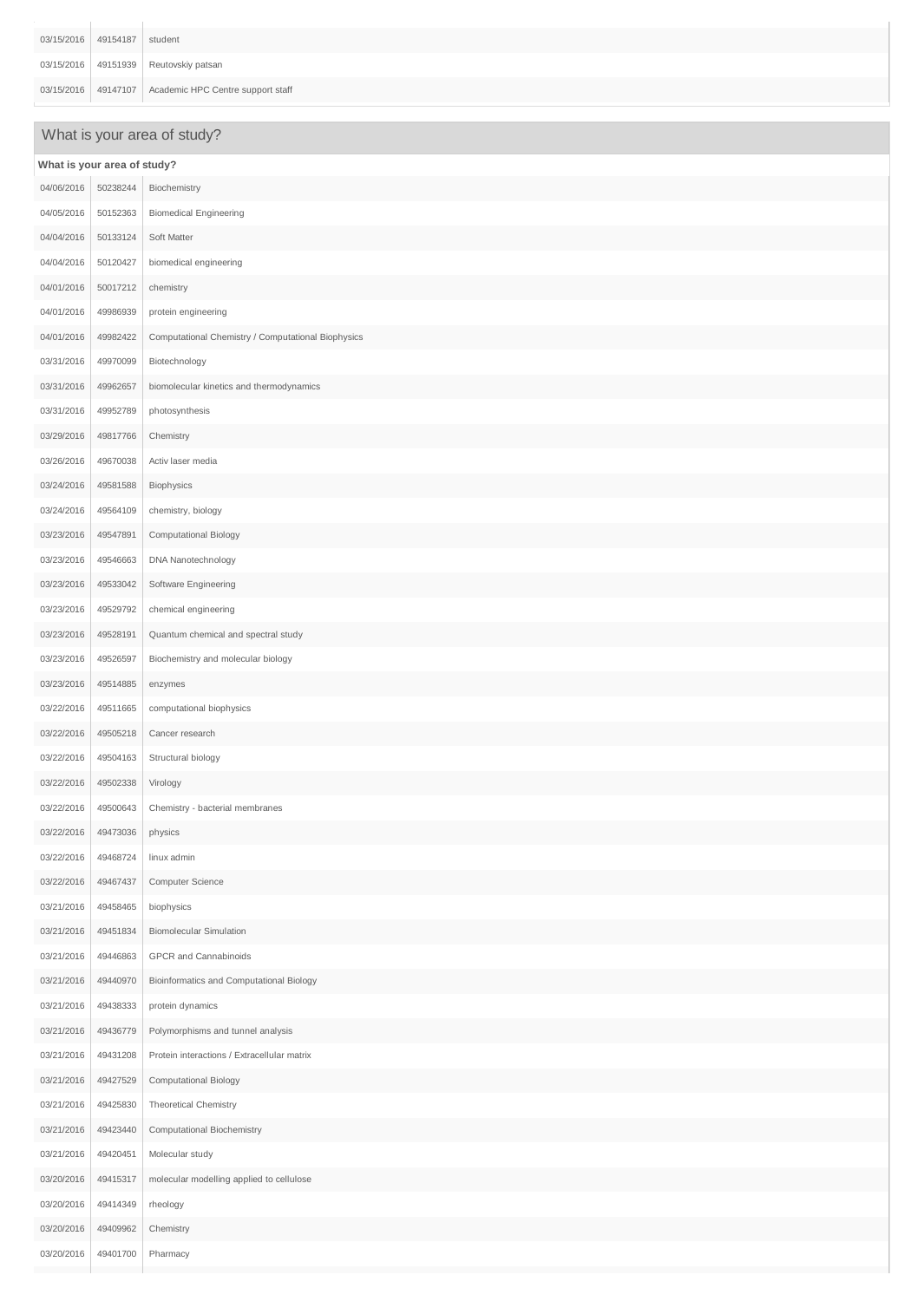| 03/15/2016 49154187 student |                                                       |
|-----------------------------|-------------------------------------------------------|
|                             | 03/15/2016 49151939 Reutovskiy patsan                 |
|                             | 03/15/2016 49147107 Academic HPC Centre support staff |

# What is your area of study?

| What is your area of study? |          |                                                    |  |
|-----------------------------|----------|----------------------------------------------------|--|
| 04/06/2016                  | 50238244 | Biochemistry                                       |  |
| 04/05/2016                  | 50152363 | <b>Biomedical Engineering</b>                      |  |
| 04/04/2016                  | 50133124 | Soft Matter                                        |  |
| 04/04/2016                  | 50120427 | biomedical engineering                             |  |
| 04/01/2016                  | 50017212 | chemistry                                          |  |
| 04/01/2016                  | 49986939 | protein engineering                                |  |
| 04/01/2016                  | 49982422 | Computational Chemistry / Computational Biophysics |  |
| 03/31/2016                  | 49970099 | Biotechnology                                      |  |
| 03/31/2016                  | 49962657 | biomolecular kinetics and thermodynamics           |  |
| 03/31/2016                  | 49952789 | photosynthesis                                     |  |
| 03/29/2016                  | 49817766 | Chemistry                                          |  |
| 03/26/2016                  | 49670038 | Activ laser media                                  |  |
| 03/24/2016                  | 49581588 | Biophysics                                         |  |
| 03/24/2016                  | 49564109 | chemistry, biology                                 |  |
| 03/23/2016                  | 49547891 | Computational Biology                              |  |
| 03/23/2016                  | 49546663 | DNA Nanotechnology                                 |  |
| 03/23/2016                  | 49533042 | Software Engineering                               |  |
| 03/23/2016                  | 49529792 | chemical engineering                               |  |
| 03/23/2016                  | 49528191 | Quantum chemical and spectral study                |  |
| 03/23/2016                  | 49526597 | Biochemistry and molecular biology                 |  |
| 03/23/2016                  | 49514885 | enzymes                                            |  |
| 03/22/2016                  | 49511665 | computational biophysics                           |  |
| 03/22/2016                  | 49505218 | Cancer research                                    |  |
| 03/22/2016                  | 49504163 | Structural biology                                 |  |
| 03/22/2016                  | 49502338 | Virology                                           |  |
| 03/22/2016                  | 49500643 | Chemistry - bacterial membranes                    |  |
| 03/22/2016                  | 49473036 | physics                                            |  |
| 03/22/2016                  | 49468724 | linux admin                                        |  |
| 03/22/2016                  | 49467437 | Computer Science                                   |  |
| 03/21/2016                  | 49458465 | biophysics                                         |  |
| 03/21/2016                  | 49451834 | <b>Biomolecular Simulation</b>                     |  |
| 03/21/2016                  | 49446863 | GPCR and Cannabinoids                              |  |
| 03/21/2016                  | 49440970 | Bioinformatics and Computational Biology           |  |
| 03/21/2016                  | 49438333 | protein dynamics                                   |  |
| 03/21/2016                  | 49436779 | Polymorphisms and tunnel analysis                  |  |
| 03/21/2016                  | 49431208 | Protein interactions / Extracellular matrix        |  |
| 03/21/2016                  | 49427529 | Computational Biology                              |  |
| 03/21/2016                  | 49425830 | Theoretical Chemistry                              |  |
| 03/21/2016                  | 49423440 | Computational Biochemistry                         |  |
| 03/21/2016                  | 49420451 | Molecular study                                    |  |
| 03/20/2016                  | 49415317 | molecular modelling applied to cellulose           |  |
| 03/20/2016                  | 49414349 | rheology                                           |  |
| 03/20/2016                  | 49409962 | Chemistry                                          |  |
| 03/20/2016                  | 49401700 | Pharmacy                                           |  |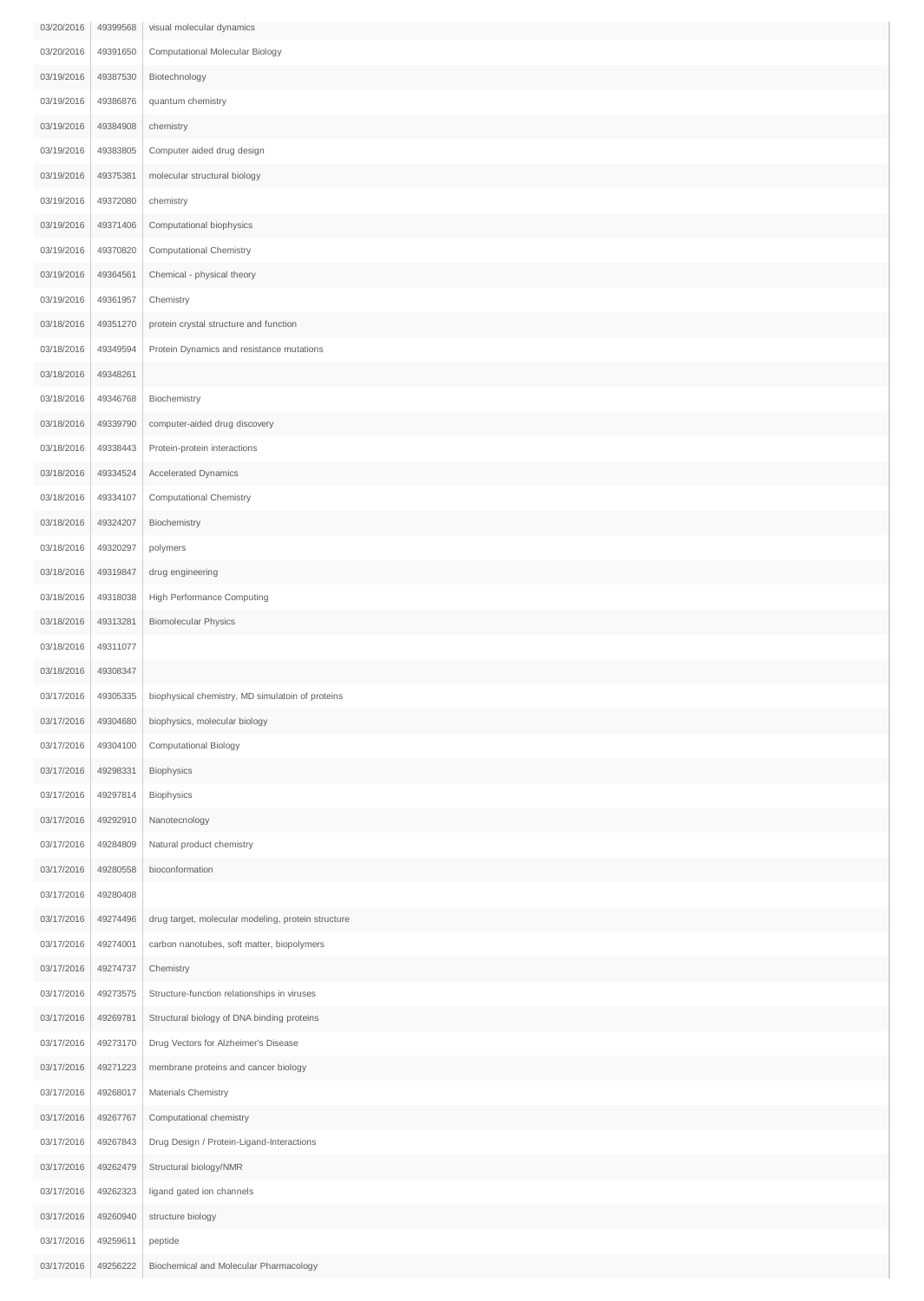| 03/20/2016 | 49399568 | visual molecular dynamics                          |
|------------|----------|----------------------------------------------------|
| 03/20/2016 | 49391650 | Computational Molecular Biology                    |
| 03/19/2016 | 49387530 | Biotechnology                                      |
| 03/19/2016 | 49386876 | quantum chemistry                                  |
| 03/19/2016 | 49384908 | chemistry                                          |
| 03/19/2016 | 49383805 | Computer aided drug design                         |
| 03/19/2016 | 49375381 | molecular structural biology                       |
| 03/19/2016 | 49372080 | chemistry                                          |
| 03/19/2016 | 49371406 | Computational biophysics                           |
| 03/19/2016 | 49370820 | Computational Chemistry                            |
| 03/19/2016 | 49364561 | Chemical - physical theory                         |
| 03/19/2016 | 49361957 | Chemistry                                          |
| 03/18/2016 | 49351270 | protein crystal structure and function             |
| 03/18/2016 | 49349594 | Protein Dynamics and resistance mutations          |
| 03/18/2016 | 49348261 |                                                    |
| 03/18/2016 | 49346768 | Biochemistry                                       |
| 03/18/2016 | 49339790 | computer-aided drug discovery                      |
| 03/18/2016 | 49338443 | Protein-protein interactions                       |
| 03/18/2016 | 49334524 | Accelerated Dynamics                               |
| 03/18/2016 | 49334107 | Computational Chemistry                            |
| 03/18/2016 | 49324207 | Biochemistry                                       |
| 03/18/2016 | 49320297 | polymers                                           |
| 03/18/2016 | 49319847 | drug engineering                                   |
| 03/18/2016 | 49318038 | High Performance Computing                         |
| 03/18/2016 | 49313281 | <b>Biomolecular Physics</b>                        |
| 03/18/2016 | 49311077 |                                                    |
| 03/18/2016 | 49308347 |                                                    |
| 03/17/2016 | 49305335 | biophysical chemistry, MD simulatoin of proteins   |
| 03/17/2016 | 49304680 | biophysics, molecular biology                      |
| 03/17/2016 | 49304100 | Computational Biology                              |
| 03/17/2016 | 49298331 | Biophysics                                         |
| 03/17/2016 | 49297814 | Biophysics                                         |
| 03/17/2016 | 49292910 | Nanotecnology                                      |
| 03/17/2016 | 49284809 | Natural product chemistry                          |
| 03/17/2016 | 49280558 | bioconformation                                    |
| 03/17/2016 | 49280408 |                                                    |
| 03/17/2016 | 49274496 | drug target, molecular modeling, protein structure |
| 03/17/2016 | 49274001 | carbon nanotubes, soft matter, biopolymers         |
| 03/17/2016 | 49274737 | Chemistry                                          |
| 03/17/2016 | 49273575 | Structure-function relationships in viruses        |
| 03/17/2016 | 49269781 | Structural biology of DNA binding proteins         |
| 03/17/2016 | 49273170 | Drug Vectors for Alzheimer's Disease               |
| 03/17/2016 | 49271223 | membrane proteins and cancer biology               |
| 03/17/2016 | 49268017 | Materials Chemistry                                |
| 03/17/2016 | 49267767 | Computational chemistry                            |
| 03/17/2016 | 49267843 | Drug Design / Protein-Ligand-Interactions          |
| 03/17/2016 | 49262479 | Structural biology/NMR                             |
| 03/17/2016 | 49262323 | ligand gated ion channels                          |
| 03/17/2016 | 49260940 | structure biology                                  |
| 03/17/2016 | 49259611 | peptide                                            |
| 03/17/2016 | 49256222 | Biochemical and Molecular Pharmacology             |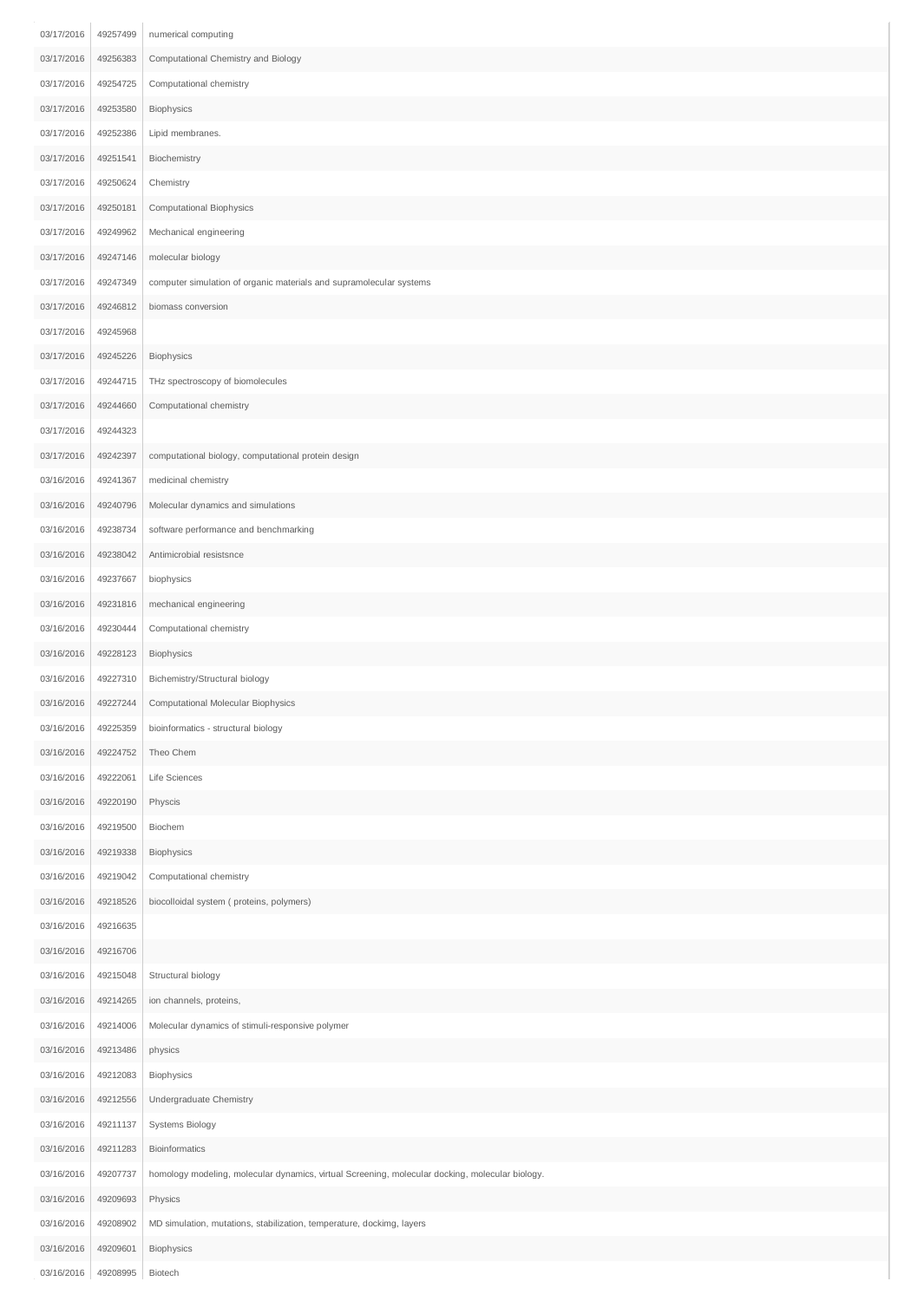| 03/17/2016 | 49257499 | numerical computing                                                                             |
|------------|----------|-------------------------------------------------------------------------------------------------|
| 03/17/2016 | 49256383 | Computational Chemistry and Biology                                                             |
| 03/17/2016 | 49254725 | Computational chemistry                                                                         |
| 03/17/2016 | 49253580 | Biophysics                                                                                      |
| 03/17/2016 | 49252386 | Lipid membranes.                                                                                |
| 03/17/2016 | 49251541 | Biochemistry                                                                                    |
| 03/17/2016 | 49250624 | Chemistry                                                                                       |
| 03/17/2016 | 49250181 | Computational Biophysics                                                                        |
| 03/17/2016 | 49249962 | Mechanical engineering                                                                          |
| 03/17/2016 | 49247146 | molecular biology                                                                               |
| 03/17/2016 | 49247349 | computer simulation of organic materials and supramolecular systems                             |
| 03/17/2016 | 49246812 | biomass conversion                                                                              |
| 03/17/2016 | 49245968 |                                                                                                 |
| 03/17/2016 | 49245226 | Biophysics                                                                                      |
| 03/17/2016 | 49244715 | THz spectroscopy of biomolecules                                                                |
| 03/17/2016 | 49244660 | Computational chemistry                                                                         |
| 03/17/2016 | 49244323 |                                                                                                 |
| 03/17/2016 | 49242397 | computational biology, computational protein design                                             |
| 03/16/2016 | 49241367 | medicinal chemistry                                                                             |
| 03/16/2016 | 49240796 | Molecular dynamics and simulations                                                              |
| 03/16/2016 | 49238734 | software performance and benchmarking                                                           |
| 03/16/2016 | 49238042 | Antimicrobial resistsnce                                                                        |
| 03/16/2016 | 49237667 | biophysics                                                                                      |
| 03/16/2016 | 49231816 | mechanical engineering                                                                          |
| 03/16/2016 | 49230444 | Computational chemistry                                                                         |
| 03/16/2016 | 49228123 | Biophysics                                                                                      |
| 03/16/2016 | 49227310 | Bichemistry/Structural biology                                                                  |
| 03/16/2016 | 49227244 | Computational Molecular Biophysics                                                              |
| 03/16/2016 | 49225359 | bioinformatics - structural biology                                                             |
| 03/16/2016 | 49224752 | Theo Chem                                                                                       |
| 03/16/2016 | 49222061 | Life Sciences                                                                                   |
| 03/16/2016 | 49220190 | Physcis                                                                                         |
| 03/16/2016 | 49219500 | Biochem                                                                                         |
| 03/16/2016 | 49219338 | Biophysics                                                                                      |
| 03/16/2016 | 49219042 | Computational chemistry                                                                         |
| 03/16/2016 | 49218526 | biocolloidal system (proteins, polymers)                                                        |
| 03/16/2016 | 49216635 |                                                                                                 |
| 03/16/2016 | 49216706 |                                                                                                 |
| 03/16/2016 | 49215048 | Structural biology                                                                              |
| 03/16/2016 | 49214265 | ion channels, proteins,                                                                         |
| 03/16/2016 | 49214006 | Molecular dynamics of stimuli-responsive polymer                                                |
| 03/16/2016 | 49213486 | physics                                                                                         |
| 03/16/2016 | 49212083 | Biophysics                                                                                      |
| 03/16/2016 | 49212556 | Undergraduate Chemistry                                                                         |
| 03/16/2016 | 49211137 | Systems Biology                                                                                 |
| 03/16/2016 | 49211283 | Bioinformatics                                                                                  |
| 03/16/2016 | 49207737 | homology modeling, molecular dynamics, virtual Screening, molecular docking, molecular biology. |
| 03/16/2016 | 49209693 | Physics                                                                                         |
| 03/16/2016 | 49208902 | MD simulation, mutations, stabilization, temperature, dockimg, layers                           |
| 03/16/2016 | 49209601 | Biophysics                                                                                      |
| 03/16/2016 | 49208995 | Biotech                                                                                         |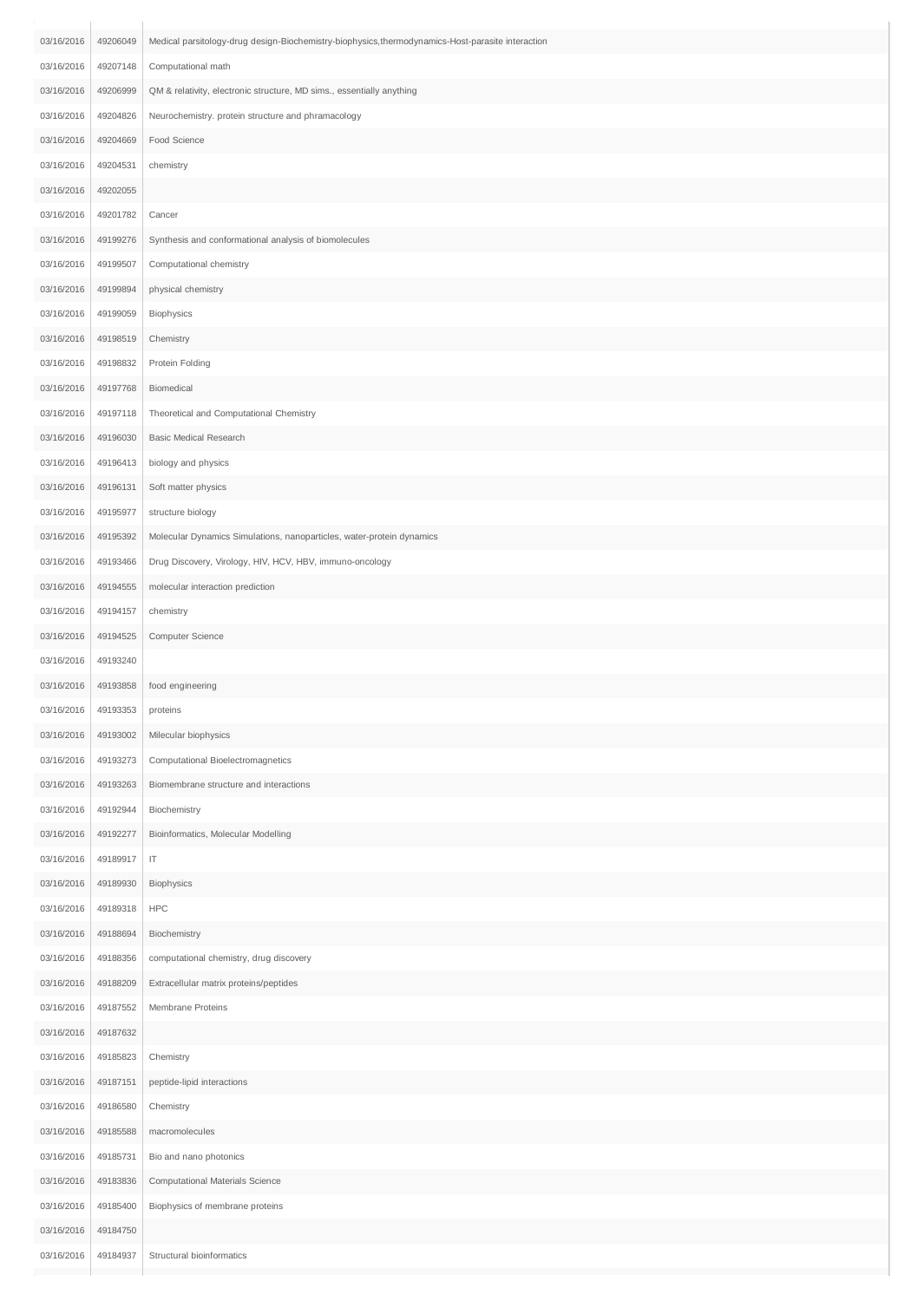| 03/16/2016 | 49206049 | Medical parsitology-drug design-Biochemistry-biophysics, thermodynamics-Host-parasite interaction |
|------------|----------|---------------------------------------------------------------------------------------------------|
| 03/16/2016 | 49207148 | Computational math                                                                                |
| 03/16/2016 | 49206999 | QM & relativity, electronic structure, MD sims., essentially anything                             |
| 03/16/2016 | 49204826 | Neurochemistry. protein structure and phramacology                                                |
| 03/16/2016 | 49204669 | Food Science                                                                                      |
| 03/16/2016 | 49204531 | chemistry                                                                                         |
| 03/16/2016 | 49202055 |                                                                                                   |
| 03/16/2016 | 49201782 | Cancer                                                                                            |
| 03/16/2016 | 49199276 | Synthesis and conformational analysis of biomolecules                                             |
| 03/16/2016 | 49199507 | Computational chemistry                                                                           |
| 03/16/2016 | 49199894 | physical chemistry                                                                                |
| 03/16/2016 | 49199059 | Biophysics                                                                                        |
| 03/16/2016 | 49198519 | Chemistry                                                                                         |
| 03/16/2016 | 49198832 | Protein Folding                                                                                   |
| 03/16/2016 | 49197768 | Biomedical                                                                                        |
| 03/16/2016 | 49197118 | Theoretical and Computational Chemistry                                                           |
| 03/16/2016 | 49196030 | <b>Basic Medical Research</b>                                                                     |
| 03/16/2016 | 49196413 | biology and physics                                                                               |
| 03/16/2016 | 49196131 | Soft matter physics                                                                               |
| 03/16/2016 | 49195977 | structure biology                                                                                 |
| 03/16/2016 | 49195392 | Molecular Dynamics Simulations, nanoparticles, water-protein dynamics                             |
| 03/16/2016 | 49193466 | Drug Discovery, Virology, HIV, HCV, HBV, immuno-oncology                                          |
| 03/16/2016 | 49194555 | molecular interaction prediction                                                                  |
| 03/16/2016 | 49194157 | chemistry                                                                                         |
| 03/16/2016 | 49194525 | Computer Science                                                                                  |
| 03/16/2016 | 49193240 |                                                                                                   |
| 03/16/2016 | 49193858 | food engineering                                                                                  |
| 03/16/2016 | 49193353 | proteins                                                                                          |
| 03/16/2016 | 49193002 | Milecular biophysics                                                                              |
| 03/16/2016 | 49193273 | Computational Bioelectromagnetics                                                                 |
| 03/16/2016 | 49193263 | Biomembrane structure and interactions                                                            |
| 03/16/2016 | 49192944 | Biochemistry                                                                                      |
| 03/16/2016 | 49192277 | Bioinformatics, Molecular Modelling                                                               |
| 03/16/2016 | 49189917 | $\ensuremath{\mathsf{IT}}$                                                                        |
| 03/16/2016 | 49189930 | Biophysics                                                                                        |
| 03/16/2016 | 49189318 | <b>HPC</b>                                                                                        |
| 03/16/2016 | 49188694 | Biochemistry                                                                                      |
| 03/16/2016 | 49188356 | computational chemistry, drug discovery                                                           |
| 03/16/2016 | 49188209 | Extracellular matrix proteins/peptides                                                            |
| 03/16/2016 | 49187552 | Membrane Proteins                                                                                 |
| 03/16/2016 | 49187632 |                                                                                                   |
| 03/16/2016 | 49185823 | Chemistry                                                                                         |
| 03/16/2016 | 49187151 | peptide-lipid interactions                                                                        |
| 03/16/2016 | 49186580 | Chemistry                                                                                         |
| 03/16/2016 | 49185588 | macromolecules                                                                                    |
| 03/16/2016 | 49185731 | Bio and nano photonics                                                                            |
| 03/16/2016 | 49183836 | Computational Materials Science                                                                   |
| 03/16/2016 | 49185400 | Biophysics of membrane proteins                                                                   |
| 03/16/2016 | 49184750 |                                                                                                   |
| 03/16/2016 | 49184937 | Structural bioinformatics                                                                         |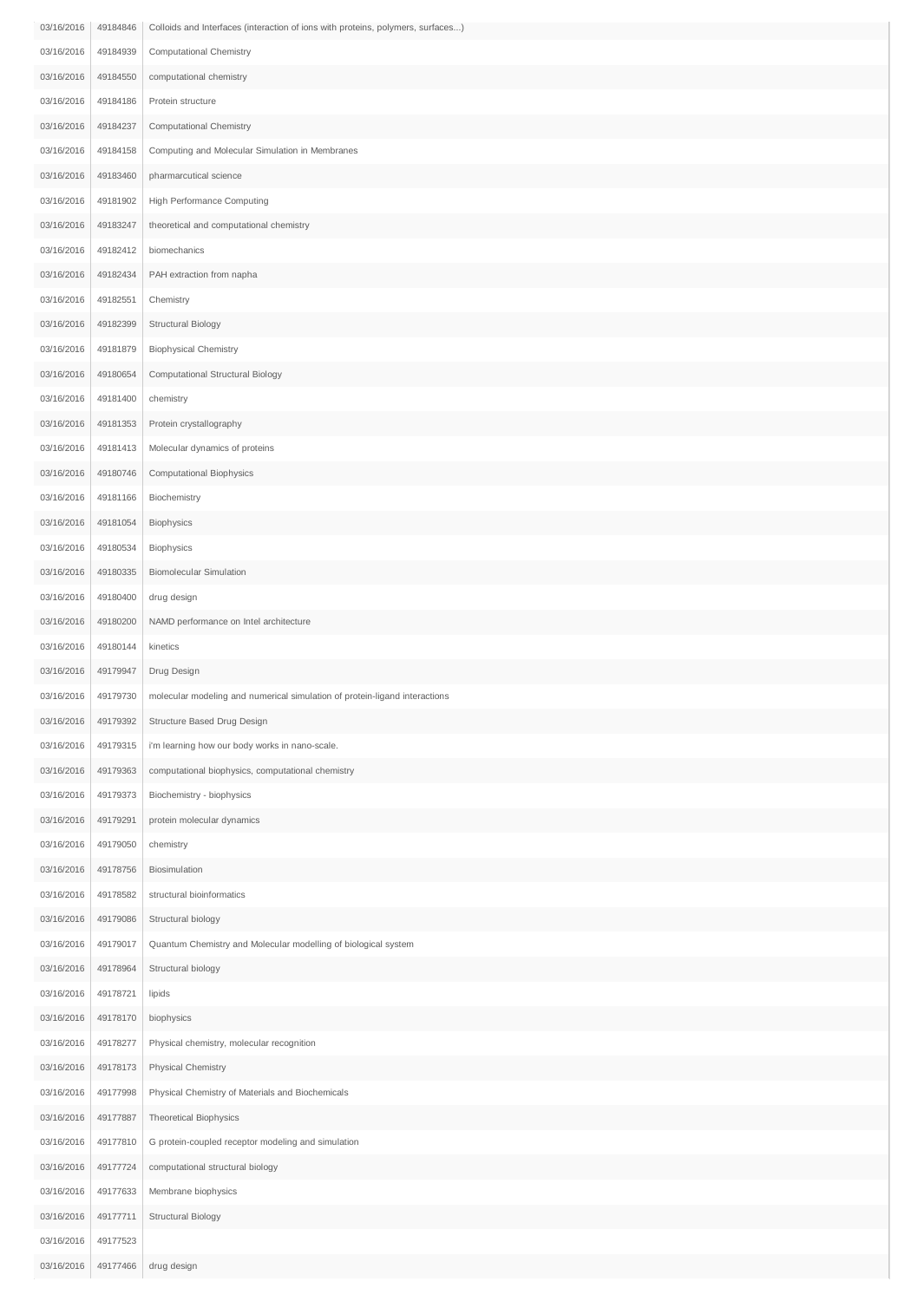| 03/16/2016               | 49184846             | Colloids and Interfaces (interaction of ions with proteins, polymers, surfaces)      |
|--------------------------|----------------------|--------------------------------------------------------------------------------------|
| 03/16/2016               | 49184939             | Computational Chemistry                                                              |
| 03/16/2016               | 49184550             | computational chemistry                                                              |
| 03/16/2016               | 49184186             | Protein structure                                                                    |
| 03/16/2016               | 49184237             | Computational Chemistry                                                              |
| 03/16/2016               | 49184158             | Computing and Molecular Simulation in Membranes                                      |
| 03/16/2016               | 49183460             | pharmarcutical science                                                               |
| 03/16/2016               | 49181902             | High Performance Computing                                                           |
| 03/16/2016               | 49183247             | theoretical and computational chemistry                                              |
| 03/16/2016               | 49182412             | biomechanics                                                                         |
| 03/16/2016               | 49182434             | PAH extraction from napha                                                            |
| 03/16/2016               | 49182551             | Chemistry                                                                            |
| 03/16/2016               | 49182399             | Structural Biology                                                                   |
| 03/16/2016               | 49181879             | <b>Biophysical Chemistry</b>                                                         |
| 03/16/2016               | 49180654             | Computational Structural Biology                                                     |
| 03/16/2016               | 49181400             | chemistry                                                                            |
| 03/16/2016               | 49181353             | Protein crystallography                                                              |
| 03/16/2016               | 49181413             | Molecular dynamics of proteins                                                       |
| 03/16/2016               | 49180746             | Computational Biophysics                                                             |
| 03/16/2016               | 49181166             | Biochemistry                                                                         |
| 03/16/2016               | 49181054             | Biophysics                                                                           |
| 03/16/2016               | 49180534             | Biophysics                                                                           |
| 03/16/2016               | 49180335             | <b>Biomolecular Simulation</b>                                                       |
| 03/16/2016               | 49180400             | drug design                                                                          |
| 03/16/2016               | 49180200             | NAMD performance on Intel architecture                                               |
| 03/16/2016               | 49180144             | kinetics                                                                             |
| 03/16/2016               | 49179947             | Drug Design                                                                          |
| 03/16/2016               | 49179730             | molecular modeling and numerical simulation of protein-ligand interactions           |
| 03/16/2016               | 49179392             | Structure Based Drug Design                                                          |
| 03/16/2016               | 49179315             | i'm learning how our body works in nano-scale.                                       |
| 03/16/2016               | 49179363             | computational biophysics, computational chemistry                                    |
| 03/16/2016               | 49179373             | Biochemistry - biophysics                                                            |
| 03/16/2016               | 49179291             | protein molecular dynamics                                                           |
| 03/16/2016               | 49179050             | chemistry                                                                            |
|                          |                      |                                                                                      |
| 03/16/2016<br>03/16/2016 | 49178756<br>49178582 | Biosimulation<br>structural bioinformatics                                           |
|                          |                      |                                                                                      |
| 03/16/2016<br>03/16/2016 | 49179086<br>49179017 | Structural biology<br>Quantum Chemistry and Molecular modelling of biological system |
| 03/16/2016               |                      |                                                                                      |
| 03/16/2016               | 49178964<br>49178721 | Structural biology                                                                   |
| 03/16/2016               | 49178170             | lipids<br>biophysics                                                                 |
| 03/16/2016               | 49178277             | Physical chemistry, molecular recognition                                            |
| 03/16/2016               | 49178173             | Physical Chemistry                                                                   |
|                          |                      |                                                                                      |
| 03/16/2016               | 49177998             | Physical Chemistry of Materials and Biochemicals                                     |
| 03/16/2016               | 49177887             | <b>Theoretical Biophysics</b>                                                        |
| 03/16/2016               | 49177810             | G protein-coupled receptor modeling and simulation                                   |
| 03/16/2016               | 49177724             | computational structural biology                                                     |
| 03/16/2016<br>03/16/2016 | 49177633             | Membrane biophysics                                                                  |
| 03/16/2016               | 49177711<br>49177523 | Structural Biology                                                                   |
| 03/16/2016               | 49177466             | drug design                                                                          |
|                          |                      |                                                                                      |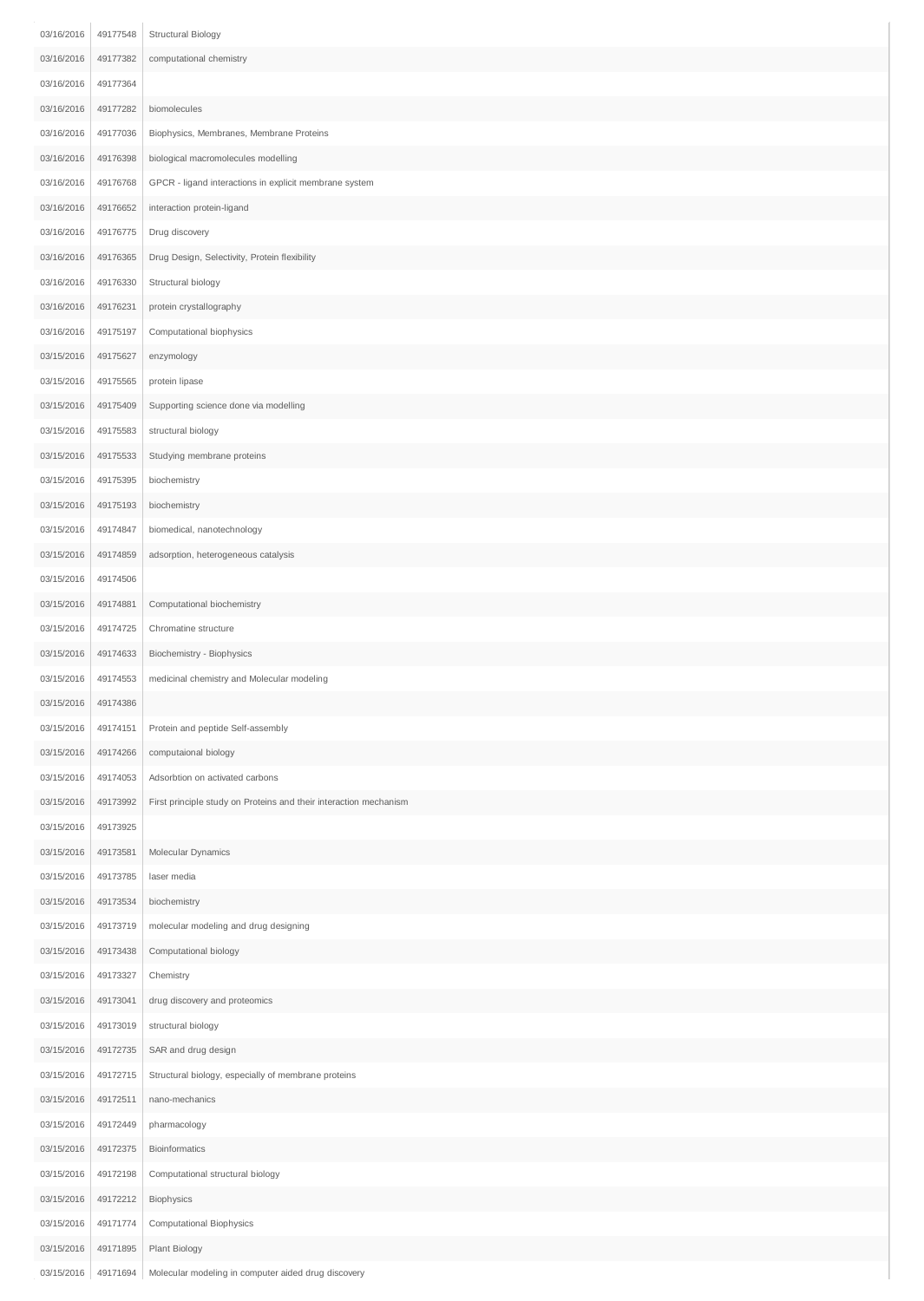| 03/16/2016 | 49177548 | Structural Biology                                                |
|------------|----------|-------------------------------------------------------------------|
| 03/16/2016 | 49177382 | computational chemistry                                           |
| 03/16/2016 | 49177364 |                                                                   |
| 03/16/2016 | 49177282 | biomolecules                                                      |
| 03/16/2016 | 49177036 | Biophysics, Membranes, Membrane Proteins                          |
| 03/16/2016 | 49176398 | biological macromolecules modelling                               |
| 03/16/2016 | 49176768 | GPCR - ligand interactions in explicit membrane system            |
| 03/16/2016 | 49176652 | interaction protein-ligand                                        |
| 03/16/2016 | 49176775 | Drug discovery                                                    |
| 03/16/2016 | 49176365 | Drug Design, Selectivity, Protein flexibility                     |
| 03/16/2016 | 49176330 | Structural biology                                                |
| 03/16/2016 | 49176231 | protein crystallography                                           |
| 03/16/2016 | 49175197 | Computational biophysics                                          |
| 03/15/2016 | 49175627 | enzymology                                                        |
| 03/15/2016 | 49175565 | protein lipase                                                    |
| 03/15/2016 | 49175409 | Supporting science done via modelling                             |
| 03/15/2016 | 49175583 | structural biology                                                |
| 03/15/2016 | 49175533 | Studying membrane proteins                                        |
| 03/15/2016 | 49175395 | biochemistry                                                      |
| 03/15/2016 | 49175193 | biochemistry                                                      |
| 03/15/2016 | 49174847 | biomedical, nanotechnology                                        |
| 03/15/2016 | 49174859 | adsorption, heterogeneous catalysis                               |
| 03/15/2016 | 49174506 |                                                                   |
| 03/15/2016 | 49174881 | Computational biochemistry                                        |
| 03/15/2016 | 49174725 | Chromatine structure                                              |
| 03/15/2016 | 49174633 | Biochemistry - Biophysics                                         |
| 03/15/2016 | 49174553 | medicinal chemistry and Molecular modeling                        |
| 03/15/2016 | 49174386 |                                                                   |
| 03/15/2016 | 49174151 | Protein and peptide Self-assembly                                 |
| 03/15/2016 | 49174266 | computaional biology                                              |
| 03/15/2016 | 49174053 | Adsorbtion on activated carbons                                   |
| 03/15/2016 | 49173992 | First principle study on Proteins and their interaction mechanism |
| 03/15/2016 | 49173925 |                                                                   |
| 03/15/2016 | 49173581 | Molecular Dynamics                                                |
| 03/15/2016 | 49173785 | laser media                                                       |
| 03/15/2016 | 49173534 | biochemistry                                                      |
| 03/15/2016 | 49173719 | molecular modeling and drug designing                             |
| 03/15/2016 | 49173438 | Computational biology                                             |
| 03/15/2016 | 49173327 | Chemistry                                                         |
| 03/15/2016 | 49173041 | drug discovery and proteomics                                     |
| 03/15/2016 | 49173019 | structural biology                                                |
| 03/15/2016 | 49172735 | SAR and drug design                                               |
| 03/15/2016 | 49172715 | Structural biology, especially of membrane proteins               |
| 03/15/2016 | 49172511 | nano-mechanics                                                    |
| 03/15/2016 | 49172449 | pharmacology                                                      |
| 03/15/2016 | 49172375 | Bioinformatics                                                    |
| 03/15/2016 | 49172198 | Computational structural biology                                  |
| 03/15/2016 | 49172212 | Biophysics                                                        |
| 03/15/2016 | 49171774 | Computational Biophysics                                          |
| 03/15/2016 | 49171895 | Plant Biology                                                     |
| 03/15/2016 | 49171694 | Molecular modeling in computer aided drug discovery               |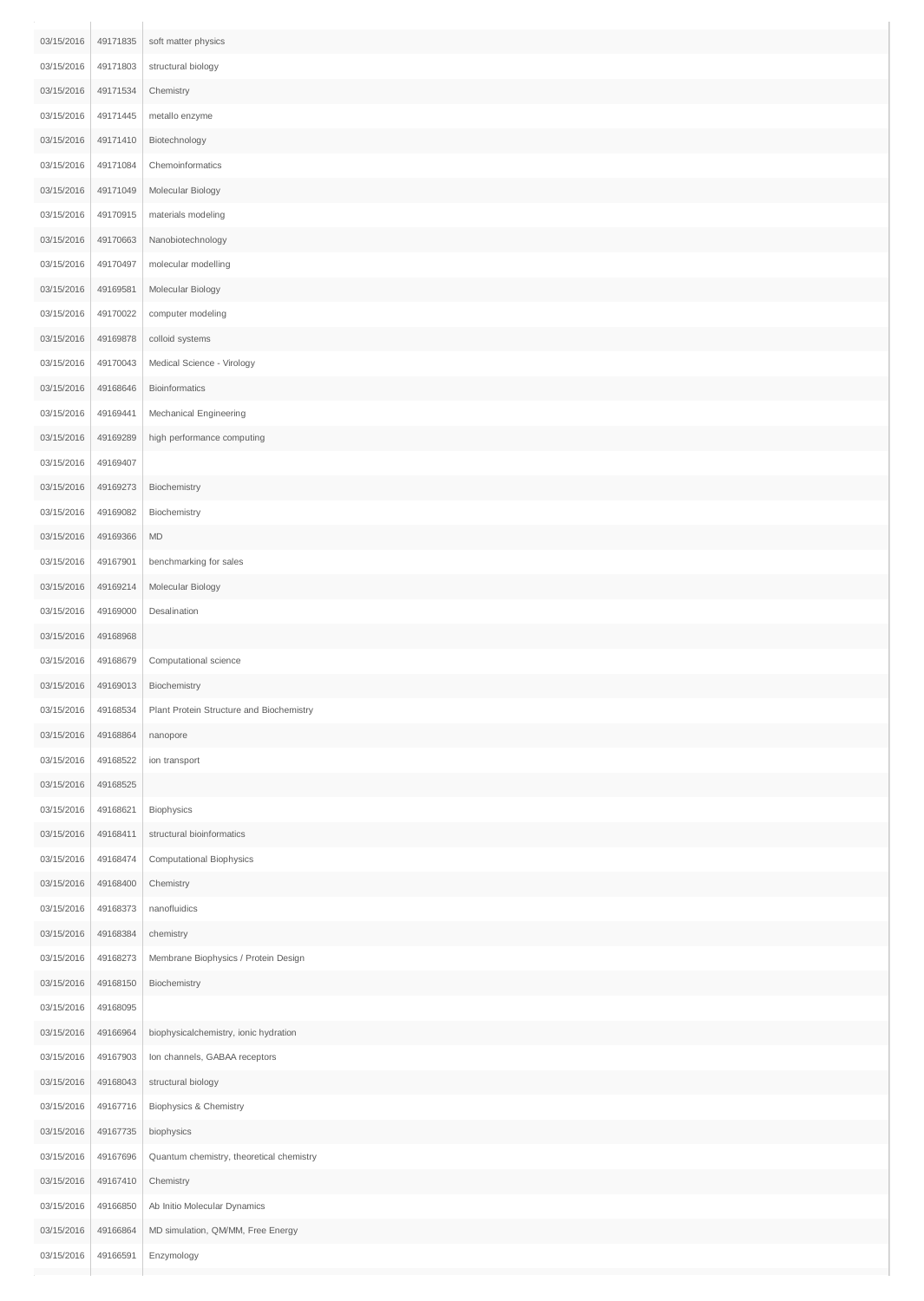| 03/15/2016 | 49171835 | soft matter physics                      |
|------------|----------|------------------------------------------|
| 03/15/2016 | 49171803 | structural biology                       |
| 03/15/2016 | 49171534 | Chemistry                                |
| 03/15/2016 | 49171445 | metallo enzyme                           |
| 03/15/2016 | 49171410 | Biotechnology                            |
| 03/15/2016 | 49171084 | Chemoinformatics                         |
| 03/15/2016 | 49171049 | Molecular Biology                        |
| 03/15/2016 | 49170915 | materials modeling                       |
| 03/15/2016 | 49170663 | Nanobiotechnology                        |
| 03/15/2016 | 49170497 | molecular modelling                      |
| 03/15/2016 | 49169581 | Molecular Biology                        |
| 03/15/2016 | 49170022 | computer modeling                        |
| 03/15/2016 | 49169878 | colloid systems                          |
| 03/15/2016 | 49170043 | Medical Science - Virology               |
| 03/15/2016 | 49168646 | Bioinformatics                           |
| 03/15/2016 | 49169441 | Mechanical Engineering                   |
| 03/15/2016 | 49169289 | high performance computing               |
| 03/15/2016 | 49169407 |                                          |
| 03/15/2016 | 49169273 | Biochemistry                             |
| 03/15/2016 | 49169082 | Biochemistry                             |
| 03/15/2016 | 49169366 | $\mathsf{MD}$                            |
| 03/15/2016 | 49167901 | benchmarking for sales                   |
| 03/15/2016 | 49169214 | Molecular Biology                        |
| 03/15/2016 | 49169000 | Desalination                             |
| 03/15/2016 | 49168968 |                                          |
| 03/15/2016 | 49168679 | Computational science                    |
| 03/15/2016 | 49169013 | Biochemistry                             |
| 03/15/2016 | 49168534 | Plant Protein Structure and Biochemistry |
| 03/15/2016 | 49168864 | nanopore                                 |
| 03/15/2016 | 49168522 | ion transport                            |
| 03/15/2016 | 49168525 |                                          |
| 03/15/2016 | 49168621 | Biophysics                               |
| 03/15/2016 | 49168411 | structural bioinformatics                |
| 03/15/2016 | 49168474 | <b>Computational Biophysics</b>          |
| 03/15/2016 | 49168400 | Chemistry                                |
| 03/15/2016 | 49168373 | nanofluidics                             |
| 03/15/2016 | 49168384 | chemistry                                |
| 03/15/2016 | 49168273 | Membrane Biophysics / Protein Design     |
| 03/15/2016 | 49168150 | Biochemistry                             |
| 03/15/2016 | 49168095 |                                          |
| 03/15/2016 | 49166964 | biophysicalchemistry, ionic hydration    |
| 03/15/2016 | 49167903 | Ion channels, GABAA receptors            |
| 03/15/2016 | 49168043 | structural biology                       |
| 03/15/2016 | 49167716 | Biophysics & Chemistry                   |
| 03/15/2016 | 49167735 | biophysics                               |
| 03/15/2016 | 49167696 | Quantum chemistry, theoretical chemistry |
| 03/15/2016 | 49167410 | Chemistry                                |
| 03/15/2016 | 49166850 | Ab Initio Molecular Dynamics             |
| 03/15/2016 | 49166864 | MD simulation, QM/MM, Free Energy        |
| 03/15/2016 | 49166591 | Enzymology                               |
|            |          |                                          |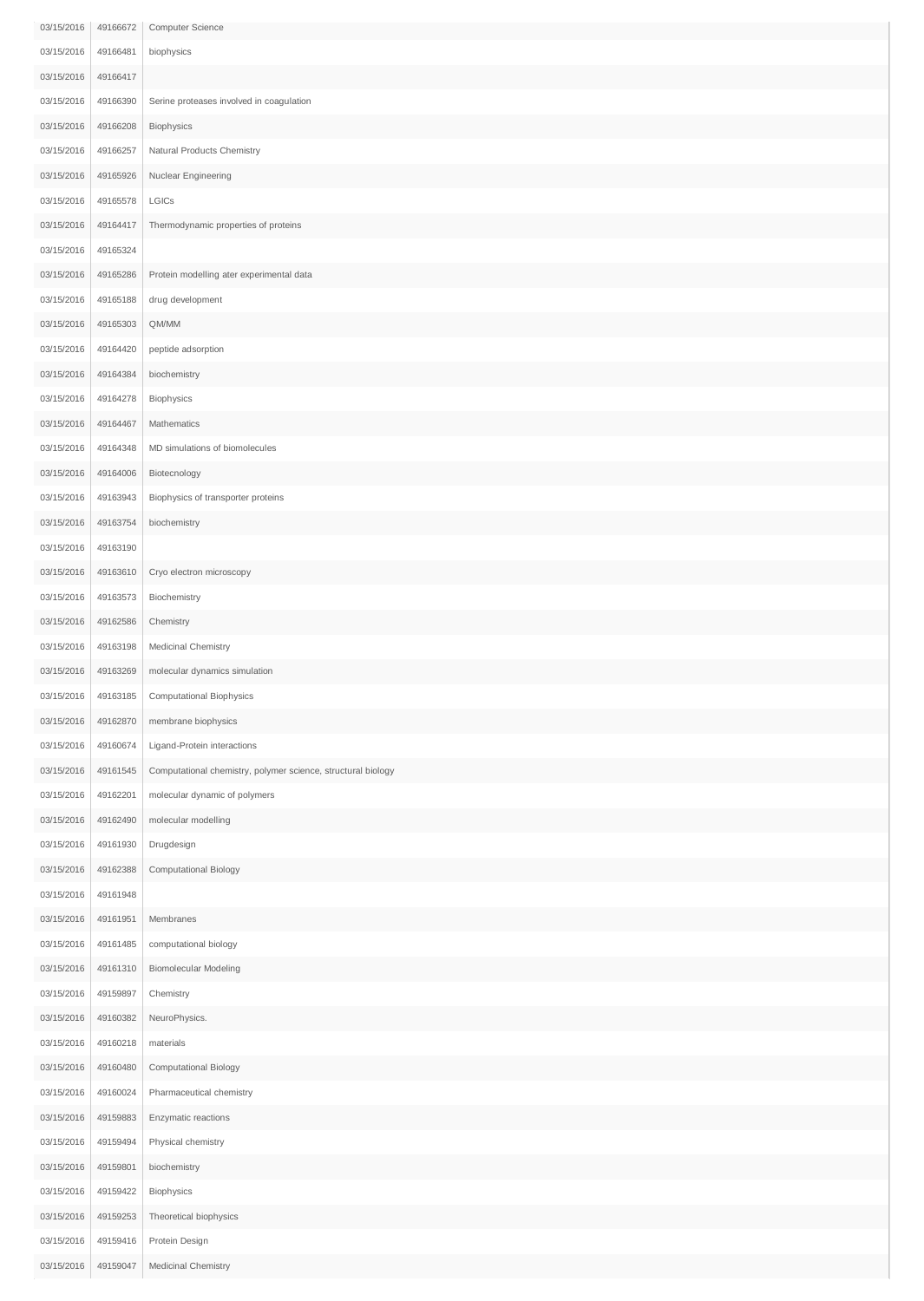| 03/15/2016 | 49166672 | Computer Science                                             |
|------------|----------|--------------------------------------------------------------|
| 03/15/2016 | 49166481 | biophysics                                                   |
| 03/15/2016 | 49166417 |                                                              |
| 03/15/2016 | 49166390 | Serine proteases involved in coagulation                     |
| 03/15/2016 | 49166208 | Biophysics                                                   |
| 03/15/2016 | 49166257 | Natural Products Chemistry                                   |
| 03/15/2016 | 49165926 | Nuclear Engineering                                          |
| 03/15/2016 | 49165578 | LGICs                                                        |
| 03/15/2016 | 49164417 | Thermodynamic properties of proteins                         |
| 03/15/2016 | 49165324 |                                                              |
| 03/15/2016 | 49165286 | Protein modelling ater experimental data                     |
| 03/15/2016 | 49165188 | drug development                                             |
| 03/15/2016 | 49165303 | QM/MM                                                        |
| 03/15/2016 | 49164420 | peptide adsorption                                           |
|            |          |                                                              |
| 03/15/2016 | 49164384 | biochemistry                                                 |
| 03/15/2016 | 49164278 | Biophysics                                                   |
| 03/15/2016 | 49164467 | Mathematics                                                  |
| 03/15/2016 | 49164348 | MD simulations of biomolecules                               |
| 03/15/2016 | 49164006 | Biotecnology                                                 |
| 03/15/2016 | 49163943 | Biophysics of transporter proteins                           |
| 03/15/2016 | 49163754 | biochemistry                                                 |
| 03/15/2016 | 49163190 |                                                              |
| 03/15/2016 | 49163610 | Cryo electron microscopy                                     |
| 03/15/2016 | 49163573 | Biochemistry                                                 |
| 03/15/2016 | 49162586 | Chemistry                                                    |
| 03/15/2016 | 49163198 | Medicinal Chemistry                                          |
| 03/15/2016 | 49163269 | molecular dynamics simulation                                |
| 03/15/2016 | 49163185 | Computational Biophysics                                     |
| 03/15/2016 | 49162870 | membrane biophysics                                          |
| 03/15/2016 | 49160674 | Ligand-Protein interactions                                  |
| 03/15/2016 | 49161545 | Computational chemistry, polymer science, structural biology |
| 03/15/2016 | 49162201 | molecular dynamic of polymers                                |
| 03/15/2016 | 49162490 | molecular modelling                                          |
| 03/15/2016 | 49161930 | Drugdesign                                                   |
| 03/15/2016 | 49162388 | <b>Computational Biology</b>                                 |
| 03/15/2016 | 49161948 |                                                              |
| 03/15/2016 | 49161951 | Membranes                                                    |
| 03/15/2016 | 49161485 | computational biology                                        |
|            |          |                                                              |
| 03/15/2016 | 49161310 | <b>Biomolecular Modeling</b>                                 |
| 03/15/2016 | 49159897 | Chemistry                                                    |
| 03/15/2016 | 49160382 | NeuroPhysics.                                                |
| 03/15/2016 | 49160218 | materials                                                    |
| 03/15/2016 | 49160480 | Computational Biology                                        |
| 03/15/2016 | 49160024 | Pharmaceutical chemistry                                     |
| 03/15/2016 | 49159883 | Enzymatic reactions                                          |
| 03/15/2016 | 49159494 | Physical chemistry                                           |
| 03/15/2016 | 49159801 | biochemistry                                                 |
| 03/15/2016 | 49159422 | Biophysics                                                   |
| 03/15/2016 | 49159253 | Theoretical biophysics                                       |
| 03/15/2016 | 49159416 | Protein Design                                               |
| 03/15/2016 | 49159047 | Medicinal Chemistry                                          |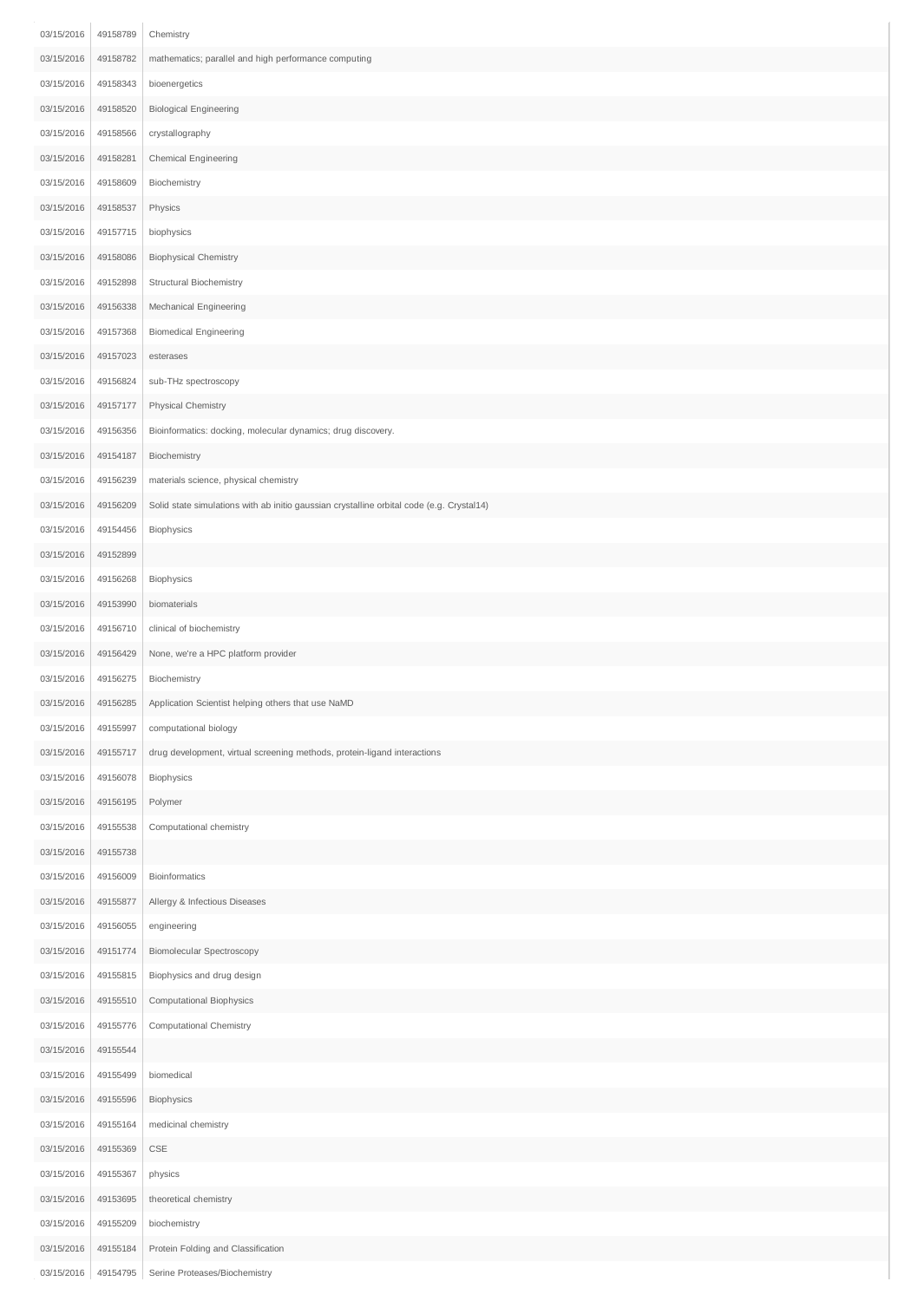| 03/15/2016 | 49158789 | Chemistry                                                                                 |
|------------|----------|-------------------------------------------------------------------------------------------|
| 03/15/2016 | 49158782 | mathematics; parallel and high performance computing                                      |
| 03/15/2016 | 49158343 | bioenergetics                                                                             |
| 03/15/2016 | 49158520 | <b>Biological Engineering</b>                                                             |
| 03/15/2016 | 49158566 | crystallography                                                                           |
| 03/15/2016 | 49158281 | Chemical Engineering                                                                      |
| 03/15/2016 | 49158609 | Biochemistry                                                                              |
| 03/15/2016 | 49158537 | Physics                                                                                   |
| 03/15/2016 | 49157715 | biophysics                                                                                |
| 03/15/2016 | 49158086 | <b>Biophysical Chemistry</b>                                                              |
| 03/15/2016 | 49152898 | Structural Biochemistry                                                                   |
| 03/15/2016 | 49156338 | Mechanical Engineering                                                                    |
| 03/15/2016 | 49157368 | <b>Biomedical Engineering</b>                                                             |
| 03/15/2016 | 49157023 | esterases                                                                                 |
| 03/15/2016 | 49156824 | sub-THz spectroscopy                                                                      |
| 03/15/2016 | 49157177 | Physical Chemistry                                                                        |
| 03/15/2016 | 49156356 | Bioinformatics: docking, molecular dynamics; drug discovery.                              |
| 03/15/2016 | 49154187 | Biochemistry                                                                              |
| 03/15/2016 | 49156239 | materials science, physical chemistry                                                     |
| 03/15/2016 | 49156209 | Solid state simulations with ab initio gaussian crystalline orbital code (e.g. Crystal14) |
| 03/15/2016 | 49154456 | Biophysics                                                                                |
| 03/15/2016 | 49152899 |                                                                                           |
| 03/15/2016 | 49156268 | Biophysics                                                                                |
| 03/15/2016 | 49153990 | biomaterials                                                                              |
| 03/15/2016 | 49156710 | clinical of biochemistry                                                                  |
| 03/15/2016 | 49156429 | None, we're a HPC platform provider                                                       |
| 03/15/2016 | 49156275 | Biochemistry                                                                              |
| 03/15/2016 | 49156285 | Application Scientist helping others that use NaMD                                        |
| 03/15/2016 | 49155997 | computational biology                                                                     |
| 03/15/2016 | 49155717 | drug development, virtual screening methods, protein-ligand interactions                  |
| 03/15/2016 | 49156078 | Biophysics                                                                                |
| 03/15/2016 | 49156195 | Polymer                                                                                   |
| 03/15/2016 | 49155538 | Computational chemistry                                                                   |
| 03/15/2016 | 49155738 |                                                                                           |
| 03/15/2016 | 49156009 | Bioinformatics                                                                            |
| 03/15/2016 | 49155877 | Allergy & Infectious Diseases                                                             |
| 03/15/2016 | 49156055 | engineering                                                                               |
| 03/15/2016 | 49151774 | <b>Biomolecular Spectroscopy</b>                                                          |
| 03/15/2016 | 49155815 | Biophysics and drug design                                                                |
| 03/15/2016 | 49155510 | Computational Biophysics                                                                  |
| 03/15/2016 | 49155776 | Computational Chemistry                                                                   |
| 03/15/2016 | 49155544 |                                                                                           |
| 03/15/2016 | 49155499 | biomedical                                                                                |
| 03/15/2016 | 49155596 | Biophysics                                                                                |
| 03/15/2016 | 49155164 | medicinal chemistry                                                                       |
| 03/15/2016 | 49155369 | $\mathsf{CSE}$                                                                            |
| 03/15/2016 | 49155367 | physics                                                                                   |
| 03/15/2016 | 49153695 | theoretical chemistry                                                                     |
| 03/15/2016 | 49155209 | biochemistry                                                                              |
| 03/15/2016 | 49155184 | Protein Folding and Classification                                                        |
| 03/15/2016 | 49154795 | Serine Proteases/Biochemistry                                                             |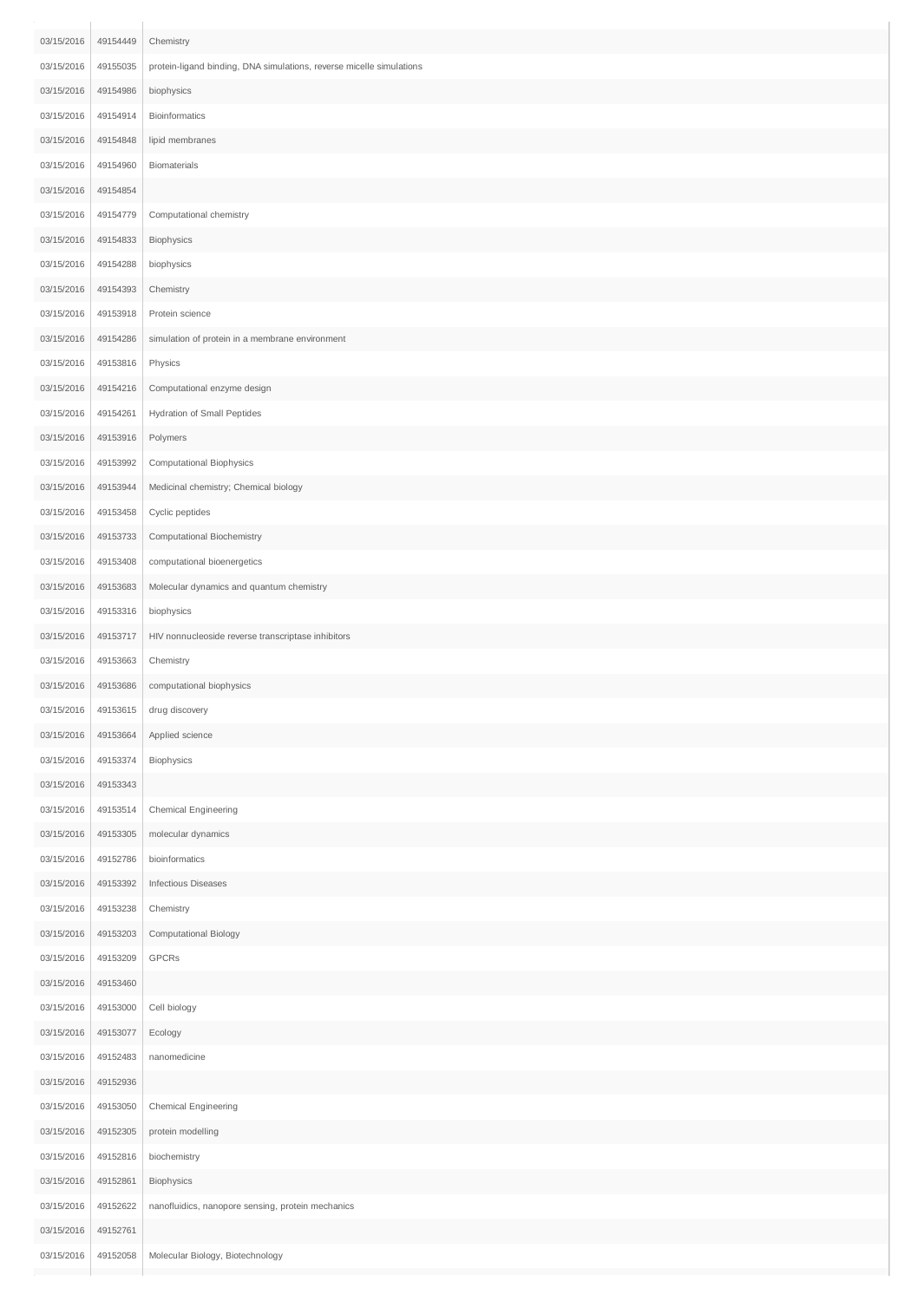| 03/15/2016 | 49154449 | Chemistry                                                            |
|------------|----------|----------------------------------------------------------------------|
| 03/15/2016 | 49155035 | protein-ligand binding, DNA simulations, reverse micelle simulations |
| 03/15/2016 | 49154986 | biophysics                                                           |
| 03/15/2016 | 49154914 | <b>Bioinformatics</b>                                                |
| 03/15/2016 | 49154848 | lipid membranes                                                      |
| 03/15/2016 | 49154960 | Biomaterials                                                         |
| 03/15/2016 | 49154854 |                                                                      |
| 03/15/2016 | 49154779 | Computational chemistry                                              |
| 03/15/2016 | 49154833 | Biophysics                                                           |
| 03/15/2016 | 49154288 | biophysics                                                           |
| 03/15/2016 | 49154393 | Chemistry                                                            |
| 03/15/2016 | 49153918 | Protein science                                                      |
| 03/15/2016 | 49154286 | simulation of protein in a membrane environment                      |
| 03/15/2016 | 49153816 | Physics                                                              |
| 03/15/2016 | 49154216 | Computational enzyme design                                          |
| 03/15/2016 | 49154261 | Hydration of Small Peptides                                          |
| 03/15/2016 | 49153916 | Polymers                                                             |
| 03/15/2016 | 49153992 | Computational Biophysics                                             |
| 03/15/2016 | 49153944 | Medicinal chemistry; Chemical biology                                |
| 03/15/2016 | 49153458 | Cyclic peptides                                                      |
| 03/15/2016 | 49153733 | Computational Biochemistry                                           |
| 03/15/2016 | 49153408 | computational bioenergetics                                          |
| 03/15/2016 | 49153683 | Molecular dynamics and quantum chemistry                             |
| 03/15/2016 | 49153316 | biophysics                                                           |
| 03/15/2016 | 49153717 | HIV nonnucleoside reverse transcriptase inhibitors                   |
| 03/15/2016 | 49153663 | Chemistry                                                            |
| 03/15/2016 | 49153686 | computational biophysics                                             |
| 03/15/2016 | 49153615 | drug discovery                                                       |
| 03/15/2016 | 49153664 | Applied science                                                      |
| 03/15/2016 | 49153374 | Biophysics                                                           |
| 03/15/2016 | 49153343 |                                                                      |
| 03/15/2016 | 49153514 | Chemical Engineering                                                 |
| 03/15/2016 | 49153305 | molecular dynamics                                                   |
| 03/15/2016 | 49152786 | bioinformatics                                                       |
| 03/15/2016 | 49153392 | <b>Infectious Diseases</b>                                           |
| 03/15/2016 | 49153238 | Chemistry                                                            |
| 03/15/2016 | 49153203 | Computational Biology                                                |
| 03/15/2016 | 49153209 | GPCRs                                                                |
| 03/15/2016 | 49153460 |                                                                      |
| 03/15/2016 | 49153000 | Cell biology                                                         |
| 03/15/2016 | 49153077 | Ecology                                                              |
| 03/15/2016 | 49152483 | nanomedicine                                                         |
| 03/15/2016 | 49152936 |                                                                      |
| 03/15/2016 | 49153050 | Chemical Engineering                                                 |
| 03/15/2016 | 49152305 | protein modelling                                                    |
| 03/15/2016 | 49152816 | biochemistry                                                         |
| 03/15/2016 | 49152861 | Biophysics                                                           |
| 03/15/2016 | 49152622 | nanofluidics, nanopore sensing, protein mechanics                    |
| 03/15/2016 | 49152761 |                                                                      |
| 03/15/2016 | 49152058 | Molecular Biology, Biotechnology                                     |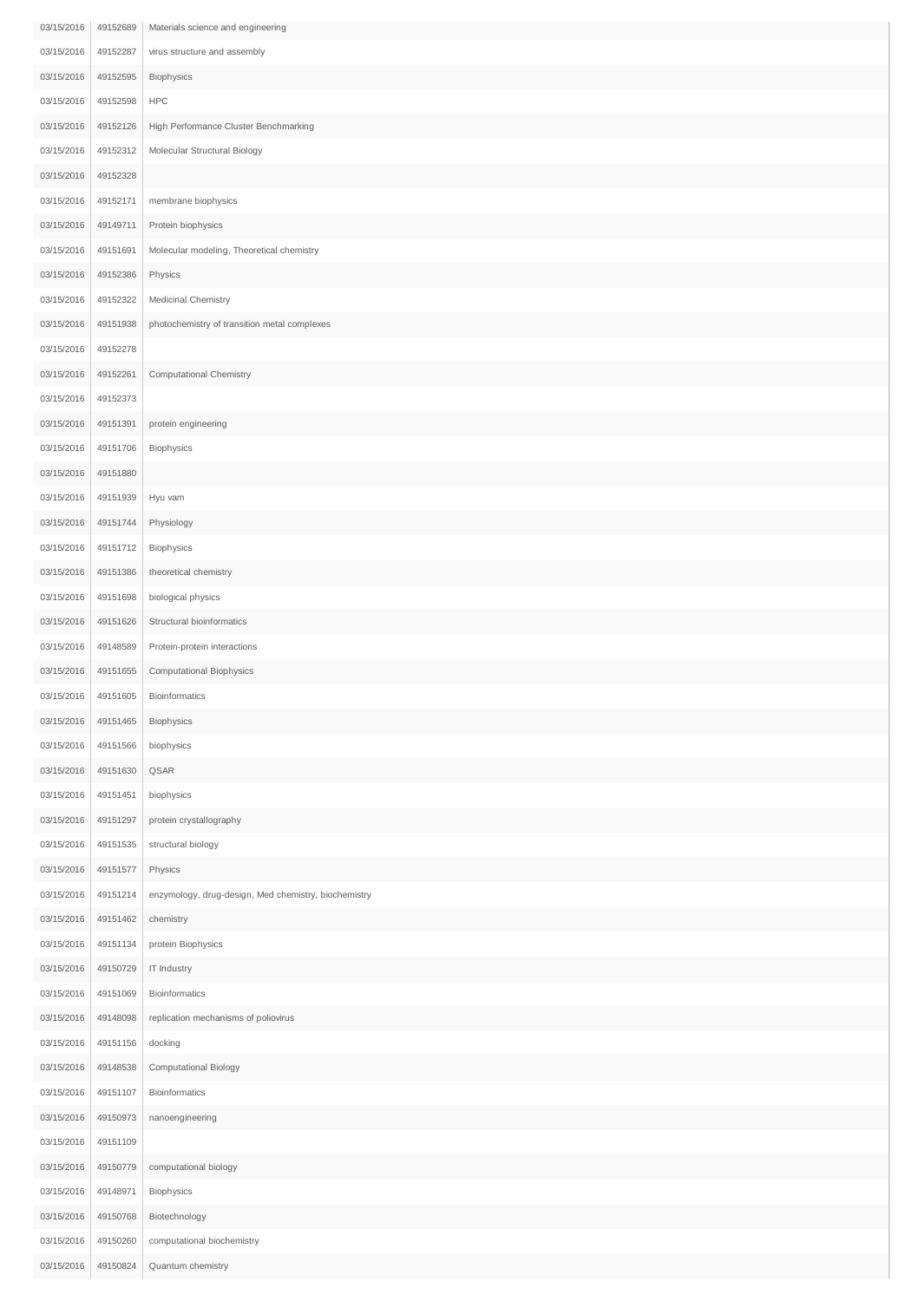| 03/15/2016 | 49152689 | Materials science and engineering                    |
|------------|----------|------------------------------------------------------|
| 03/15/2016 | 49152287 | virus structure and assembly                         |
| 03/15/2016 | 49152595 | Biophysics                                           |
| 03/15/2016 | 49152598 | <b>HPC</b>                                           |
| 03/15/2016 | 49152126 | High Performance Cluster Benchmarking                |
| 03/15/2016 | 49152312 | Molecular Structural Biology                         |
| 03/15/2016 | 49152328 |                                                      |
| 03/15/2016 | 49152171 | membrane biophysics                                  |
| 03/15/2016 | 49149711 | Protein biophysics                                   |
| 03/15/2016 | 49151691 | Molecular modeling, Theoretical chemistry            |
| 03/15/2016 | 49152386 | Physics                                              |
| 03/15/2016 | 49152322 | Medicinal Chemistry                                  |
| 03/15/2016 | 49151938 | photochemistry of transition metal complexes         |
| 03/15/2016 | 49152278 |                                                      |
| 03/15/2016 | 49152261 | Computational Chemistry                              |
| 03/15/2016 | 49152373 |                                                      |
| 03/15/2016 | 49151391 | protein engineering                                  |
| 03/15/2016 | 49151706 | Biophysics                                           |
| 03/15/2016 | 49151880 |                                                      |
| 03/15/2016 | 49151939 | Hyu vam                                              |
| 03/15/2016 | 49151744 | Physiology                                           |
| 03/15/2016 | 49151712 | Biophysics                                           |
| 03/15/2016 | 49151386 | theoretical chemistry                                |
| 03/15/2016 | 49151698 | biological physics                                   |
| 03/15/2016 | 49151626 | Structural bioinformatics                            |
| 03/15/2016 | 49148589 | Protein-protein interactions                         |
| 03/15/2016 | 49151655 | Computational Biophysics                             |
| 03/15/2016 | 49151605 | Bioinformatics                                       |
| 03/15/2016 | 49151465 | Biophysics                                           |
| 03/15/2016 | 49151566 | biophysics                                           |
| 03/15/2016 | 49151630 | QSAR                                                 |
| 03/15/2016 | 49151451 | biophysics                                           |
| 03/15/2016 | 49151297 | protein crystallography                              |
| 03/15/2016 | 49151535 | structural biology                                   |
| 03/15/2016 | 49151577 | Physics                                              |
| 03/15/2016 | 49151214 | enzymology, drug-design, Med chemistry, biochemistry |
| 03/15/2016 | 49151462 | chemistry                                            |
| 03/15/2016 | 49151134 | protein Biophysics                                   |
| 03/15/2016 | 49150729 | IT Industry                                          |
| 03/15/2016 | 49151069 | Bioinformatics                                       |
| 03/15/2016 | 49148098 | replication mechanisms of poliovirus                 |
| 03/15/2016 | 49151156 | docking                                              |
| 03/15/2016 | 49148538 | Computational Biology                                |
| 03/15/2016 | 49151107 | Bioinformatics                                       |
| 03/15/2016 | 49150973 | nanoengineering                                      |
| 03/15/2016 | 49151109 |                                                      |
| 03/15/2016 | 49150779 | computational biology                                |
| 03/15/2016 | 49148971 | Biophysics                                           |
| 03/15/2016 | 49150768 | Biotechnology                                        |
| 03/15/2016 | 49150260 | computational biochemistry                           |
| 03/15/2016 | 49150824 | Quantum chemistry                                    |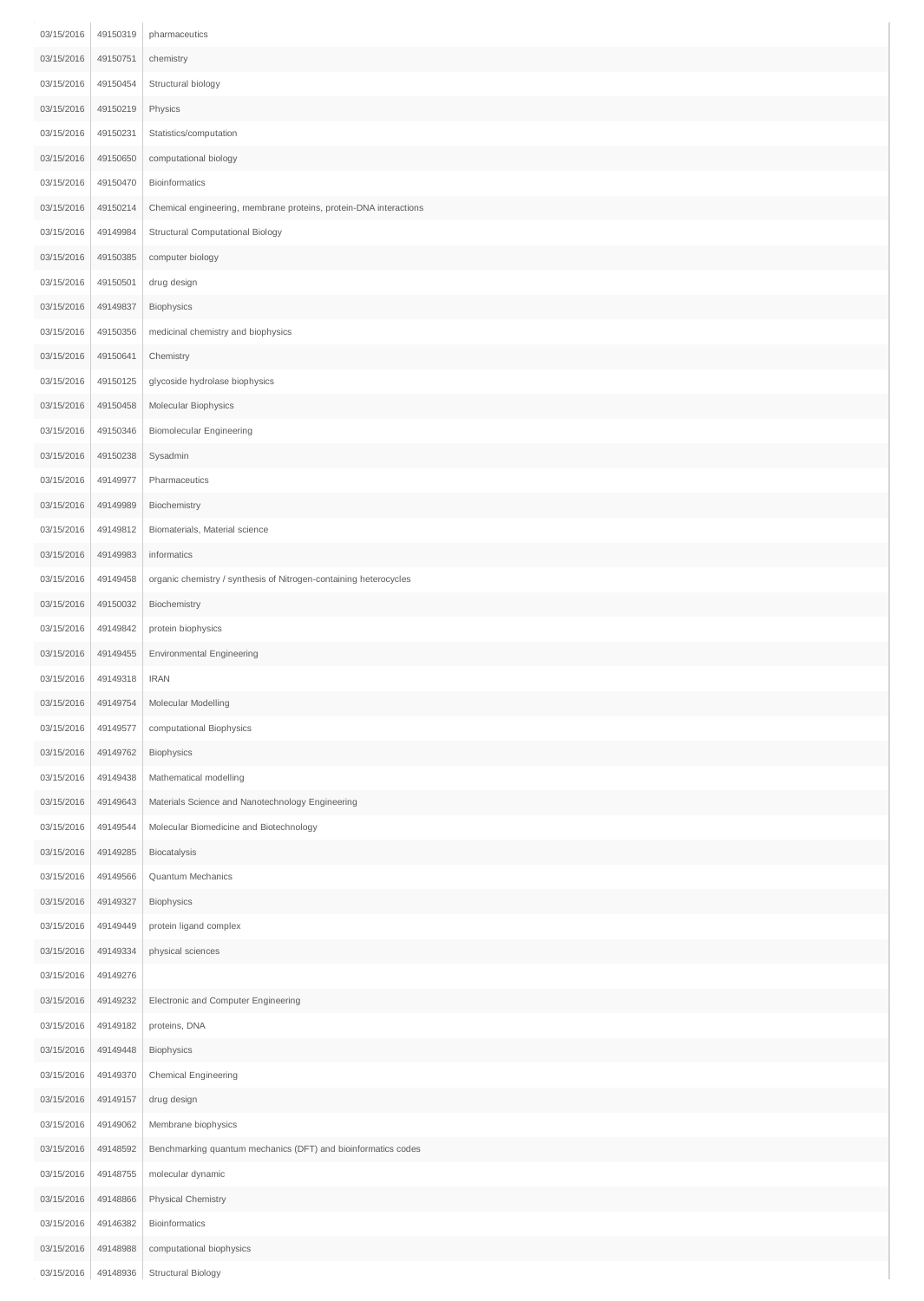| 03/15/2016 | 49150319 | pharmaceutics                                                     |
|------------|----------|-------------------------------------------------------------------|
| 03/15/2016 | 49150751 | chemistry                                                         |
| 03/15/2016 | 49150454 | Structural biology                                                |
| 03/15/2016 | 49150219 | Physics                                                           |
| 03/15/2016 | 49150231 | Statistics/computation                                            |
| 03/15/2016 | 49150650 | computational biology                                             |
| 03/15/2016 | 49150470 | Bioinformatics                                                    |
| 03/15/2016 | 49150214 | Chemical engineering, membrane proteins, protein-DNA interactions |
| 03/15/2016 | 49149984 | Structural Computational Biology                                  |
| 03/15/2016 | 49150385 | computer biology                                                  |
| 03/15/2016 | 49150501 | drug design                                                       |
| 03/15/2016 | 49149837 | Biophysics                                                        |
| 03/15/2016 | 49150356 | medicinal chemistry and biophysics                                |
| 03/15/2016 | 49150641 | Chemistry                                                         |
| 03/15/2016 | 49150125 | glycoside hydrolase biophysics                                    |
| 03/15/2016 | 49150458 | Molecular Biophysics                                              |
| 03/15/2016 | 49150346 | <b>Biomolecular Engineering</b>                                   |
| 03/15/2016 | 49150238 | Sysadmin                                                          |
| 03/15/2016 | 49149977 | Pharmaceutics                                                     |
| 03/15/2016 | 49149989 | Biochemistry                                                      |
| 03/15/2016 | 49149812 | Biomaterials, Material science                                    |
| 03/15/2016 | 49149983 | informatics                                                       |
| 03/15/2016 | 49149458 | organic chemistry / synthesis of Nitrogen-containing heterocycles |
| 03/15/2016 | 49150032 | Biochemistry                                                      |
| 03/15/2016 | 49149842 | protein biophysics                                                |
| 03/15/2016 | 49149455 | Environmental Engineering                                         |
| 03/15/2016 | 49149318 | <b>IRAN</b>                                                       |
| 03/15/2016 | 49149754 | Molecular Modelling                                               |
| 03/15/2016 | 49149577 | computational Biophysics                                          |
| 03/15/2016 | 49149762 | Biophysics                                                        |
| 03/15/2016 | 49149438 | Mathematical modelling                                            |
| 03/15/2016 | 49149643 | Materials Science and Nanotechnology Engineering                  |
| 03/15/2016 | 49149544 | Molecular Biomedicine and Biotechnology                           |
| 03/15/2016 | 49149285 | Biocatalysis                                                      |
| 03/15/2016 | 49149566 | Quantum Mechanics                                                 |
| 03/15/2016 | 49149327 | Biophysics                                                        |
| 03/15/2016 | 49149449 | protein ligand complex                                            |
| 03/15/2016 | 49149334 | physical sciences                                                 |
| 03/15/2016 | 49149276 |                                                                   |
| 03/15/2016 | 49149232 | Electronic and Computer Engineering                               |
| 03/15/2016 | 49149182 | proteins, DNA                                                     |
| 03/15/2016 | 49149448 | Biophysics                                                        |
| 03/15/2016 | 49149370 | Chemical Engineering                                              |
| 03/15/2016 | 49149157 | drug design                                                       |
| 03/15/2016 | 49149062 | Membrane biophysics                                               |
| 03/15/2016 | 49148592 | Benchmarking quantum mechanics (DFT) and bioinformatics codes     |
| 03/15/2016 | 49148755 | molecular dynamic                                                 |
| 03/15/2016 | 49148866 | Physical Chemistry                                                |
| 03/15/2016 | 49146382 | Bioinformatics                                                    |
| 03/15/2016 | 49148988 | computational biophysics                                          |
| 03/15/2016 | 49148936 | <b>Structural Biology</b>                                         |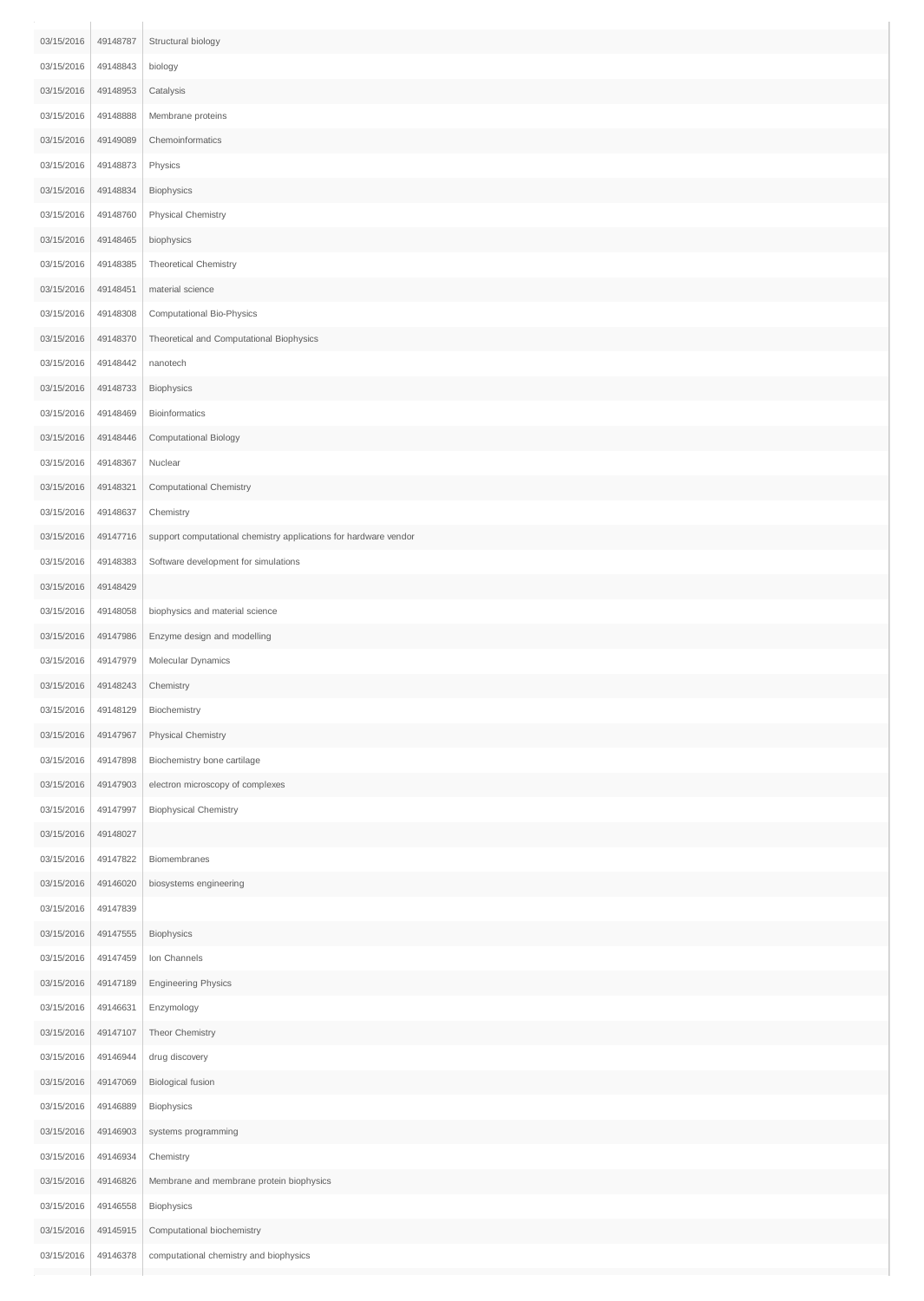| 03/15/2016 | 49148787 | Structural biology                                               |
|------------|----------|------------------------------------------------------------------|
| 03/15/2016 | 49148843 | biology                                                          |
| 03/15/2016 | 49148953 | Catalysis                                                        |
| 03/15/2016 | 49148888 | Membrane proteins                                                |
| 03/15/2016 | 49149089 | Chemoinformatics                                                 |
| 03/15/2016 | 49148873 | Physics                                                          |
| 03/15/2016 | 49148834 | Biophysics                                                       |
| 03/15/2016 | 49148760 | Physical Chemistry                                               |
| 03/15/2016 | 49148465 | biophysics                                                       |
| 03/15/2016 | 49148385 | Theoretical Chemistry                                            |
| 03/15/2016 | 49148451 | material science                                                 |
| 03/15/2016 | 49148308 | Computational Bio-Physics                                        |
| 03/15/2016 | 49148370 | Theoretical and Computational Biophysics                         |
| 03/15/2016 | 49148442 | nanotech                                                         |
| 03/15/2016 | 49148733 | Biophysics                                                       |
| 03/15/2016 | 49148469 | Bioinformatics                                                   |
| 03/15/2016 | 49148446 | Computational Biology                                            |
| 03/15/2016 | 49148367 | Nuclear                                                          |
| 03/15/2016 | 49148321 | Computational Chemistry                                          |
| 03/15/2016 | 49148637 | Chemistry                                                        |
| 03/15/2016 | 49147716 | support computational chemistry applications for hardware vendor |
| 03/15/2016 | 49148383 | Software development for simulations                             |
| 03/15/2016 | 49148429 |                                                                  |
| 03/15/2016 | 49148058 | biophysics and material science                                  |
| 03/15/2016 | 49147986 | Enzyme design and modelling                                      |
| 03/15/2016 | 49147979 | Molecular Dynamics                                               |
| 03/15/2016 | 49148243 | Chemistry                                                        |
| 03/15/2016 | 49148129 | Biochemistry                                                     |
| 03/15/2016 | 49147967 | Physical Chemistry                                               |
| 03/15/2016 | 49147898 | Biochemistry bone cartilage                                      |
| 03/15/2016 | 49147903 | electron microscopy of complexes                                 |
| 03/15/2016 | 49147997 | <b>Biophysical Chemistry</b>                                     |
| 03/15/2016 | 49148027 |                                                                  |
| 03/15/2016 | 49147822 | Biomembranes                                                     |
| 03/15/2016 | 49146020 | biosystems engineering                                           |
| 03/15/2016 | 49147839 |                                                                  |
| 03/15/2016 | 49147555 | Biophysics                                                       |
| 03/15/2016 | 49147459 | Ion Channels                                                     |
| 03/15/2016 | 49147189 | <b>Engineering Physics</b>                                       |
| 03/15/2016 | 49146631 | Enzymology                                                       |
| 03/15/2016 | 49147107 | Theor Chemistry                                                  |
| 03/15/2016 | 49146944 | drug discovery                                                   |
| 03/15/2016 | 49147069 | <b>Biological fusion</b>                                         |
| 03/15/2016 | 49146889 | Biophysics                                                       |
| 03/15/2016 | 49146903 | systems programming                                              |
| 03/15/2016 | 49146934 | Chemistry                                                        |
| 03/15/2016 | 49146826 | Membrane and membrane protein biophysics                         |
| 03/15/2016 | 49146558 | Biophysics                                                       |
| 03/15/2016 | 49145915 | Computational biochemistry                                       |
| 03/15/2016 | 49146378 | computational chemistry and biophysics                           |
|            |          |                                                                  |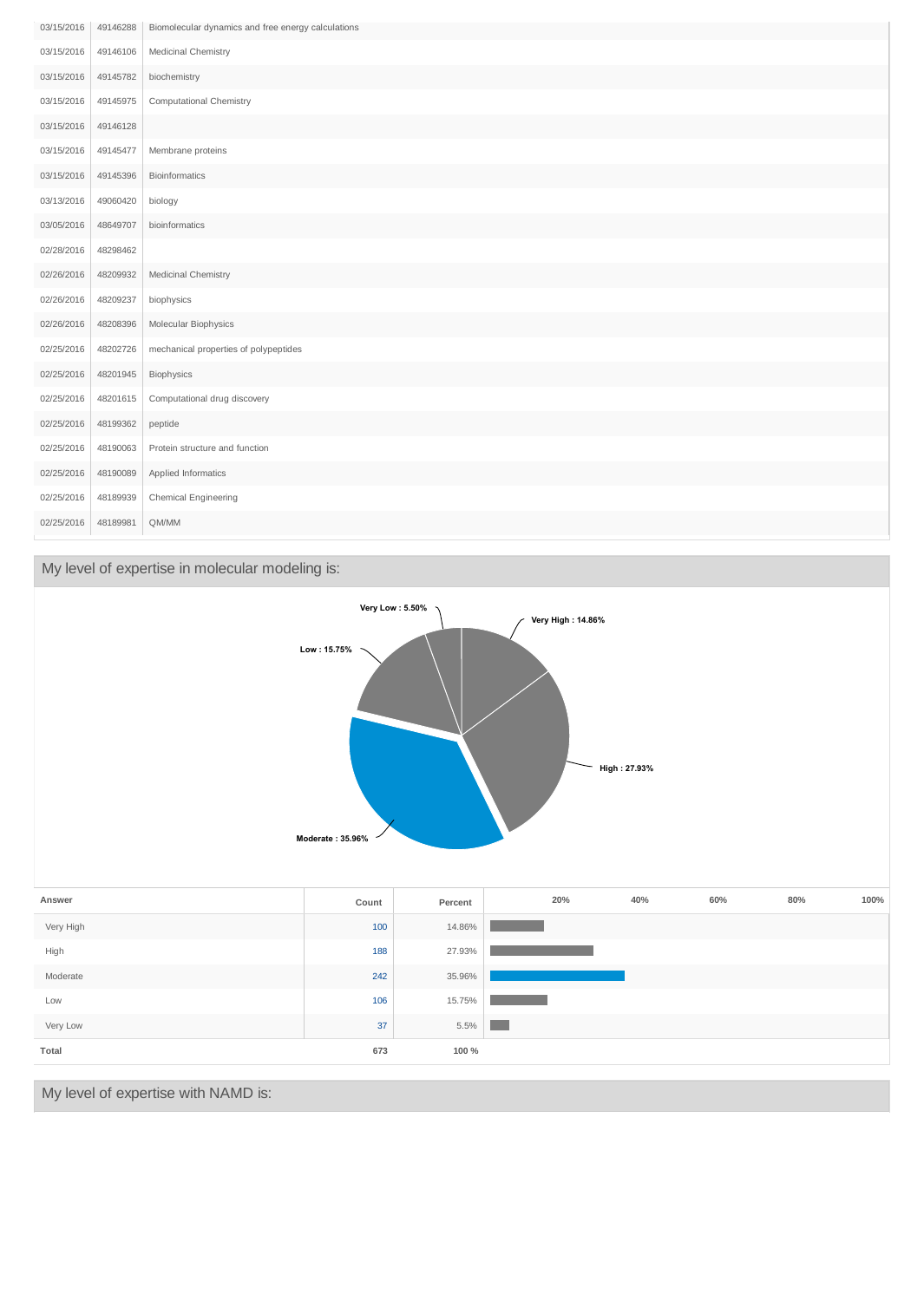| 03/15/2016 | 49146288 | Biomolecular dynamics and free energy calculations |
|------------|----------|----------------------------------------------------|
| 03/15/2016 | 49146106 | Medicinal Chemistry                                |
| 03/15/2016 | 49145782 | biochemistry                                       |
| 03/15/2016 | 49145975 | Computational Chemistry                            |
| 03/15/2016 | 49146128 |                                                    |
| 03/15/2016 | 49145477 | Membrane proteins                                  |
| 03/15/2016 | 49145396 | Bioinformatics                                     |
| 03/13/2016 | 49060420 | biology                                            |
| 03/05/2016 | 48649707 | bioinformatics                                     |
| 02/28/2016 | 48298462 |                                                    |
| 02/26/2016 | 48209932 | Medicinal Chemistry                                |
| 02/26/2016 | 48209237 | biophysics                                         |
| 02/26/2016 | 48208396 | Molecular Biophysics                               |
| 02/25/2016 | 48202726 | mechanical properties of polypeptides              |
| 02/25/2016 | 48201945 | Biophysics                                         |
| 02/25/2016 | 48201615 | Computational drug discovery                       |
| 02/25/2016 | 48199362 | peptide                                            |
| 02/25/2016 | 48190063 | Protein structure and function                     |
| 02/25/2016 | 48190089 | Applied Informatics                                |
| 02/25/2016 | 48189939 | Chemical Engineering                               |
| 02/25/2016 | 48189981 | QM/MM                                              |

## My level of expertise in molecular modeling is:

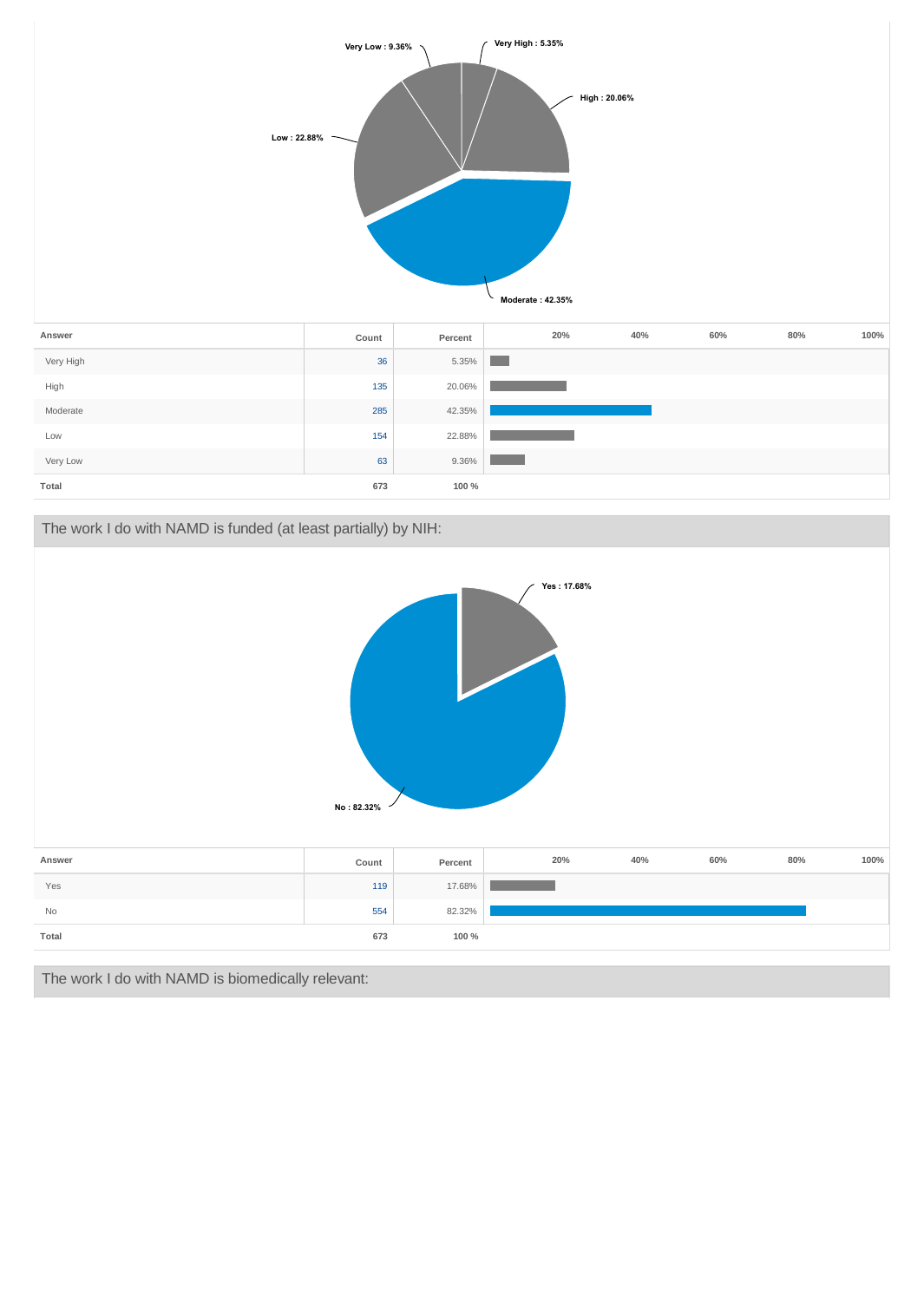

## The work I do with NAMD is funded (at least partially) by NIH:



The work I do with NAMD is biomedically relevant: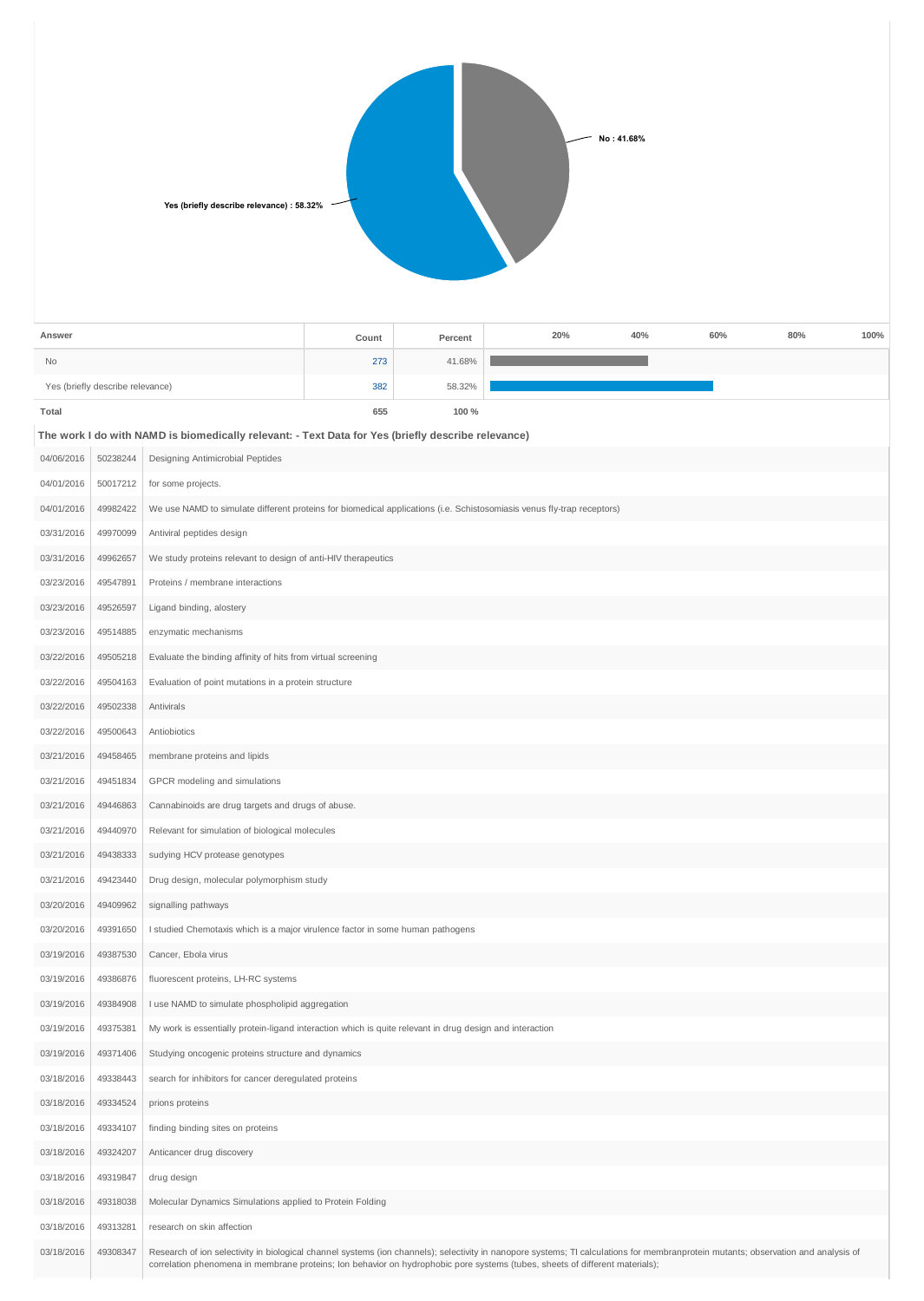| Yes (briefly describe relevance) : 58.32% | No: 41.68% |
|-------------------------------------------|------------|
|                                           |            |

| Answer                           | Count | Percent | 20% | 40% | 60% | 80% | 100% |
|----------------------------------|-------|---------|-----|-----|-----|-----|------|
| <b>No</b>                        | 273   | 41.68%  |     |     |     |     |      |
| Yes (briefly describe relevance) | 382   | 58.32%  |     |     |     |     |      |
| Total                            | 655   | 100 %   |     |     |     |     |      |

| The work I do with NAMD is biomedically relevant: - Text Data for Yes (briefly describe relevance) |                                                          |  |  |  |
|----------------------------------------------------------------------------------------------------|----------------------------------------------------------|--|--|--|
|                                                                                                    | 04/06/2016   50238244   Designing Antimicrobial Peptides |  |  |  |

| 04/01/2016 | 50017212 | for some projects.                                                                                                                                                                                                                                                                                                 |
|------------|----------|--------------------------------------------------------------------------------------------------------------------------------------------------------------------------------------------------------------------------------------------------------------------------------------------------------------------|
| 04/01/2016 | 49982422 | We use NAMD to simulate different proteins for biomedical applications (i.e. Schistosomiasis venus fly-trap receptors)                                                                                                                                                                                             |
| 03/31/2016 | 49970099 | Antiviral peptides design                                                                                                                                                                                                                                                                                          |
| 03/31/2016 | 49962657 | We study proteins relevant to design of anti-HIV therapeutics                                                                                                                                                                                                                                                      |
| 03/23/2016 | 49547891 | Proteins / membrane interactions                                                                                                                                                                                                                                                                                   |
| 03/23/2016 | 49526597 | Ligand binding, alostery                                                                                                                                                                                                                                                                                           |
| 03/23/2016 | 49514885 | enzymatic mechanisms                                                                                                                                                                                                                                                                                               |
| 03/22/2016 | 49505218 | Evaluate the binding affinity of hits from virtual screening                                                                                                                                                                                                                                                       |
| 03/22/2016 | 49504163 | Evaluation of point mutations in a protein structure                                                                                                                                                                                                                                                               |
| 03/22/2016 | 49502338 | Antivirals                                                                                                                                                                                                                                                                                                         |
| 03/22/2016 | 49500643 | Antiobiotics                                                                                                                                                                                                                                                                                                       |
| 03/21/2016 | 49458465 | membrane proteins and lipids                                                                                                                                                                                                                                                                                       |
| 03/21/2016 | 49451834 | GPCR modeling and simulations                                                                                                                                                                                                                                                                                      |
| 03/21/2016 | 49446863 | Cannabinoids are drug targets and drugs of abuse.                                                                                                                                                                                                                                                                  |
| 03/21/2016 | 49440970 | Relevant for simulation of biological molecules                                                                                                                                                                                                                                                                    |
| 03/21/2016 | 49438333 | sudying HCV protease genotypes                                                                                                                                                                                                                                                                                     |
| 03/21/2016 | 49423440 | Drug design, molecular polymorphism study                                                                                                                                                                                                                                                                          |
| 03/20/2016 | 49409962 | signalling pathways                                                                                                                                                                                                                                                                                                |
| 03/20/2016 | 49391650 | I studied Chemotaxis which is a major virulence factor in some human pathogens                                                                                                                                                                                                                                     |
| 03/19/2016 | 49387530 | Cancer, Ebola virus                                                                                                                                                                                                                                                                                                |
| 03/19/2016 | 49386876 | fluorescent proteins, LH-RC systems                                                                                                                                                                                                                                                                                |
| 03/19/2016 | 49384908 | I use NAMD to simulate phospholipid aggregation                                                                                                                                                                                                                                                                    |
| 03/19/2016 | 49375381 | My work is essentially protein-ligand interaction which is quite relevant in drug design and interaction                                                                                                                                                                                                           |
| 03/19/2016 | 49371406 | Studying oncogenic proteins structure and dynamics                                                                                                                                                                                                                                                                 |
| 03/18/2016 | 49338443 | search for inhibitors for cancer deregulated proteins                                                                                                                                                                                                                                                              |
| 03/18/2016 | 49334524 | prions proteins                                                                                                                                                                                                                                                                                                    |
| 03/18/2016 | 49334107 | finding binding sites on proteins                                                                                                                                                                                                                                                                                  |
| 03/18/2016 | 49324207 | Anticancer drug discovery                                                                                                                                                                                                                                                                                          |
| 03/18/2016 | 49319847 | drug design                                                                                                                                                                                                                                                                                                        |
| 03/18/2016 | 49318038 | Molecular Dynamics Simulations applied to Protein Folding                                                                                                                                                                                                                                                          |
| 03/18/2016 | 49313281 | research on skin affection                                                                                                                                                                                                                                                                                         |
| 03/18/2016 | 49308347 | Research of ion selectivity in biological channel systems (ion channels); selectivity in nanopore systems; TI calculations for membranprotein mutants; observation and analysis of<br>correlation phenomena in membrane proteins; lon behavior on hydrophobic pore systems (tubes, sheets of different materials); |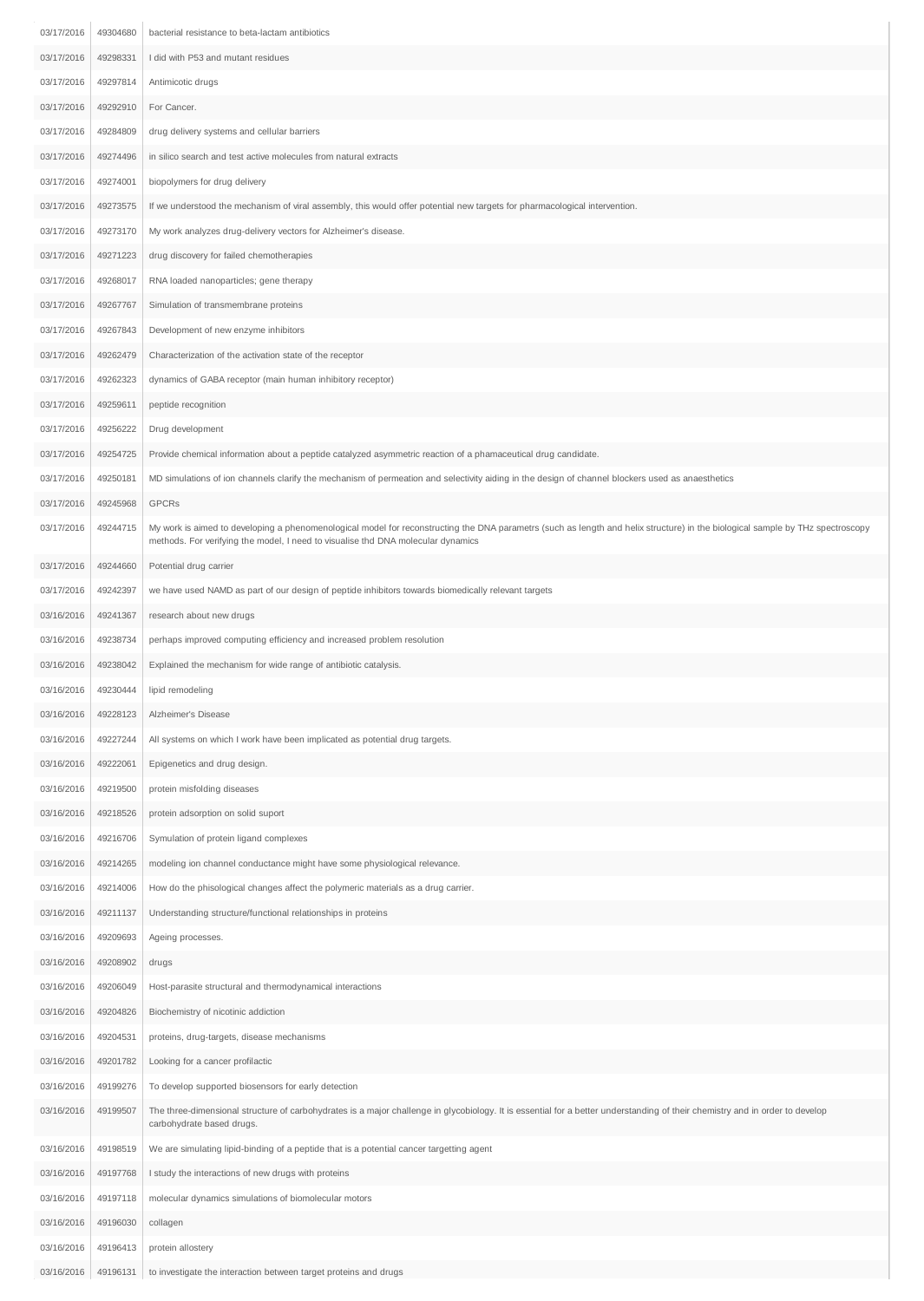| 03/17/2016 | 49304680 | bacterial resistance to beta-lactam antibiotics                                                                                                                                                                                                                    |
|------------|----------|--------------------------------------------------------------------------------------------------------------------------------------------------------------------------------------------------------------------------------------------------------------------|
| 03/17/2016 | 49298331 | I did with P53 and mutant residues                                                                                                                                                                                                                                 |
| 03/17/2016 | 49297814 | Antimicotic drugs                                                                                                                                                                                                                                                  |
| 03/17/2016 | 49292910 | For Cancer.                                                                                                                                                                                                                                                        |
| 03/17/2016 | 49284809 | drug delivery systems and cellular barriers                                                                                                                                                                                                                        |
| 03/17/2016 | 49274496 | in silico search and test active molecules from natural extracts                                                                                                                                                                                                   |
| 03/17/2016 | 49274001 | biopolymers for drug delivery                                                                                                                                                                                                                                      |
| 03/17/2016 | 49273575 | If we understood the mechanism of viral assembly, this would offer potential new targets for pharmacological intervention.                                                                                                                                         |
| 03/17/2016 | 49273170 | My work analyzes drug-delivery vectors for Alzheimer's disease.                                                                                                                                                                                                    |
| 03/17/2016 | 49271223 | drug discovery for failed chemotherapies                                                                                                                                                                                                                           |
| 03/17/2016 | 49268017 | RNA loaded nanoparticles; gene therapy                                                                                                                                                                                                                             |
| 03/17/2016 | 49267767 | Simulation of transmembrane proteins                                                                                                                                                                                                                               |
| 03/17/2016 | 49267843 | Development of new enzyme inhibitors                                                                                                                                                                                                                               |
| 03/17/2016 | 49262479 | Characterization of the activation state of the receptor                                                                                                                                                                                                           |
| 03/17/2016 | 49262323 | dynamics of GABA receptor (main human inhibitory receptor)                                                                                                                                                                                                         |
| 03/17/2016 | 49259611 | peptide recognition                                                                                                                                                                                                                                                |
| 03/17/2016 | 49256222 | Drug development                                                                                                                                                                                                                                                   |
| 03/17/2016 | 49254725 | Provide chemical information about a peptide catalyzed asymmetric reaction of a phamaceutical drug candidate.                                                                                                                                                      |
| 03/17/2016 | 49250181 | MD simulations of ion channels clarify the mechanism of permeation and selectivity aiding in the design of channel blockers used as anaesthetics                                                                                                                   |
| 03/17/2016 | 49245968 | <b>GPCRs</b>                                                                                                                                                                                                                                                       |
| 03/17/2016 | 49244715 | My work is aimed to developing a phenomenological model for reconstructing the DNA parametrs (such as length and helix structure) in the biological sample by THz spectroscopy<br>methods. For verifying the model, I need to visualise thd DNA molecular dynamics |
| 03/17/2016 | 49244660 | Potential drug carrier                                                                                                                                                                                                                                             |
| 03/17/2016 | 49242397 | we have used NAMD as part of our design of peptide inhibitors towards biomedically relevant targets                                                                                                                                                                |
| 03/16/2016 | 49241367 | research about new drugs                                                                                                                                                                                                                                           |
| 03/16/2016 | 49238734 | perhaps improved computing efficiency and increased problem resolution                                                                                                                                                                                             |
| 03/16/2016 | 49238042 | Explained the mechanism for wide range of antibiotic catalysis.                                                                                                                                                                                                    |
| 03/16/2016 | 49230444 | lipid remodeling                                                                                                                                                                                                                                                   |
| 03/16/2016 | 49228123 | Alzheimer's Disease                                                                                                                                                                                                                                                |
| 03/16/2016 | 49227244 | All systems on which I work have been implicated as potential drug targets.                                                                                                                                                                                        |
| 03/16/2016 | 49222061 | Epigenetics and drug design.                                                                                                                                                                                                                                       |
| 03/16/2016 | 49219500 | protein misfolding diseases                                                                                                                                                                                                                                        |
| 03/16/2016 | 49218526 | protein adsorption on solid suport                                                                                                                                                                                                                                 |
| 03/16/2016 | 49216706 | Symulation of protein ligand complexes                                                                                                                                                                                                                             |
| 03/16/2016 | 49214265 | modeling ion channel conductance might have some physiological relevance.                                                                                                                                                                                          |
| 03/16/2016 | 49214006 | How do the phisological changes affect the polymeric materials as a drug carrier.                                                                                                                                                                                  |
| 03/16/2016 | 49211137 | Understanding structure/functional relationships in proteins                                                                                                                                                                                                       |
| 03/16/2016 | 49209693 | Ageing processes.                                                                                                                                                                                                                                                  |
| 03/16/2016 | 49208902 | drugs                                                                                                                                                                                                                                                              |
| 03/16/2016 | 49206049 | Host-parasite structural and thermodynamical interactions                                                                                                                                                                                                          |
| 03/16/2016 | 49204826 | Biochemistry of nicotinic addiction                                                                                                                                                                                                                                |
| 03/16/2016 | 49204531 | proteins, drug-targets, disease mechanisms                                                                                                                                                                                                                         |
| 03/16/2016 | 49201782 | Looking for a cancer profilactic                                                                                                                                                                                                                                   |
| 03/16/2016 | 49199276 | To develop supported biosensors for early detection                                                                                                                                                                                                                |
| 03/16/2016 | 49199507 | The three-dimensional structure of carbohydrates is a major challenge in glycobiology. It is essential for a better understanding of their chemistry and in order to develop<br>carbohydrate based drugs.                                                          |
| 03/16/2016 | 49198519 | We are simulating lipid-binding of a peptide that is a potential cancer targetting agent                                                                                                                                                                           |
| 03/16/2016 | 49197768 | I study the interactions of new drugs with proteins                                                                                                                                                                                                                |
| 03/16/2016 | 49197118 | molecular dynamics simulations of biomolecular motors                                                                                                                                                                                                              |
| 03/16/2016 | 49196030 | collagen                                                                                                                                                                                                                                                           |
| 03/16/2016 | 49196413 | protein allostery                                                                                                                                                                                                                                                  |
| 03/16/2016 | 49196131 | to investigate the interaction between target proteins and drugs                                                                                                                                                                                                   |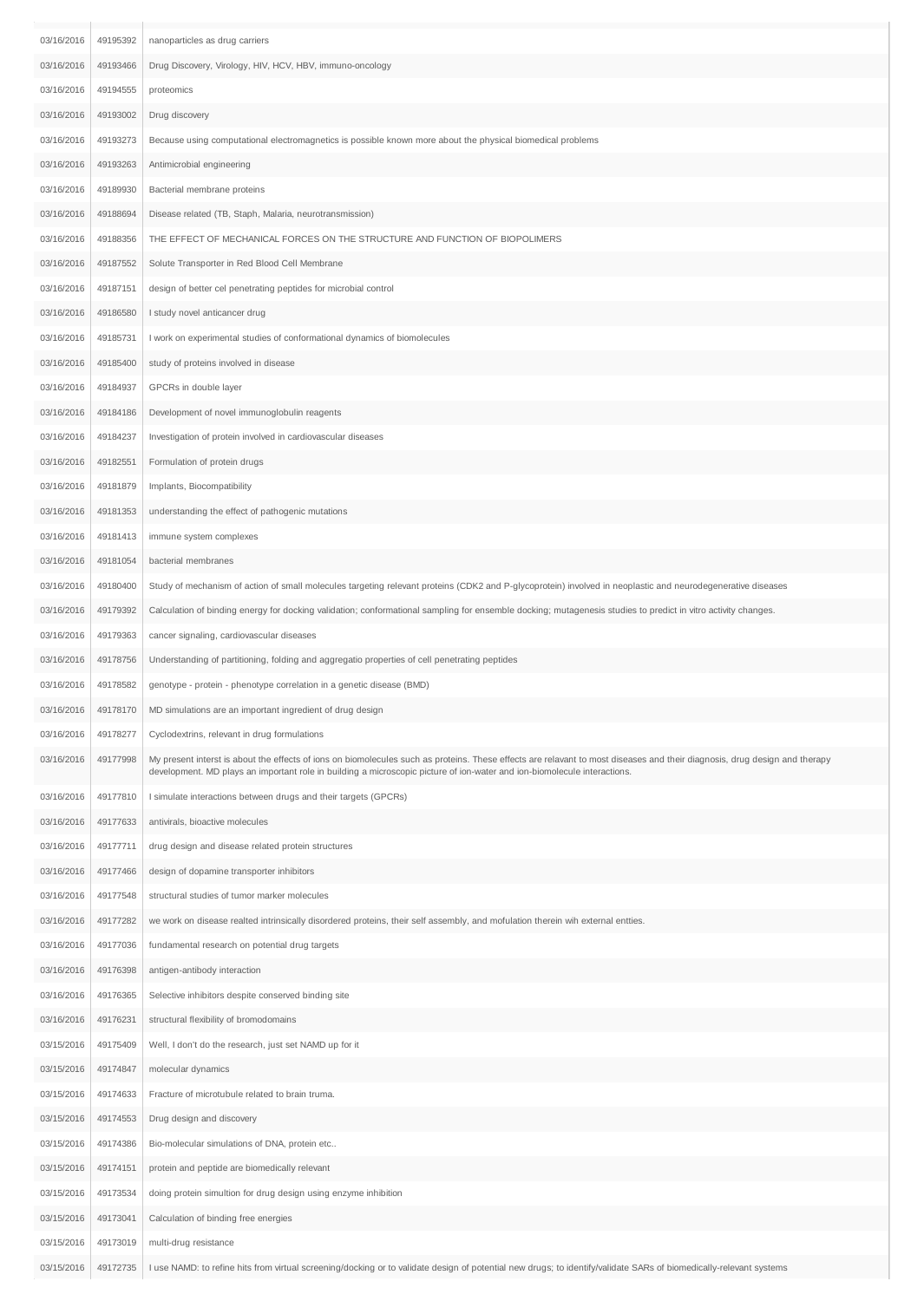| 03/16/2016 | 49195392 | nanoparticles as drug carriers                                                                                                                                                                                                                                                                         |
|------------|----------|--------------------------------------------------------------------------------------------------------------------------------------------------------------------------------------------------------------------------------------------------------------------------------------------------------|
| 03/16/2016 | 49193466 | Drug Discovery, Virology, HIV, HCV, HBV, immuno-oncology                                                                                                                                                                                                                                               |
| 03/16/2016 | 49194555 | proteomics                                                                                                                                                                                                                                                                                             |
| 03/16/2016 | 49193002 | Drug discovery                                                                                                                                                                                                                                                                                         |
| 03/16/2016 | 49193273 | Because using computational electromagnetics is possible known more about the physical biomedical problems                                                                                                                                                                                             |
| 03/16/2016 | 49193263 | Antimicrobial engineering                                                                                                                                                                                                                                                                              |
| 03/16/2016 | 49189930 | Bacterial membrane proteins                                                                                                                                                                                                                                                                            |
| 03/16/2016 | 49188694 | Disease related (TB, Staph, Malaria, neurotransmission)                                                                                                                                                                                                                                                |
| 03/16/2016 | 49188356 | THE EFFECT OF MECHANICAL FORCES ON THE STRUCTURE AND FUNCTION OF BIOPOLIMERS                                                                                                                                                                                                                           |
| 03/16/2016 | 49187552 | Solute Transporter in Red Blood Cell Membrane                                                                                                                                                                                                                                                          |
| 03/16/2016 | 49187151 | design of better cel penetrating peptides for microbial control                                                                                                                                                                                                                                        |
| 03/16/2016 | 49186580 | I study novel anticancer drug                                                                                                                                                                                                                                                                          |
| 03/16/2016 | 49185731 | I work on experimental studies of conformational dynamics of biomolecules                                                                                                                                                                                                                              |
| 03/16/2016 | 49185400 | study of proteins involved in disease                                                                                                                                                                                                                                                                  |
| 03/16/2016 | 49184937 | GPCRs in double layer                                                                                                                                                                                                                                                                                  |
| 03/16/2016 | 49184186 | Development of novel immunoglobulin reagents                                                                                                                                                                                                                                                           |
| 03/16/2016 | 49184237 | Investigation of protein involved in cardiovascular diseases                                                                                                                                                                                                                                           |
| 03/16/2016 | 49182551 | Formulation of protein drugs                                                                                                                                                                                                                                                                           |
| 03/16/2016 | 49181879 | Implants, Biocompatibility                                                                                                                                                                                                                                                                             |
| 03/16/2016 | 49181353 | understanding the effect of pathogenic mutations                                                                                                                                                                                                                                                       |
| 03/16/2016 | 49181413 | immune system complexes                                                                                                                                                                                                                                                                                |
| 03/16/2016 | 49181054 | bacterial membranes                                                                                                                                                                                                                                                                                    |
| 03/16/2016 | 49180400 | Study of mechanism of action of small molecules targeting relevant proteins (CDK2 and P-glycoprotein) involved in neoplastic and neurodegenerative diseases                                                                                                                                            |
| 03/16/2016 | 49179392 | Calculation of binding energy for docking validation; conformational sampling for ensemble docking; mutagenesis studies to predict in vitro activity changes.                                                                                                                                          |
| 03/16/2016 | 49179363 | cancer signaling, cardiovascular diseases                                                                                                                                                                                                                                                              |
| 03/16/2016 | 49178756 | Understanding of partitioning, folding and aggregatio properties of cell penetrating peptides                                                                                                                                                                                                          |
| 03/16/2016 | 49178582 | genotype - protein - phenotype correlation in a genetic disease (BMD)                                                                                                                                                                                                                                  |
| 03/16/2016 | 49178170 | MD simulations are an important ingredient of drug design                                                                                                                                                                                                                                              |
| 03/16/2016 | 49178277 | Cyclodextrins, relevant in drug formulations                                                                                                                                                                                                                                                           |
| 03/16/2016 | 49177998 | My present interst is about the effects of ions on biomolecules such as proteins. These effects are relavant to most diseases and their diagnosis, drug design and therapy<br>development. MD plays an important role in building a microscopic picture of ion-water and ion-biomolecule interactions. |
| 03/16/2016 | 49177810 | I simulate interactions between drugs and their targets (GPCRs)                                                                                                                                                                                                                                        |
| 03/16/2016 | 49177633 | antivirals, bioactive molecules                                                                                                                                                                                                                                                                        |
| 03/16/2016 | 49177711 | drug design and disease related protein structures                                                                                                                                                                                                                                                     |
| 03/16/2016 | 49177466 | design of dopamine transporter inhibitors                                                                                                                                                                                                                                                              |
| 03/16/2016 | 49177548 | structural studies of tumor marker molecules                                                                                                                                                                                                                                                           |
| 03/16/2016 | 49177282 | we work on disease realted intrinsically disordered proteins, their self assembly, and mofulation therein wih external entties.                                                                                                                                                                        |
| 03/16/2016 | 49177036 | fundamental research on potential drug targets                                                                                                                                                                                                                                                         |
| 03/16/2016 | 49176398 | antigen-antibody interaction                                                                                                                                                                                                                                                                           |
| 03/16/2016 | 49176365 | Selective inhibitors despite conserved binding site                                                                                                                                                                                                                                                    |
| 03/16/2016 | 49176231 | structural flexibility of bromodomains                                                                                                                                                                                                                                                                 |
| 03/15/2016 | 49175409 | Well, I don't do the research, just set NAMD up for it                                                                                                                                                                                                                                                 |
| 03/15/2016 | 49174847 | molecular dynamics                                                                                                                                                                                                                                                                                     |
| 03/15/2016 | 49174633 | Fracture of microtubule related to brain truma.                                                                                                                                                                                                                                                        |
| 03/15/2016 | 49174553 | Drug design and discovery                                                                                                                                                                                                                                                                              |
| 03/15/2016 | 49174386 | Bio-molecular simulations of DNA, protein etc                                                                                                                                                                                                                                                          |
| 03/15/2016 | 49174151 | protein and peptide are biomedically relevant                                                                                                                                                                                                                                                          |
| 03/15/2016 | 49173534 | doing protein simultion for drug design using enzyme inhibition                                                                                                                                                                                                                                        |
| 03/15/2016 | 49173041 | Calculation of binding free energies                                                                                                                                                                                                                                                                   |
| 03/15/2016 | 49173019 | multi-drug resistance                                                                                                                                                                                                                                                                                  |
|            | 49172735 | I use NAMD: to refine hits from virtual screening/docking or to validate design of potential new drugs; to identify/validate SARs of biomedically-relevant systems                                                                                                                                     |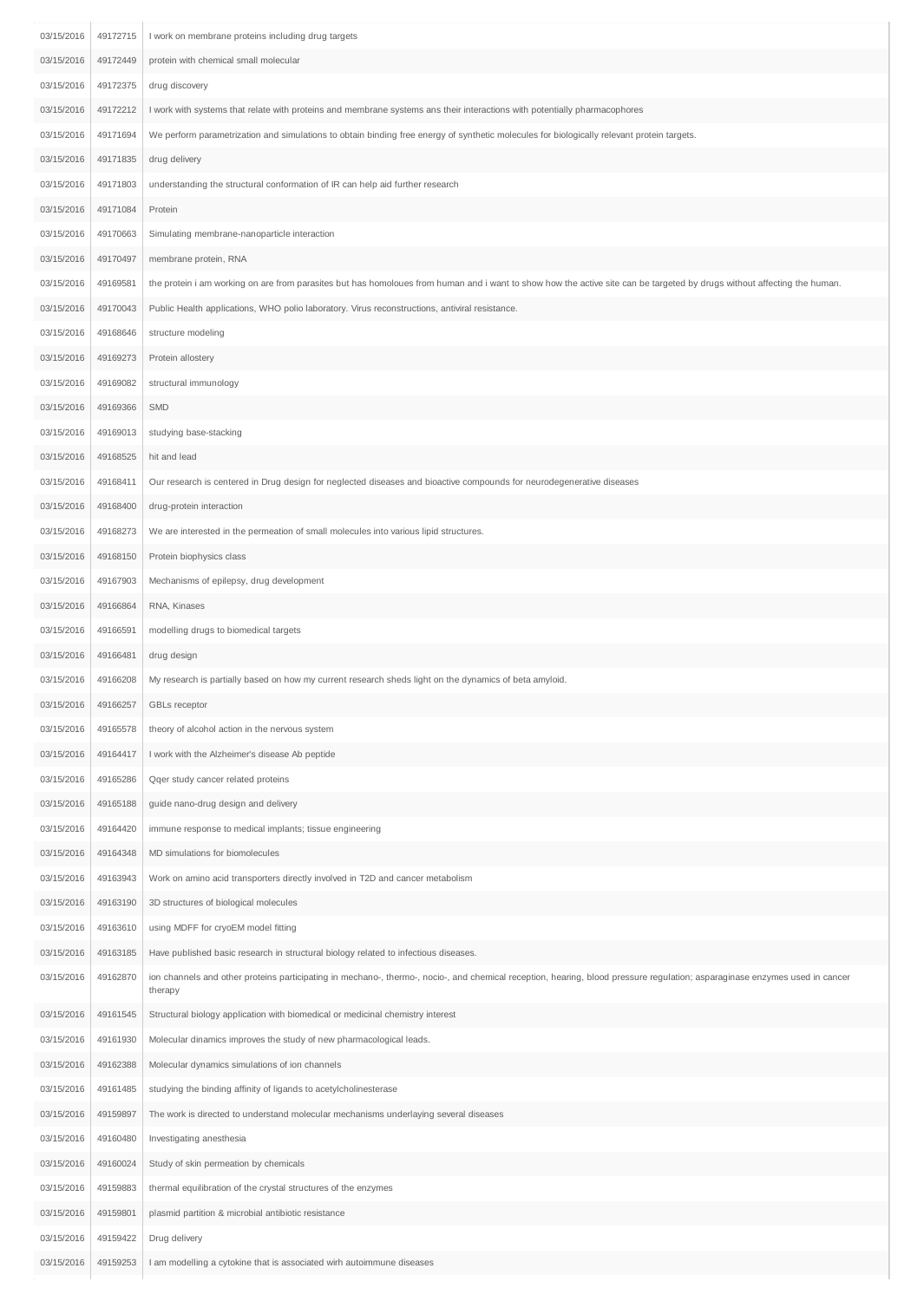| 03/15/2016 | 49172715 | I work on membrane proteins including drug targets                                                                                                                                     |
|------------|----------|----------------------------------------------------------------------------------------------------------------------------------------------------------------------------------------|
| 03/15/2016 | 49172449 | protein with chemical small molecular                                                                                                                                                  |
| 03/15/2016 | 49172375 | drug discovery                                                                                                                                                                         |
| 03/15/2016 | 49172212 | I work with systems that relate with proteins and membrane systems ans their interactions with potentially pharmacophores                                                              |
| 03/15/2016 | 49171694 | We perform parametrization and simulations to obtain binding free energy of synthetic molecules for biologically relevant protein targets.                                             |
| 03/15/2016 | 49171835 | drug delivery                                                                                                                                                                          |
| 03/15/2016 | 49171803 | understanding the structural conformation of IR can help aid further research                                                                                                          |
| 03/15/2016 | 49171084 | Protein                                                                                                                                                                                |
| 03/15/2016 | 49170663 | Simulating membrane-nanoparticle interaction                                                                                                                                           |
| 03/15/2016 | 49170497 | membrane protein, RNA                                                                                                                                                                  |
| 03/15/2016 | 49169581 | the protein i am working on are from parasites but has homoloues from human and i want to show how the active site can be targeted by drugs without affecting the human.               |
| 03/15/2016 | 49170043 | Public Health applications, WHO polio laboratory. Virus reconstructions, antiviral resistance.                                                                                         |
| 03/15/2016 | 49168646 | structure modeling                                                                                                                                                                     |
| 03/15/2016 | 49169273 | Protein allostery                                                                                                                                                                      |
| 03/15/2016 | 49169082 | structural immunology                                                                                                                                                                  |
| 03/15/2016 | 49169366 | SMD                                                                                                                                                                                    |
| 03/15/2016 | 49169013 | studying base-stacking                                                                                                                                                                 |
| 03/15/2016 | 49168525 | hit and lead                                                                                                                                                                           |
| 03/15/2016 | 49168411 | Our research is centered in Drug design for neglected diseases and bioactive compounds for neurodegenerative diseases                                                                  |
| 03/15/2016 | 49168400 | drug-protein interaction                                                                                                                                                               |
| 03/15/2016 | 49168273 | We are interested in the permeation of small molecules into various lipid structures.                                                                                                  |
| 03/15/2016 | 49168150 | Protein biophysics class                                                                                                                                                               |
| 03/15/2016 | 49167903 | Mechanisms of epilepsy, drug development                                                                                                                                               |
| 03/15/2016 | 49166864 | RNA, Kinases                                                                                                                                                                           |
| 03/15/2016 | 49166591 | modelling drugs to biomedical targets                                                                                                                                                  |
| 03/15/2016 | 49166481 | drug design                                                                                                                                                                            |
| 03/15/2016 | 49166208 | My research is partially based on how my current research sheds light on the dynamics of beta amyloid.                                                                                 |
| 03/15/2016 | 49166257 | GBLs receptor                                                                                                                                                                          |
| 03/15/2016 | 49165578 | theory of alcohol action in the nervous system                                                                                                                                         |
| 03/15/2016 | 49164417 | I work with the Alzheimer's disease Ab peptide                                                                                                                                         |
| 03/15/2016 | 49165286 | Qqer study cancer related proteins                                                                                                                                                     |
| 03/15/2016 | 49165188 | guide nano-drug design and delivery                                                                                                                                                    |
| 03/15/2016 | 49164420 | immune response to medical implants; tissue engineering                                                                                                                                |
| 03/15/2016 | 49164348 | MD simulations for biomolecules                                                                                                                                                        |
| 03/15/2016 | 49163943 | Work on amino acid transporters directly involved in T2D and cancer metabolism                                                                                                         |
| 03/15/2016 | 49163190 | 3D structures of biological molecules                                                                                                                                                  |
| 03/15/2016 | 49163610 | using MDFF for cryoEM model fitting                                                                                                                                                    |
| 03/15/2016 | 49163185 | Have published basic research in structural biology related to infectious diseases.                                                                                                    |
| 03/15/2016 | 49162870 | ion channels and other proteins participating in mechano-, thermo-, nocio-, and chemical reception, hearing, blood pressure regulation; asparaginase enzymes used in cancer<br>therapy |
| 03/15/2016 | 49161545 | Structural biology application with biomedical or medicinal chemistry interest                                                                                                         |
| 03/15/2016 | 49161930 | Molecular dinamics improves the study of new pharmacological leads.                                                                                                                    |
| 03/15/2016 | 49162388 | Molecular dynamics simulations of ion channels                                                                                                                                         |
| 03/15/2016 | 49161485 | studying the binding affinity of ligands to acetylcholinesterase                                                                                                                       |
| 03/15/2016 | 49159897 | The work is directed to understand molecular mechanisms underlaying several diseases                                                                                                   |
| 03/15/2016 | 49160480 | Investigating anesthesia                                                                                                                                                               |
| 03/15/2016 | 49160024 | Study of skin permeation by chemicals                                                                                                                                                  |
| 03/15/2016 | 49159883 | thermal equilibration of the crystal structures of the enzymes                                                                                                                         |
| 03/15/2016 | 49159801 | plasmid partition & microbial antibiotic resistance                                                                                                                                    |
| 03/15/2016 | 49159422 | Drug delivery                                                                                                                                                                          |
| 03/15/2016 | 49159253 | I am modelling a cytokine that is associated wirh autoimmune diseases                                                                                                                  |
|            |          |                                                                                                                                                                                        |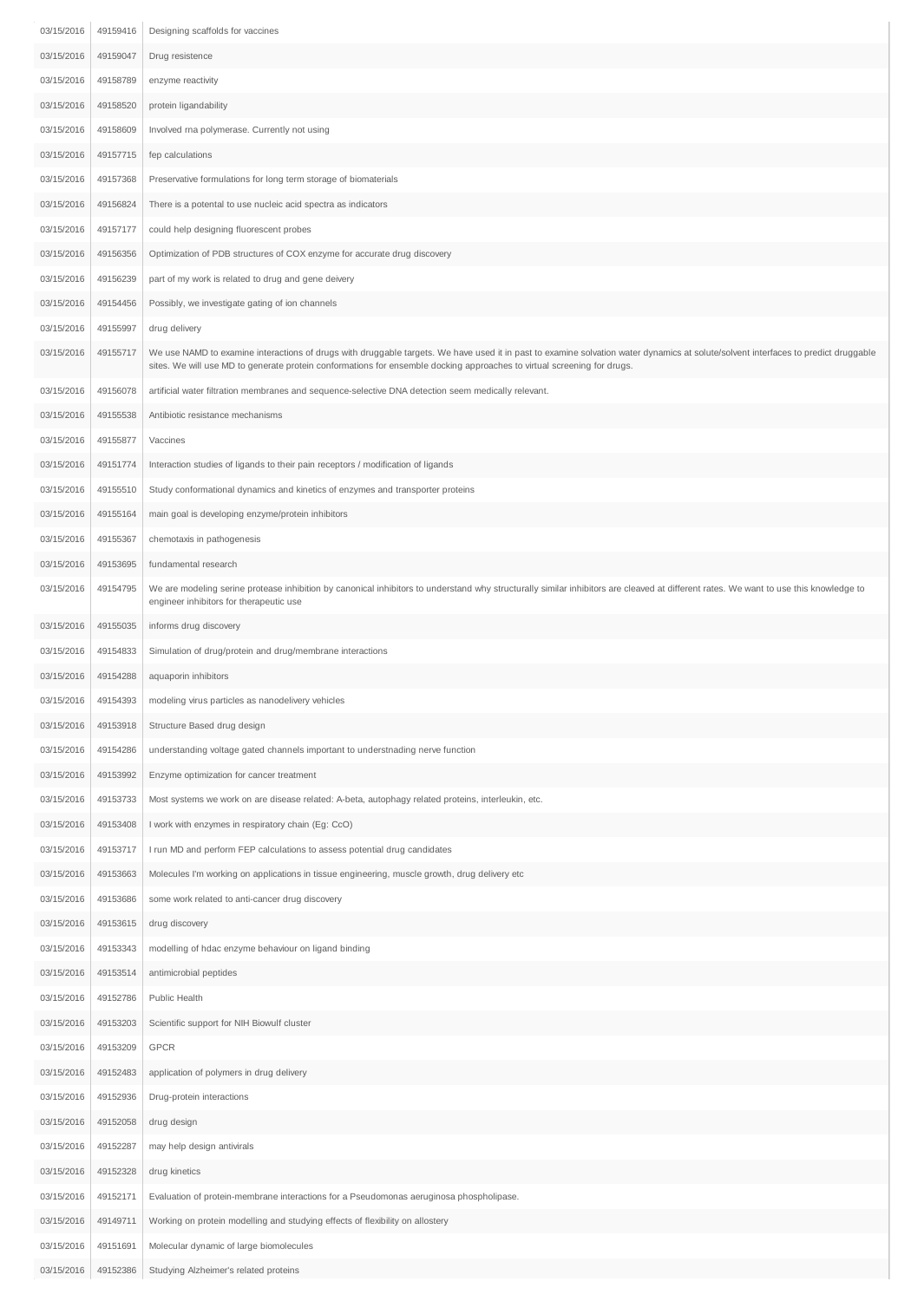| 03/15/2016 | 49159416 | Designing scaffolds for vaccines                                                                                                                                                                                                                                                                              |
|------------|----------|---------------------------------------------------------------------------------------------------------------------------------------------------------------------------------------------------------------------------------------------------------------------------------------------------------------|
| 03/15/2016 | 49159047 | Drug resistence                                                                                                                                                                                                                                                                                               |
| 03/15/2016 | 49158789 | enzyme reactivity                                                                                                                                                                                                                                                                                             |
| 03/15/2016 | 49158520 | protein ligandability                                                                                                                                                                                                                                                                                         |
| 03/15/2016 | 49158609 | Involved rna polymerase. Currently not using                                                                                                                                                                                                                                                                  |
| 03/15/2016 | 49157715 | fep calculations                                                                                                                                                                                                                                                                                              |
| 03/15/2016 | 49157368 | Preservative formulations for long term storage of biomaterials                                                                                                                                                                                                                                               |
| 03/15/2016 | 49156824 | There is a potental to use nucleic acid spectra as indicators                                                                                                                                                                                                                                                 |
| 03/15/2016 | 49157177 | could help designing fluorescent probes                                                                                                                                                                                                                                                                       |
| 03/15/2016 | 49156356 | Optimization of PDB structures of COX enzyme for accurate drug discovery                                                                                                                                                                                                                                      |
| 03/15/2016 | 49156239 | part of my work is related to drug and gene deivery                                                                                                                                                                                                                                                           |
| 03/15/2016 | 49154456 | Possibly, we investigate gating of ion channels                                                                                                                                                                                                                                                               |
| 03/15/2016 | 49155997 | drug delivery                                                                                                                                                                                                                                                                                                 |
| 03/15/2016 | 49155717 | We use NAMD to examine interactions of drugs with druggable targets. We have used it in past to examine solvation water dynamics at solute/solvent interfaces to predict druggable<br>sites. We will use MD to generate protein conformations for ensemble docking approaches to virtual screening for drugs. |
| 03/15/2016 | 49156078 | artificial water filtration membranes and sequence-selective DNA detection seem medically relevant.                                                                                                                                                                                                           |
| 03/15/2016 | 49155538 | Antibiotic resistance mechanisms                                                                                                                                                                                                                                                                              |
| 03/15/2016 | 49155877 | Vaccines                                                                                                                                                                                                                                                                                                      |
| 03/15/2016 | 49151774 | Interaction studies of ligands to their pain receptors / modification of ligands                                                                                                                                                                                                                              |
| 03/15/2016 | 49155510 | Study conformational dynamics and kinetics of enzymes and transporter proteins                                                                                                                                                                                                                                |
| 03/15/2016 | 49155164 | main goal is developing enzyme/protein inhibitors                                                                                                                                                                                                                                                             |
| 03/15/2016 | 49155367 | chemotaxis in pathogenesis                                                                                                                                                                                                                                                                                    |
| 03/15/2016 | 49153695 | fundamental research                                                                                                                                                                                                                                                                                          |
| 03/15/2016 | 49154795 | We are modeling serine protease inhibition by canonical inhibitors to understand why structurally similar inhibitors are cleaved at different rates. We want to use this knowledge to<br>engineer inhibitors for therapeutic use                                                                              |
| 03/15/2016 | 49155035 | informs drug discovery                                                                                                                                                                                                                                                                                        |
| 03/15/2016 | 49154833 | Simulation of drug/protein and drug/membrane interactions                                                                                                                                                                                                                                                     |
| 03/15/2016 | 49154288 | aquaporin inhibitors                                                                                                                                                                                                                                                                                          |
| 03/15/2016 | 49154393 | modeling virus particles as nanodelivery vehicles                                                                                                                                                                                                                                                             |
| 03/15/2016 | 49153918 | Structure Based drug design                                                                                                                                                                                                                                                                                   |
| 03/15/2016 | 49154286 | understanding voltage gated channels important to understnading nerve function                                                                                                                                                                                                                                |
| 03/15/2016 | 49153992 | Enzyme optimization for cancer treatment                                                                                                                                                                                                                                                                      |
| 03/15/2016 | 49153733 | Most systems we work on are disease related: A-beta, autophagy related proteins, interleukin, etc.                                                                                                                                                                                                            |
| 03/15/2016 | 49153408 | I work with enzymes in respiratory chain (Eg: CcO)                                                                                                                                                                                                                                                            |
| 03/15/2016 | 49153717 | I run MD and perform FEP calculations to assess potential drug candidates                                                                                                                                                                                                                                     |
| 03/15/2016 | 49153663 | Molecules I'm working on applications in tissue engineering, muscle growth, drug delivery etc                                                                                                                                                                                                                 |
| 03/15/2016 | 49153686 | some work related to anti-cancer drug discovery                                                                                                                                                                                                                                                               |
| 03/15/2016 | 49153615 | drug discovery                                                                                                                                                                                                                                                                                                |
| 03/15/2016 | 49153343 | modelling of hdac enzyme behaviour on ligand binding                                                                                                                                                                                                                                                          |
| 03/15/2016 | 49153514 | antimicrobial peptides                                                                                                                                                                                                                                                                                        |
| 03/15/2016 | 49152786 | Public Health                                                                                                                                                                                                                                                                                                 |
| 03/15/2016 | 49153203 | Scientific support for NIH Biowulf cluster                                                                                                                                                                                                                                                                    |
| 03/15/2016 | 49153209 | GPCR                                                                                                                                                                                                                                                                                                          |
| 03/15/2016 | 49152483 | application of polymers in drug delivery                                                                                                                                                                                                                                                                      |
| 03/15/2016 | 49152936 | Drug-protein interactions                                                                                                                                                                                                                                                                                     |
| 03/15/2016 | 49152058 | drug design                                                                                                                                                                                                                                                                                                   |
| 03/15/2016 | 49152287 | may help design antivirals                                                                                                                                                                                                                                                                                    |
| 03/15/2016 | 49152328 | drug kinetics                                                                                                                                                                                                                                                                                                 |
| 03/15/2016 | 49152171 | Evaluation of protein-membrane interactions for a Pseudomonas aeruginosa phospholipase.                                                                                                                                                                                                                       |
| 03/15/2016 | 49149711 | Working on protein modelling and studying effects of flexibility on allostery                                                                                                                                                                                                                                 |
| 03/15/2016 | 49151691 | Molecular dynamic of large biomolecules                                                                                                                                                                                                                                                                       |
| 03/15/2016 | 49152386 | Studying Alzheimer's related proteins                                                                                                                                                                                                                                                                         |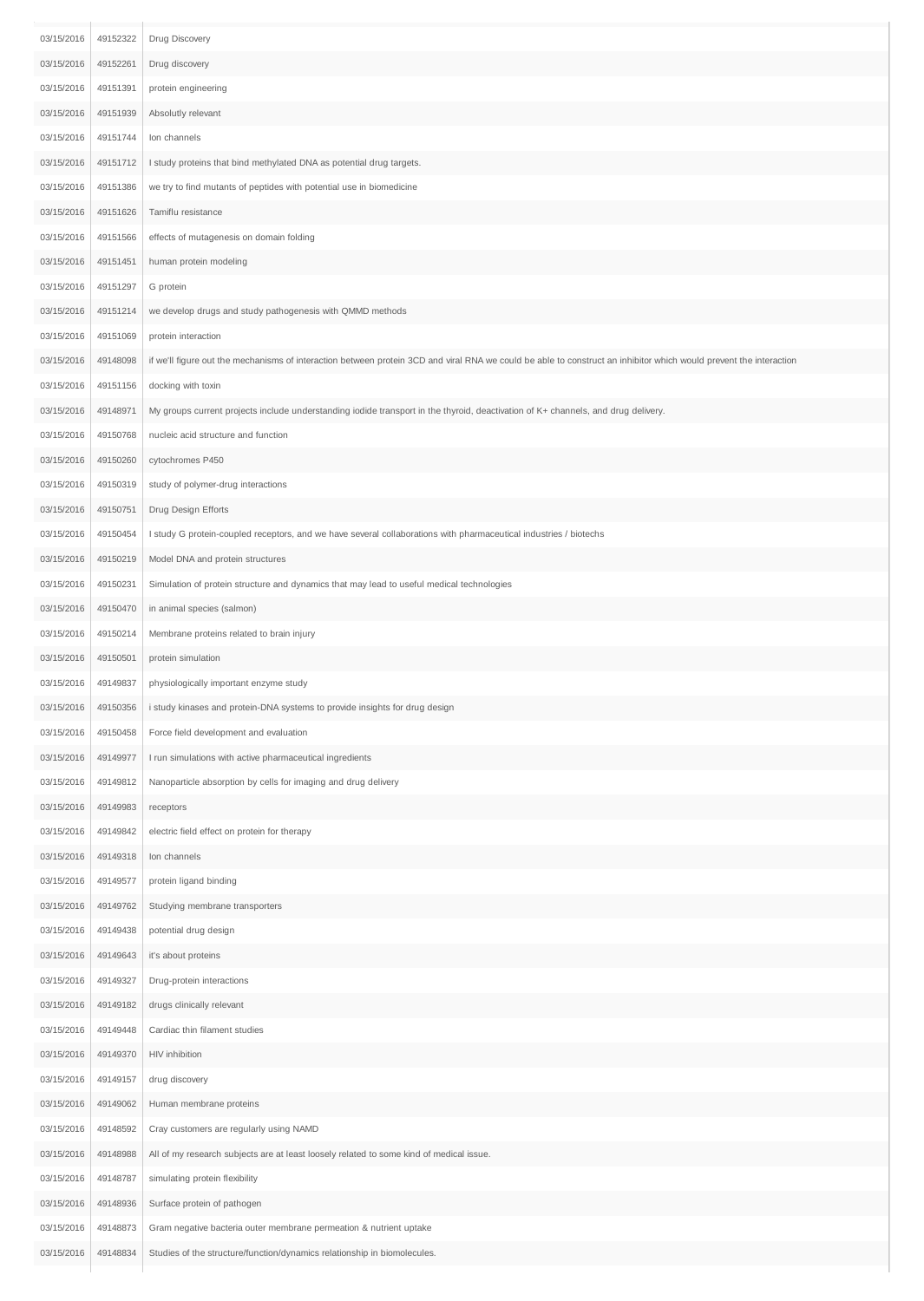| 03/15/2016 | 49152322 | Drug Discovery                                                                                                                                                     |
|------------|----------|--------------------------------------------------------------------------------------------------------------------------------------------------------------------|
| 03/15/2016 | 49152261 | Drug discovery                                                                                                                                                     |
| 03/15/2016 | 49151391 | protein engineering                                                                                                                                                |
| 03/15/2016 | 49151939 | Absolutly relevant                                                                                                                                                 |
| 03/15/2016 | 49151744 | Ion channels                                                                                                                                                       |
| 03/15/2016 | 49151712 | I study proteins that bind methylated DNA as potential drug targets.                                                                                               |
| 03/15/2016 | 49151386 | we try to find mutants of peptides with potential use in biomedicine                                                                                               |
| 03/15/2016 | 49151626 | Tamiflu resistance                                                                                                                                                 |
| 03/15/2016 | 49151566 | effects of mutagenesis on domain folding                                                                                                                           |
| 03/15/2016 | 49151451 | human protein modeling                                                                                                                                             |
| 03/15/2016 | 49151297 | G protein                                                                                                                                                          |
| 03/15/2016 | 49151214 | we develop drugs and study pathogenesis with QMMD methods                                                                                                          |
| 03/15/2016 | 49151069 | protein interaction                                                                                                                                                |
| 03/15/2016 | 49148098 | if we'll figure out the mechanisms of interaction between protein 3CD and viral RNA we could be able to construct an inhibitor which would prevent the interaction |
| 03/15/2016 | 49151156 | docking with toxin                                                                                                                                                 |
| 03/15/2016 | 49148971 | My groups current projects include understanding iodide transport in the thyroid, deactivation of K+ channels, and drug delivery.                                  |
| 03/15/2016 | 49150768 | nucleic acid structure and function                                                                                                                                |
| 03/15/2016 | 49150260 | cytochromes P450                                                                                                                                                   |
| 03/15/2016 | 49150319 | study of polymer-drug interactions                                                                                                                                 |
| 03/15/2016 | 49150751 | Drug Design Efforts                                                                                                                                                |
| 03/15/2016 | 49150454 | I study G protein-coupled receptors, and we have several collaborations with pharmaceutical industries / biotechs                                                  |
| 03/15/2016 | 49150219 | Model DNA and protein structures                                                                                                                                   |
| 03/15/2016 | 49150231 | Simulation of protein structure and dynamics that may lead to useful medical technologies                                                                          |
| 03/15/2016 | 49150470 | in animal species (salmon)                                                                                                                                         |
| 03/15/2016 | 49150214 | Membrane proteins related to brain injury                                                                                                                          |
| 03/15/2016 | 49150501 | protein simulation                                                                                                                                                 |
| 03/15/2016 | 49149837 | physiologically important enzyme study                                                                                                                             |
| 03/15/2016 | 49150356 | i study kinases and protein-DNA systems to provide insights for drug design                                                                                        |
| 03/15/2016 | 49150458 | Force field development and evaluation                                                                                                                             |
| 03/15/2016 | 49149977 | I run simulations with active pharmaceutical ingredients                                                                                                           |
| 03/15/2016 | 49149812 | Nanoparticle absorption by cells for imaging and drug delivery                                                                                                     |
| 03/15/2016 | 49149983 | receptors                                                                                                                                                          |
| 03/15/2016 | 49149842 | electric field effect on protein for therapy                                                                                                                       |
| 03/15/2016 | 49149318 | Ion channels                                                                                                                                                       |
| 03/15/2016 | 49149577 | protein ligand binding                                                                                                                                             |
| 03/15/2016 | 49149762 | Studying membrane transporters                                                                                                                                     |
| 03/15/2016 | 49149438 | potential drug design                                                                                                                                              |
| 03/15/2016 | 49149643 | it's about proteins                                                                                                                                                |
| 03/15/2016 | 49149327 | Drug-protein interactions                                                                                                                                          |
| 03/15/2016 | 49149182 | drugs clinically relevant                                                                                                                                          |
| 03/15/2016 | 49149448 | Cardiac thin filament studies                                                                                                                                      |
| 03/15/2016 | 49149370 | HIV inhibition                                                                                                                                                     |
| 03/15/2016 | 49149157 | drug discovery                                                                                                                                                     |
| 03/15/2016 | 49149062 | Human membrane proteins                                                                                                                                            |
| 03/15/2016 | 49148592 | Cray customers are regularly using NAMD                                                                                                                            |
| 03/15/2016 | 49148988 | All of my research subjects are at least loosely related to some kind of medical issue.                                                                            |
| 03/15/2016 | 49148787 | simulating protein flexibility                                                                                                                                     |
| 03/15/2016 | 49148936 | Surface protein of pathogen                                                                                                                                        |
| 03/15/2016 | 49148873 | Gram negative bacteria outer membrane permeation & nutrient uptake                                                                                                 |
| 03/15/2016 | 49148834 | Studies of the structure/function/dynamics relationship in biomolecules.                                                                                           |
|            |          |                                                                                                                                                                    |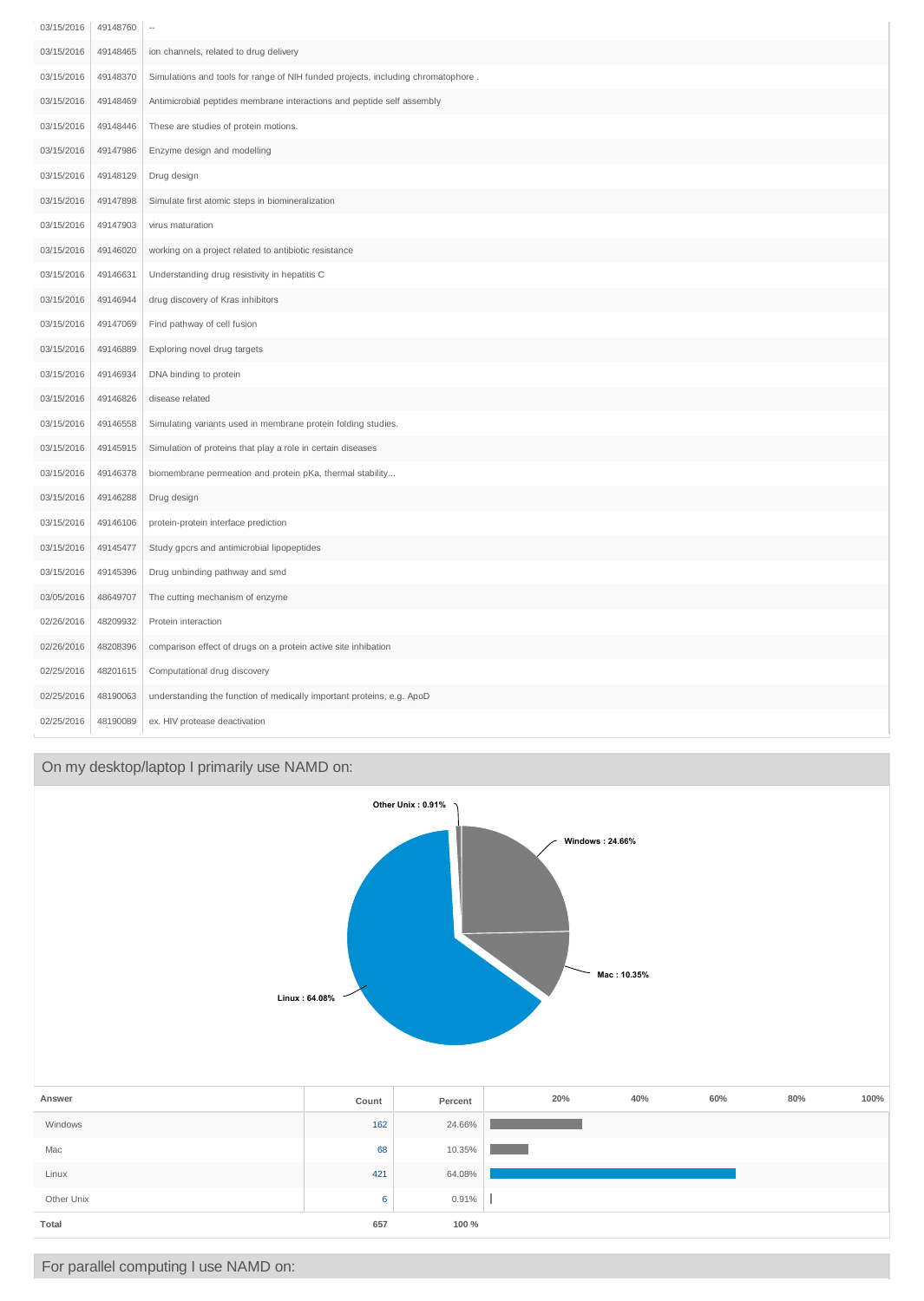| 03/15/2016 | 49148760 | $\cdots$                                                                         |
|------------|----------|----------------------------------------------------------------------------------|
| 03/15/2016 | 49148465 | ion channels, related to drug delivery                                           |
| 03/15/2016 | 49148370 | Simulations and tools for range of NIH funded projects, including chromatophore. |
| 03/15/2016 | 49148469 | Antimicrobial peptides membrane interactions and peptide self assembly           |
| 03/15/2016 | 49148446 | These are studies of protein motions.                                            |
| 03/15/2016 | 49147986 | Enzyme design and modelling                                                      |
| 03/15/2016 | 49148129 | Drug design                                                                      |
| 03/15/2016 | 49147898 | Simulate first atomic steps in biomineralization                                 |
| 03/15/2016 | 49147903 | virus maturation                                                                 |
| 03/15/2016 | 49146020 | working on a project related to antibiotic resistance                            |
| 03/15/2016 | 49146631 | Understanding drug resistivity in hepatitis C                                    |
| 03/15/2016 | 49146944 | drug discovery of Kras inhibitors                                                |
| 03/15/2016 | 49147069 | Find pathway of cell fusion                                                      |
| 03/15/2016 | 49146889 | Exploring novel drug targets                                                     |
| 03/15/2016 | 49146934 | DNA binding to protein                                                           |
| 03/15/2016 | 49146826 | disease related                                                                  |
| 03/15/2016 | 49146558 | Simulating variants used in membrane protein folding studies.                    |
| 03/15/2016 | 49145915 | Simulation of proteins that play a role in certain diseases                      |
| 03/15/2016 | 49146378 | biomembrane permeation and protein pKa, thermal stability                        |
| 03/15/2016 | 49146288 | Drug design                                                                      |
| 03/15/2016 | 49146106 | protein-protein interface prediction                                             |
| 03/15/2016 | 49145477 | Study gpcrs and antimicrobial lipopeptides                                       |
| 03/15/2016 | 49145396 | Drug unbinding pathway and smd                                                   |
| 03/05/2016 | 48649707 | The cutting mechanism of enzyme                                                  |
| 02/26/2016 | 48209932 | Protein interaction                                                              |
| 02/26/2016 | 48208396 | comparison effect of drugs on a protein active site inhibation                   |
| 02/25/2016 | 48201615 | Computational drug discovery                                                     |
| 02/25/2016 | 48190063 | understanding the function of medically important proteins, e.g. ApoD            |
| 02/25/2016 | 48190089 | ex. HIV protease deactivation                                                    |

# On my desktop/laptop I primarily use NAMD on:

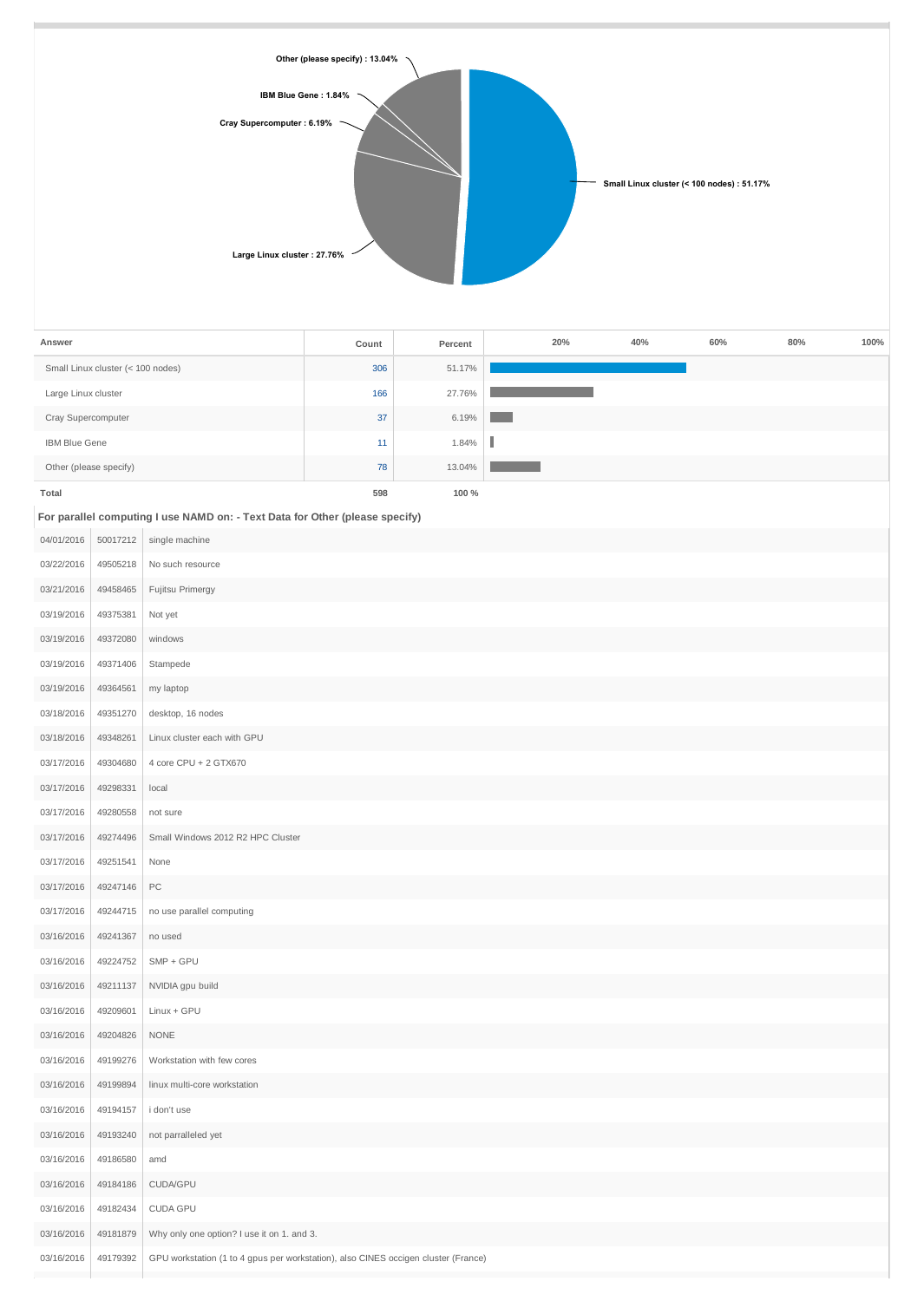

| Answer                            | Count | Percent | 20% | 40% | 60% | 80% | 100% |
|-----------------------------------|-------|---------|-----|-----|-----|-----|------|
| Small Linux cluster (< 100 nodes) | 306   | 51.17%  |     |     |     |     |      |
| Large Linux cluster               | 166   | 27.76%  |     |     |     |     |      |
| Cray Supercomputer                | 37    | 6.19%   |     |     |     |     |      |
| <b>IBM Blue Gene</b>              | 11    | 1.84%   |     |     |     |     |      |
| Other (please specify)            | 78    | 13.04%  |     |     |     |     |      |
| Total                             | 598   | 100 %   |     |     |     |     |      |

**For parallel computing I use NAMD on: - Text Data for Other (please specify)**

| 04/01/2016 | 50017212 | single machine                                                                     |
|------------|----------|------------------------------------------------------------------------------------|
| 03/22/2016 | 49505218 | No such resource                                                                   |
| 03/21/2016 | 49458465 | Fujitsu Primergy                                                                   |
| 03/19/2016 | 49375381 | Not yet                                                                            |
| 03/19/2016 | 49372080 | windows                                                                            |
| 03/19/2016 | 49371406 | Stampede                                                                           |
| 03/19/2016 | 49364561 | my laptop                                                                          |
| 03/18/2016 | 49351270 | desktop, 16 nodes                                                                  |
| 03/18/2016 | 49348261 | Linux cluster each with GPU                                                        |
| 03/17/2016 | 49304680 | 4 core CPU + 2 GTX670                                                              |
| 03/17/2016 | 49298331 | local                                                                              |
| 03/17/2016 | 49280558 | not sure                                                                           |
| 03/17/2016 | 49274496 | Small Windows 2012 R2 HPC Cluster                                                  |
| 03/17/2016 | 49251541 | None                                                                               |
| 03/17/2016 | 49247146 | $PC\,$                                                                             |
| 03/17/2016 | 49244715 | no use parallel computing                                                          |
| 03/16/2016 | 49241367 | no used                                                                            |
| 03/16/2016 | 49224752 | $SMP + GPU$                                                                        |
| 03/16/2016 | 49211137 | NVIDIA gpu build                                                                   |
| 03/16/2016 | 49209601 | Linux + GPU                                                                        |
| 03/16/2016 | 49204826 | <b>NONE</b>                                                                        |
| 03/16/2016 | 49199276 | Workstation with few cores                                                         |
| 03/16/2016 | 49199894 | linux multi-core workstation                                                       |
| 03/16/2016 | 49194157 | i don't use                                                                        |
| 03/16/2016 | 49193240 | not parralleled yet                                                                |
| 03/16/2016 | 49186580 | amd                                                                                |
| 03/16/2016 | 49184186 | CUDA/GPU                                                                           |
| 03/16/2016 | 49182434 | CUDA GPU                                                                           |
| 03/16/2016 | 49181879 | Why only one option? I use it on 1. and 3.                                         |
| 03/16/2016 | 49179392 | GPU workstation (1 to 4 gpus per workstation), also CINES occigen cluster (France) |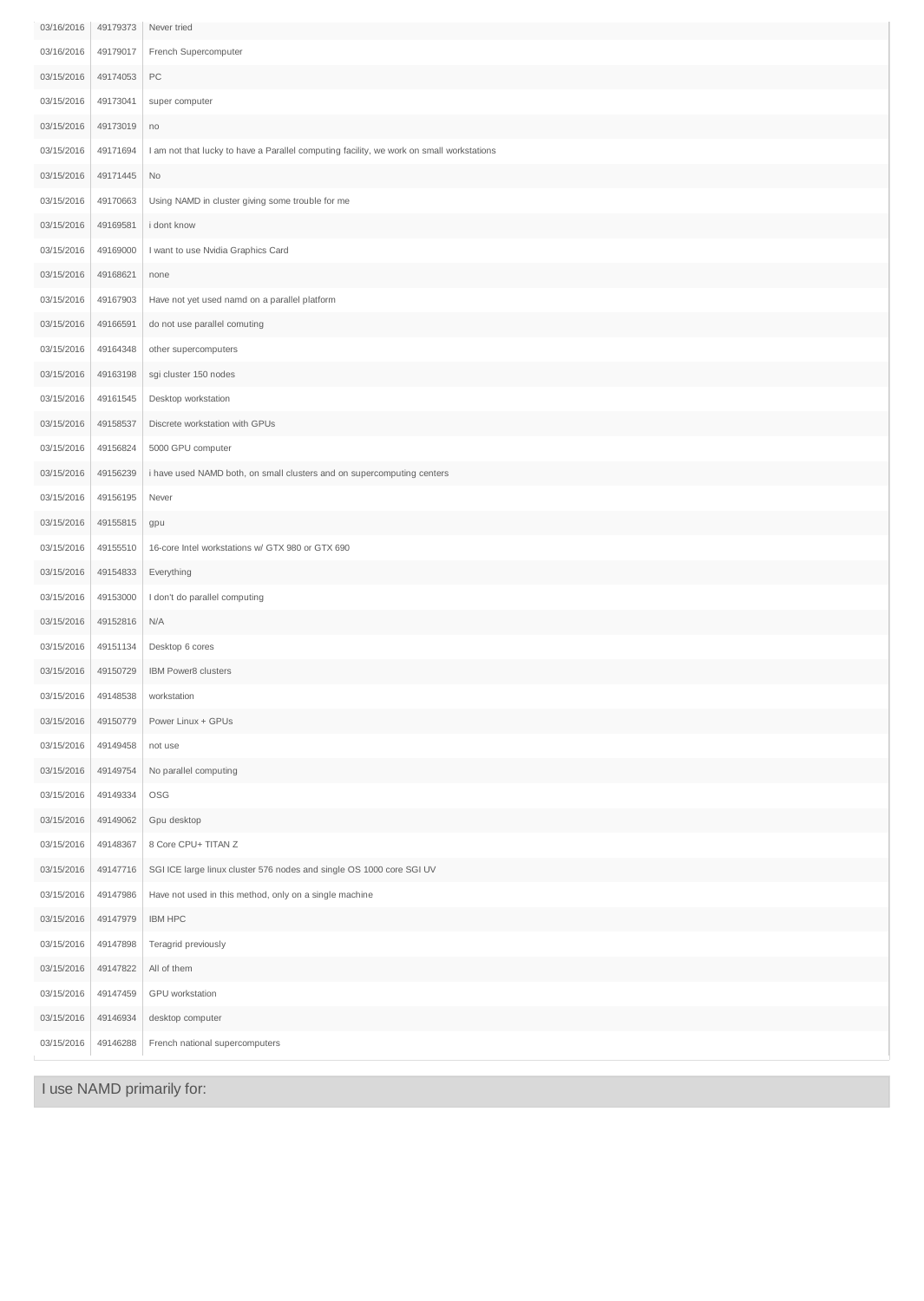| 03/16/2016 | 49179373 | Never tried                                                                              |
|------------|----------|------------------------------------------------------------------------------------------|
| 03/16/2016 | 49179017 | French Supercomputer                                                                     |
| 03/15/2016 | 49174053 | PC                                                                                       |
| 03/15/2016 | 49173041 | super computer                                                                           |
| 03/15/2016 | 49173019 | no                                                                                       |
| 03/15/2016 | 49171694 | I am not that lucky to have a Parallel computing facility, we work on small workstations |
| 03/15/2016 | 49171445 | $\rm No$                                                                                 |
| 03/15/2016 | 49170663 | Using NAMD in cluster giving some trouble for me                                         |
| 03/15/2016 | 49169581 | i dont know                                                                              |
| 03/15/2016 | 49169000 | I want to use Nvidia Graphics Card                                                       |
| 03/15/2016 | 49168621 | none                                                                                     |
| 03/15/2016 | 49167903 | Have not yet used namd on a parallel platform                                            |
| 03/15/2016 | 49166591 | do not use parallel comuting                                                             |
| 03/15/2016 | 49164348 | other supercomputers                                                                     |
| 03/15/2016 | 49163198 | sgi cluster 150 nodes                                                                    |
| 03/15/2016 | 49161545 | Desktop workstation                                                                      |
| 03/15/2016 | 49158537 | Discrete workstation with GPUs                                                           |
| 03/15/2016 | 49156824 | 5000 GPU computer                                                                        |
| 03/15/2016 | 49156239 | i have used NAMD both, on small clusters and on supercomputing centers                   |
| 03/15/2016 | 49156195 | Never                                                                                    |
| 03/15/2016 | 49155815 | gpu                                                                                      |
| 03/15/2016 | 49155510 | 16-core Intel workstations w/ GTX 980 or GTX 690                                         |
| 03/15/2016 | 49154833 | Everything                                                                               |
| 03/15/2016 | 49153000 | I don't do parallel computing                                                            |
| 03/15/2016 | 49152816 | N/A                                                                                      |
| 03/15/2016 | 49151134 | Desktop 6 cores                                                                          |
| 03/15/2016 | 49150729 | IBM Power8 clusters                                                                      |
| 03/15/2016 | 49148538 | workstation                                                                              |
| 03/15/2016 | 49150779 | Power Linux + GPUs                                                                       |
| 03/15/2016 | 49149458 | not use                                                                                  |
| 03/15/2016 | 49149754 | No parallel computing                                                                    |
| 03/15/2016 | 49149334 | OSG                                                                                      |
| 03/15/2016 | 49149062 | Gpu desktop                                                                              |
| 03/15/2016 | 49148367 | 8 Core CPU+ TITAN Z                                                                      |
| 03/15/2016 | 49147716 | SGI ICE large linux cluster 576 nodes and single OS 1000 core SGI UV                     |
| 03/15/2016 | 49147986 | Have not used in this method, only on a single machine                                   |
| 03/15/2016 | 49147979 | <b>IBM HPC</b>                                                                           |
| 03/15/2016 | 49147898 | Teragrid previously                                                                      |
| 03/15/2016 | 49147822 | All of them                                                                              |
| 03/15/2016 | 49147459 | GPU workstation                                                                          |
| 03/15/2016 | 49146934 | desktop computer                                                                         |
| 03/15/2016 | 49146288 | French national supercomputers                                                           |

I use NAMD primarily for: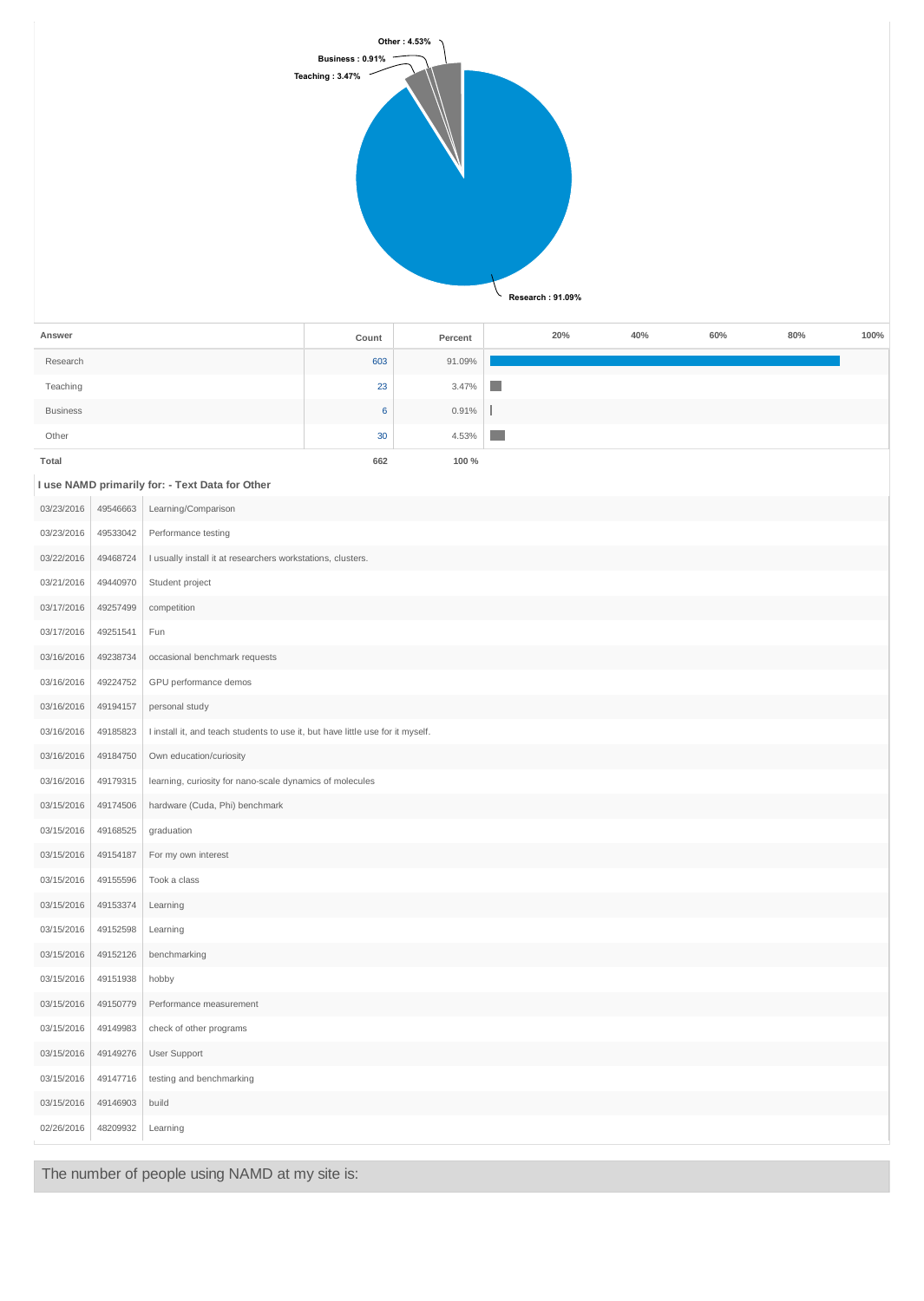

| Answer          | Count | Percent | 20% | 40% | 60% | 80% | 100% |
|-----------------|-------|---------|-----|-----|-----|-----|------|
| Research        | 603   | 91.09%  |     |     |     |     |      |
| Teaching        | 23    | 3.47%   | n.  |     |     |     |      |
| <b>Business</b> | 6     | 0.91%   |     |     |     |     |      |
| Other           | 30    | 4.53%   | n.  |     |     |     |      |
| Total           | 662   | 100 %   |     |     |     |     |      |
|                 |       |         |     |     |     |     |      |

#### **I use NAMD primarily for: - Text Data for Other**

|            |          | I use NAMD primarily for: - Text Data for Other                                |
|------------|----------|--------------------------------------------------------------------------------|
| 03/23/2016 | 49546663 | Learning/Comparison                                                            |
| 03/23/2016 | 49533042 | Performance testing                                                            |
| 03/22/2016 | 49468724 | I usually install it at researchers workstations, clusters.                    |
| 03/21/2016 | 49440970 | Student project                                                                |
| 03/17/2016 | 49257499 | competition                                                                    |
| 03/17/2016 | 49251541 | Fun                                                                            |
| 03/16/2016 | 49238734 | occasional benchmark requests                                                  |
| 03/16/2016 | 49224752 | GPU performance demos                                                          |
| 03/16/2016 | 49194157 | personal study                                                                 |
| 03/16/2016 | 49185823 | I install it, and teach students to use it, but have little use for it myself. |
| 03/16/2016 | 49184750 | Own education/curiosity                                                        |
| 03/16/2016 | 49179315 | learning, curiosity for nano-scale dynamics of molecules                       |
| 03/15/2016 | 49174506 | hardware (Cuda, Phi) benchmark                                                 |
| 03/15/2016 | 49168525 | graduation                                                                     |
| 03/15/2016 | 49154187 | For my own interest                                                            |
| 03/15/2016 | 49155596 | Took a class                                                                   |
| 03/15/2016 | 49153374 | Learning                                                                       |
| 03/15/2016 | 49152598 | Learning                                                                       |
| 03/15/2016 | 49152126 | benchmarking                                                                   |
| 03/15/2016 | 49151938 | hobby                                                                          |
| 03/15/2016 | 49150779 | Performance measurement                                                        |
| 03/15/2016 | 49149983 | check of other programs                                                        |
| 03/15/2016 | 49149276 | User Support                                                                   |
| 03/15/2016 | 49147716 | testing and benchmarking                                                       |
| 03/15/2016 | 49146903 | build                                                                          |
| 02/26/2016 | 48209932 | Learning                                                                       |
|            |          |                                                                                |

The number of people using NAMD at my site is: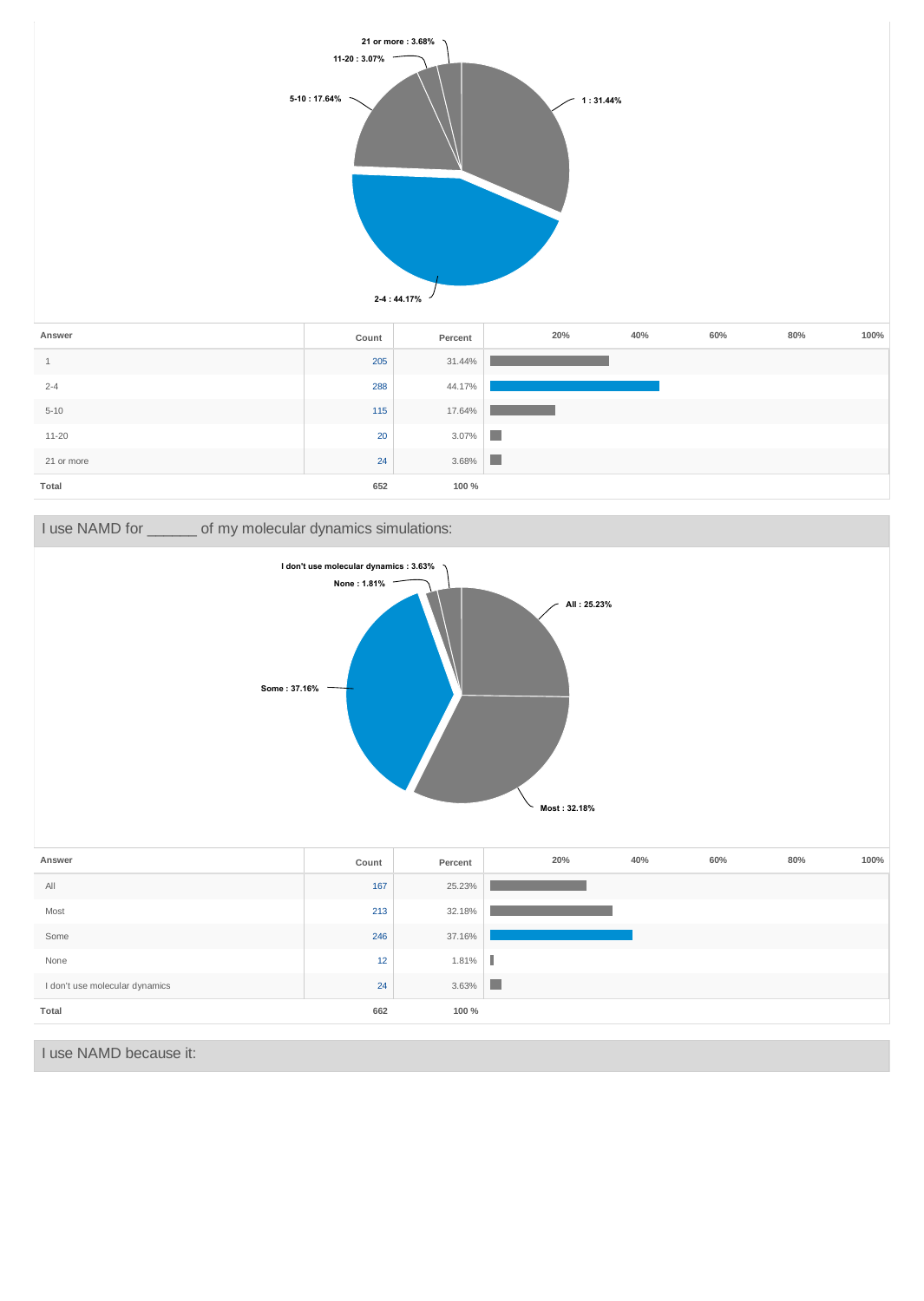





I use NAMD because it: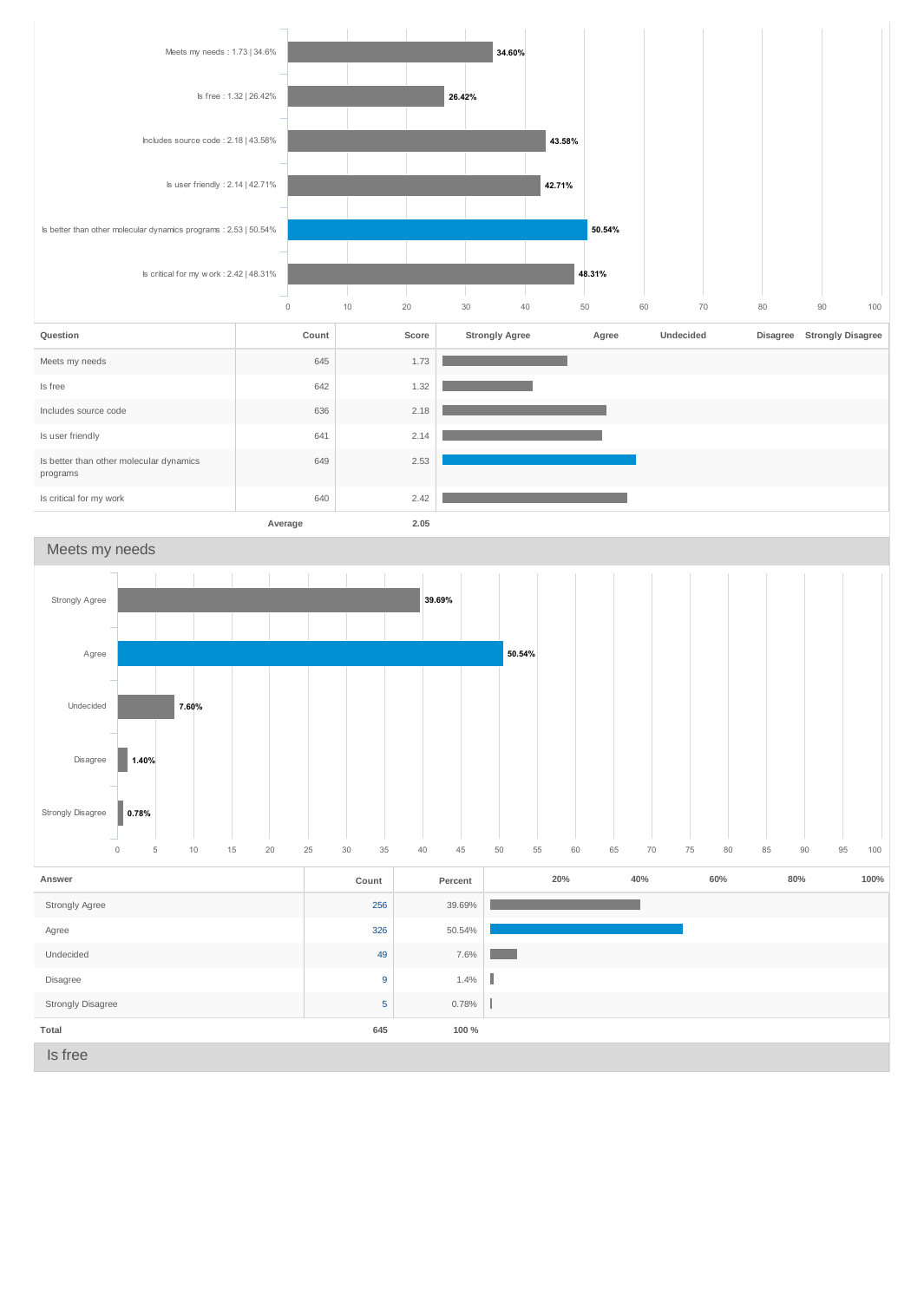

### Meets my needs

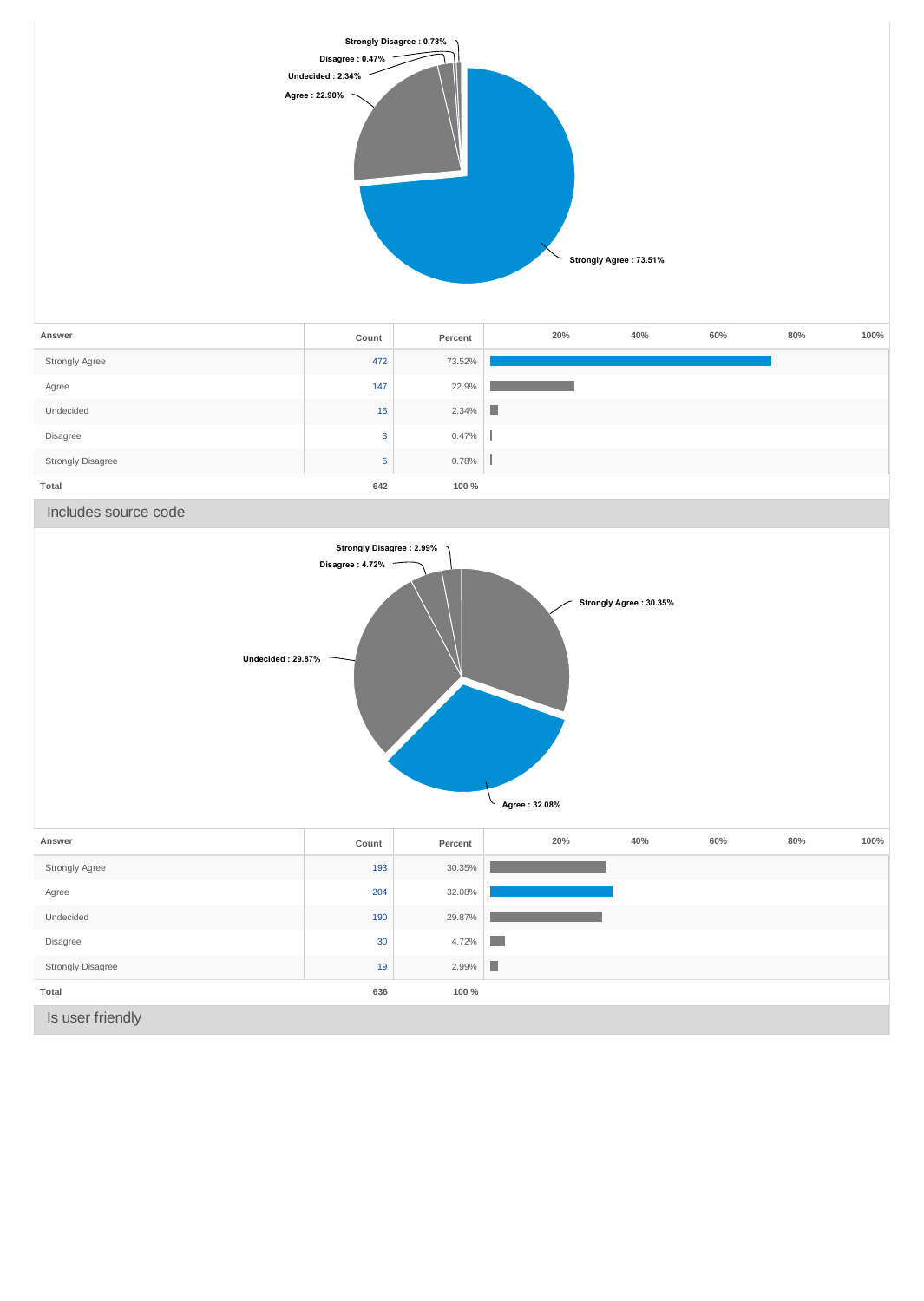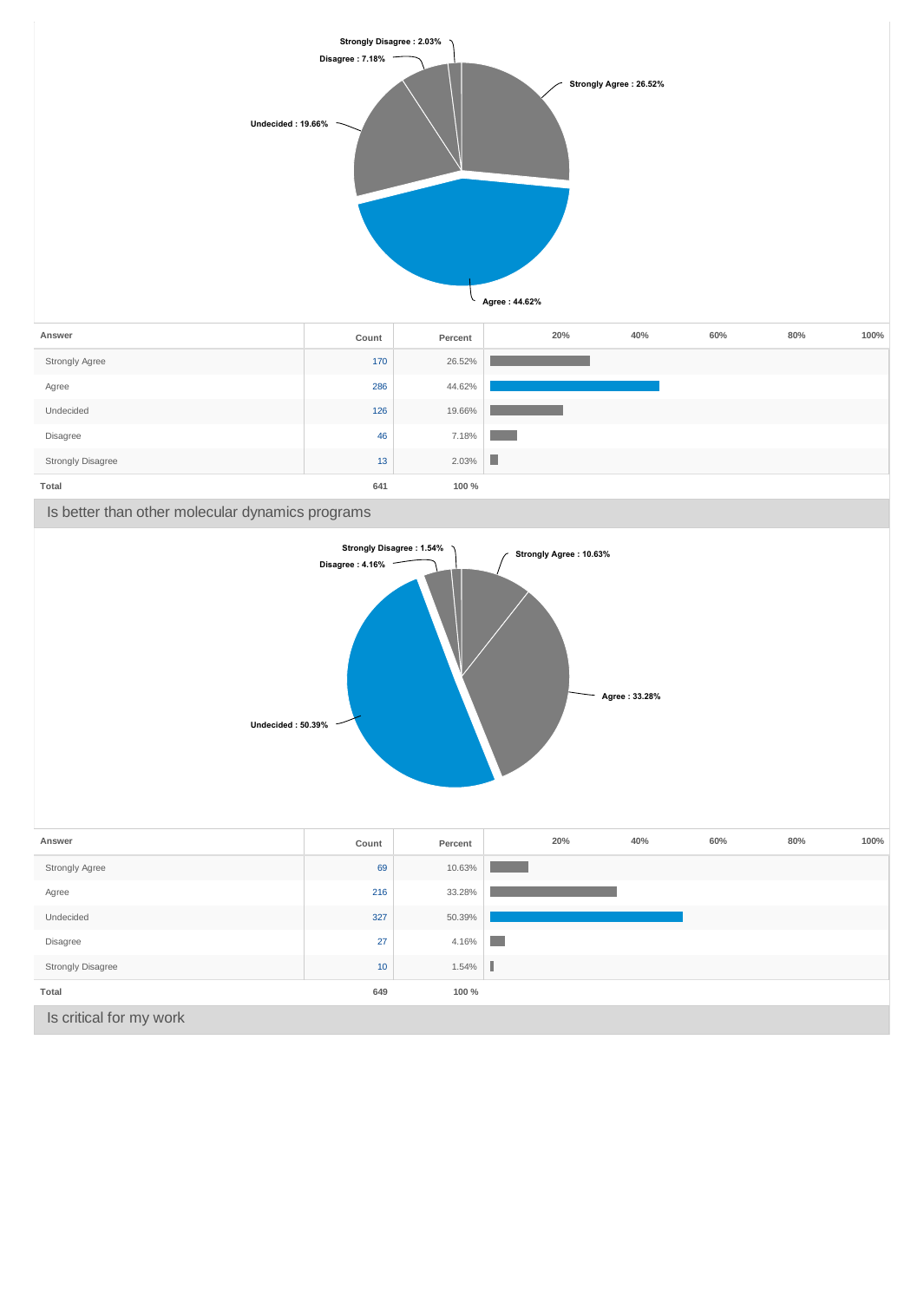

**Total 641 100 %**

Is better than other molecular dynamics programs

Strongly Disagree 2.03%



| Answer                   | Count | Percent | 20% | 40% | 60% | 80% | 100% |
|--------------------------|-------|---------|-----|-----|-----|-----|------|
| Strongly Agree           | 69    | 10.63%  |     |     |     |     |      |
| Agree                    | 216   | 33.28%  |     |     |     |     |      |
| Undecided                | 327   | 50.39%  |     |     |     |     |      |
| Disagree                 | 27    | 4.16%   | a s |     |     |     |      |
| <b>Strongly Disagree</b> | 10    | 1.54%   | I   |     |     |     |      |
| Total                    | 649   | 100 %   |     |     |     |     |      |
| Is critical for my work  |       |         |     |     |     |     |      |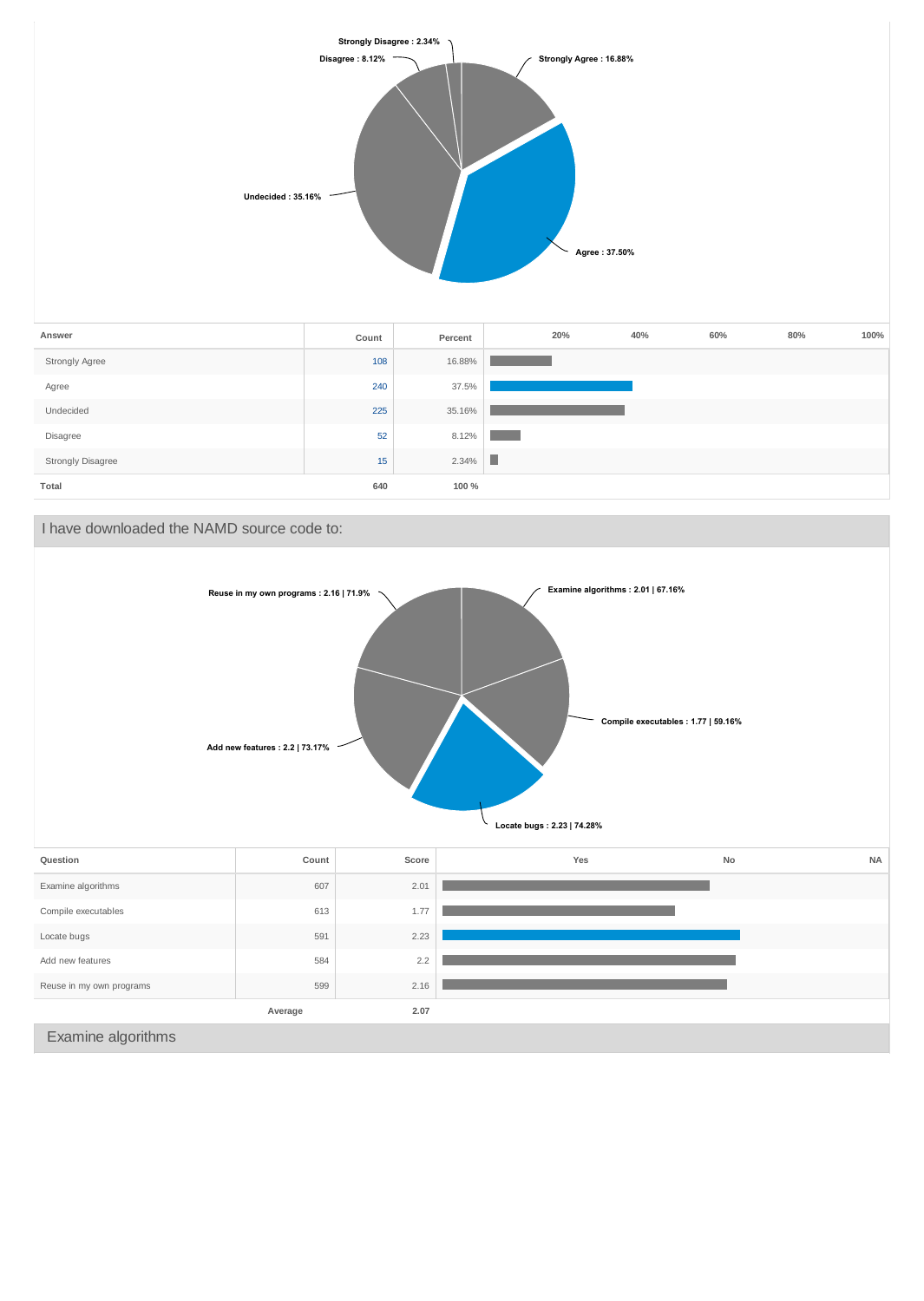



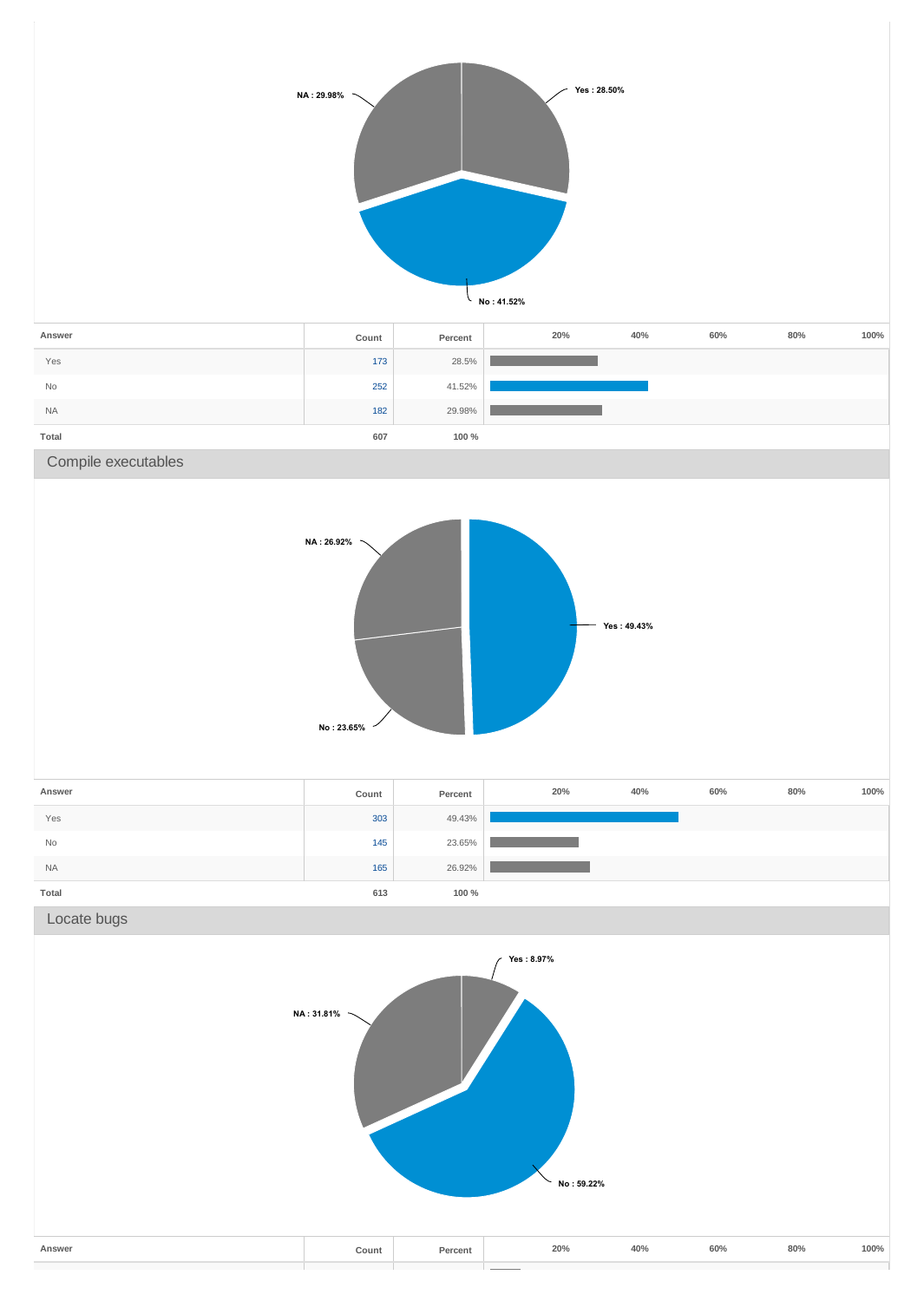

| Answer    | Count | Percent | 20% | 40% | 60% | 80% | 100% |
|-----------|-------|---------|-----|-----|-----|-----|------|
| Yes       | 173   | 28.5%   |     |     |     |     |      |
| <b>No</b> | 252   | 41.52%  |     |     |     |     |      |
| <b>NA</b> | 182   | 29.98%  |     |     |     |     |      |
| Total     | 607   | 100 %   |     |     |     |     |      |

Compile executables



| Answer    | Count | Percent | 20% | 40% | 60% | 80% | 100% |
|-----------|-------|---------|-----|-----|-----|-----|------|
| Yes       | 303   | 49.43%  |     |     |     |     |      |
| No        | 145   | 23.65%  |     |     |     |     |      |
| <b>NA</b> | 165   | 26.92%  |     |     |     |     |      |
| Total     | 613   | 100 %   |     |     |     |     |      |

Locate bugs

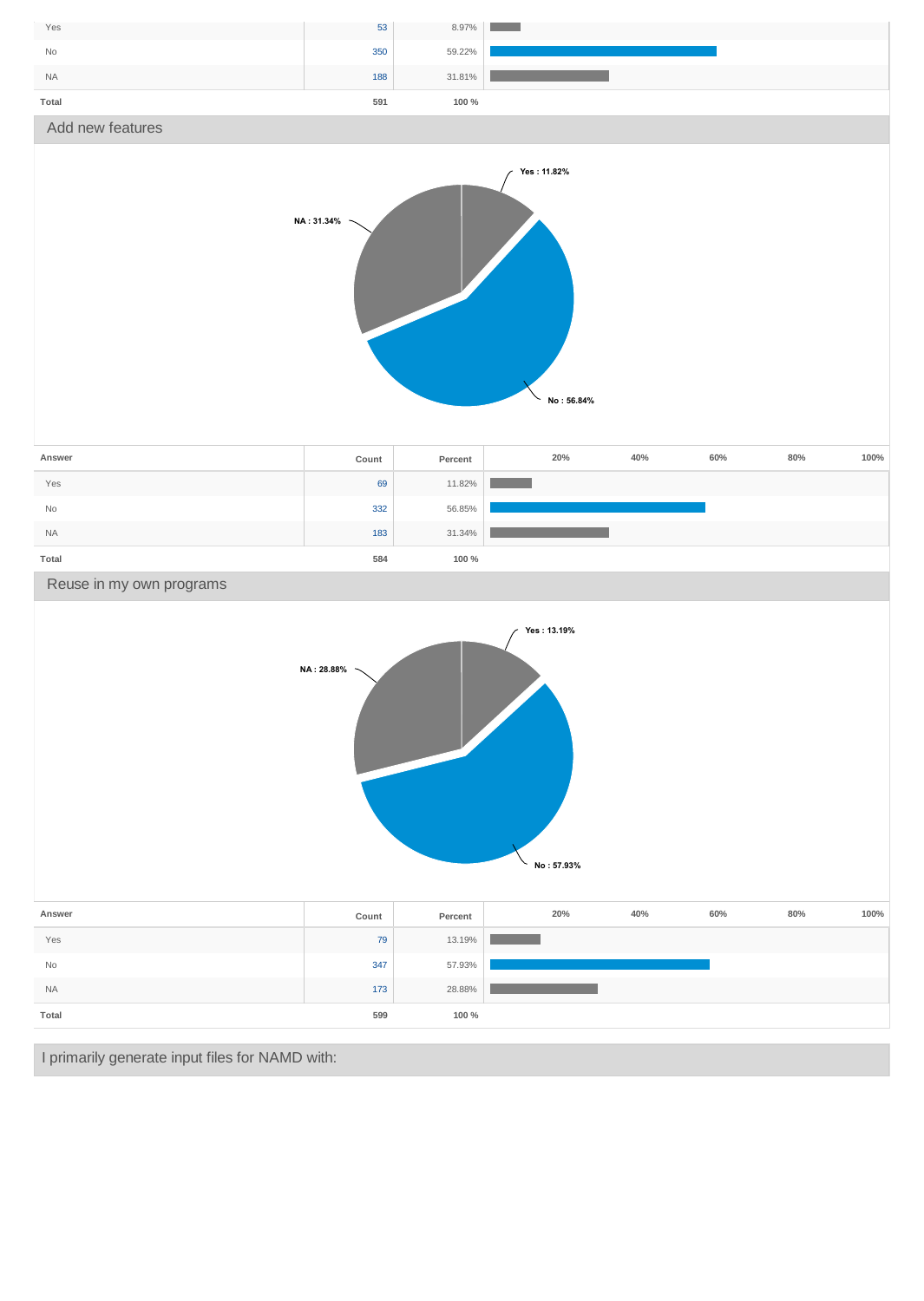

|           |       |         | No: 57.93% |     |     |     |      |
|-----------|-------|---------|------------|-----|-----|-----|------|
| Answer    | Count | Percent | 20%        | 40% | 60% | 80% | 100% |
| Yes       | 79    | 13.19%  |            |     |     |     |      |
| No        | 347   | 57.93%  |            |     |     |     |      |
| <b>NA</b> | 173   | 28.88%  |            |     |     |     |      |
| Total     | 599   | 100 %   |            |     |     |     |      |

I primarily generate input files for NAMD with: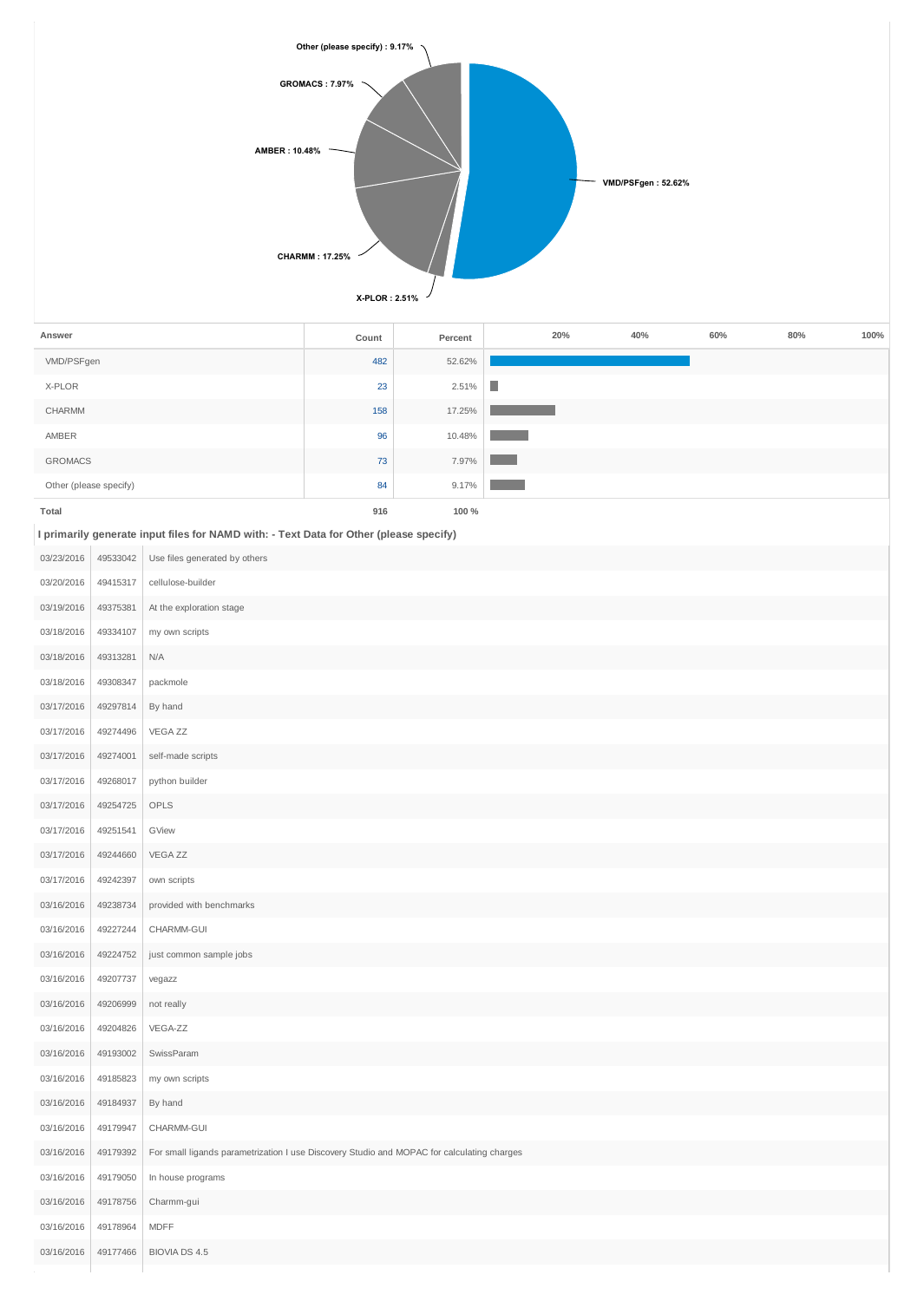

| Answer                 | Count | Percent | 20% | 40% | 60% | 80% | 100% |
|------------------------|-------|---------|-----|-----|-----|-----|------|
| VMD/PSFgen             | 482   | 52.62%  |     |     |     |     |      |
| X-PLOR                 | 23    | 2.51%   | T.  |     |     |     |      |
| CHARMM                 | 158   | 17.25%  |     |     |     |     |      |
| AMBER                  | 96    | 10.48%  |     |     |     |     |      |
| <b>GROMACS</b>         | 73    | 7.97%   |     |     |     |     |      |
| Other (please specify) | 84    | 9.17%   |     |     |     |     |      |
| Total                  | 916   | 100 %   |     |     |     |     |      |

**I primarily generate input files for NAMD with: - Text Data for Other (please specify)**

| 03/23/2016 | 49533042 | Use files generated by others                                                              |
|------------|----------|--------------------------------------------------------------------------------------------|
| 03/20/2016 | 49415317 | cellulose-builder                                                                          |
| 03/19/2016 | 49375381 | At the exploration stage                                                                   |
| 03/18/2016 | 49334107 | my own scripts                                                                             |
| 03/18/2016 | 49313281 | N/A                                                                                        |
| 03/18/2016 | 49308347 | packmole                                                                                   |
| 03/17/2016 | 49297814 | By hand                                                                                    |
| 03/17/2016 | 49274496 | VEGA ZZ                                                                                    |
| 03/17/2016 | 49274001 | self-made scripts                                                                          |
| 03/17/2016 | 49268017 | python builder                                                                             |
| 03/17/2016 | 49254725 | OPLS                                                                                       |
| 03/17/2016 | 49251541 | GView                                                                                      |
| 03/17/2016 | 49244660 | VEGA ZZ                                                                                    |
| 03/17/2016 | 49242397 | own scripts                                                                                |
| 03/16/2016 | 49238734 | provided with benchmarks                                                                   |
| 03/16/2016 | 49227244 | CHARMM-GUI                                                                                 |
| 03/16/2016 | 49224752 | just common sample jobs                                                                    |
| 03/16/2016 | 49207737 | vegazz                                                                                     |
| 03/16/2016 | 49206999 | not really                                                                                 |
| 03/16/2016 | 49204826 | VEGA-ZZ                                                                                    |
| 03/16/2016 | 49193002 | SwissParam                                                                                 |
| 03/16/2016 | 49185823 | my own scripts                                                                             |
| 03/16/2016 | 49184937 | By hand                                                                                    |
| 03/16/2016 | 49179947 | CHARMM-GUI                                                                                 |
| 03/16/2016 | 49179392 | For small ligands parametrization I use Discovery Studio and MOPAC for calculating charges |
| 03/16/2016 | 49179050 | In house programs                                                                          |
| 03/16/2016 | 49178756 | Charmm-gui                                                                                 |
| 03/16/2016 | 49178964 | <b>MDFF</b>                                                                                |
| 03/16/2016 | 49177466 | <b>BIOVIA DS 4.5</b>                                                                       |
|            |          |                                                                                            |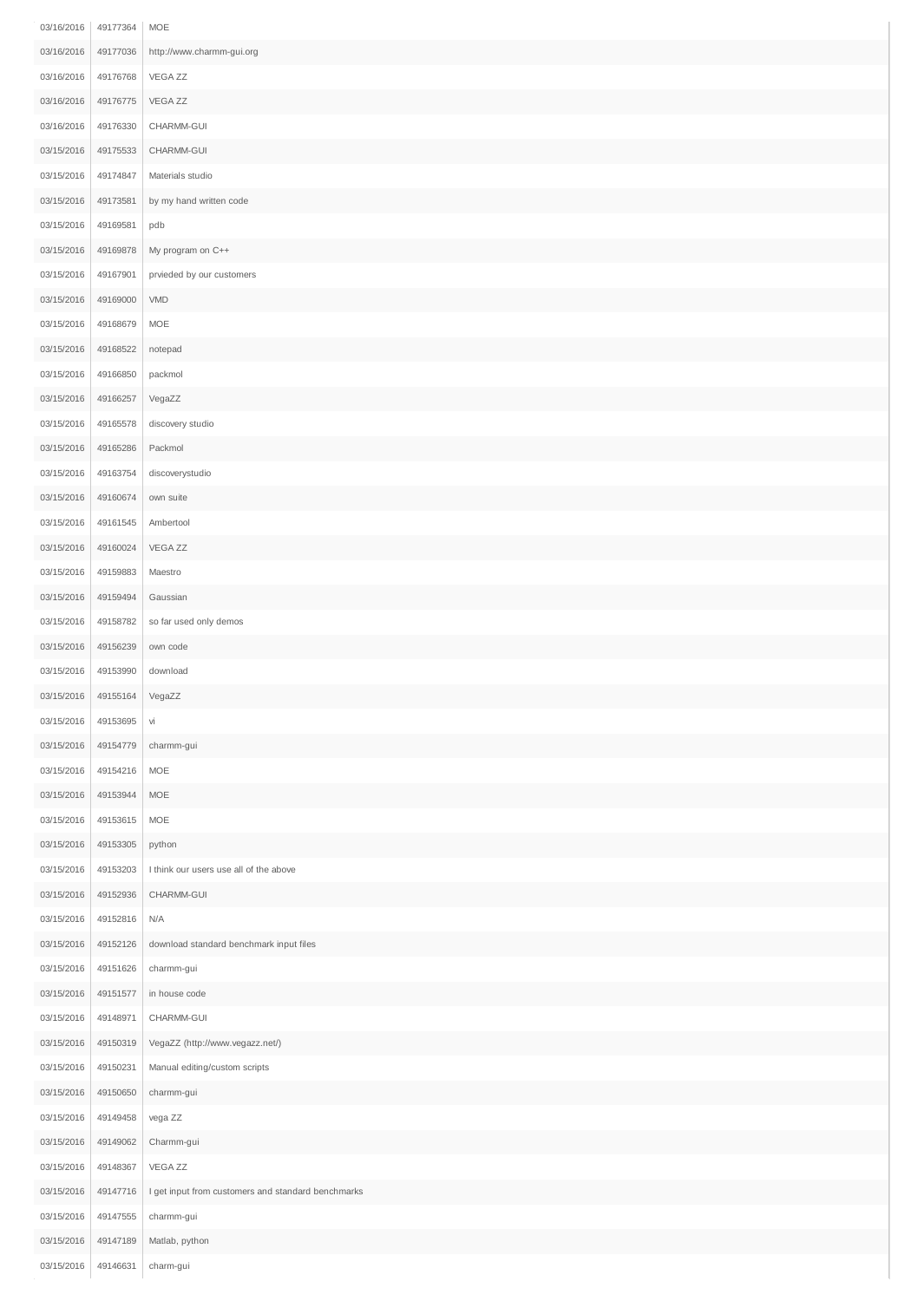| 03/16/2016 | 49177364 | MOE                                                |
|------------|----------|----------------------------------------------------|
| 03/16/2016 | 49177036 | http://www.charmm-gui.org                          |
| 03/16/2016 | 49176768 | VEGA ZZ                                            |
| 03/16/2016 | 49176775 | VEGA ZZ                                            |
| 03/16/2016 | 49176330 | CHARMM-GUI                                         |
| 03/15/2016 | 49175533 | CHARMM-GUI                                         |
| 03/15/2016 | 49174847 | Materials studio                                   |
| 03/15/2016 | 49173581 | by my hand written code                            |
| 03/15/2016 | 49169581 | pdb                                                |
| 03/15/2016 | 49169878 | My program on C++                                  |
| 03/15/2016 | 49167901 | prvieded by our customers                          |
| 03/15/2016 | 49169000 | <b>VMD</b>                                         |
| 03/15/2016 | 49168679 | MOE                                                |
| 03/15/2016 | 49168522 | notepad                                            |
| 03/15/2016 | 49166850 | packmol                                            |
| 03/15/2016 | 49166257 | VegaZZ                                             |
| 03/15/2016 | 49165578 | discovery studio                                   |
| 03/15/2016 | 49165286 | Packmol                                            |
| 03/15/2016 | 49163754 | discoverystudio                                    |
| 03/15/2016 | 49160674 | own suite                                          |
| 03/15/2016 | 49161545 | Ambertool                                          |
| 03/15/2016 | 49160024 | VEGA ZZ                                            |
| 03/15/2016 | 49159883 | Maestro                                            |
| 03/15/2016 | 49159494 | Gaussian                                           |
| 03/15/2016 | 49158782 | so far used only demos                             |
| 03/15/2016 | 49156239 | own code                                           |
| 03/15/2016 | 49153990 | download                                           |
| 03/15/2016 | 49155164 | VegaZZ                                             |
| 03/15/2016 | 49153695 | Vİ                                                 |
| 03/15/2016 | 49154779 | charmm-gui                                         |
| 03/15/2016 | 49154216 | MOE                                                |
| 03/15/2016 | 49153944 | MOE                                                |
| 03/15/2016 | 49153615 | MOE                                                |
| 03/15/2016 | 49153305 | python                                             |
| 03/15/2016 | 49153203 | I think our users use all of the above             |
| 03/15/2016 | 49152936 | CHARMM-GUI                                         |
| 03/15/2016 | 49152816 | N/A                                                |
| 03/15/2016 | 49152126 | download standard benchmark input files            |
| 03/15/2016 | 49151626 | charmm-gui                                         |
| 03/15/2016 | 49151577 | in house code                                      |
| 03/15/2016 | 49148971 | CHARMM-GUI                                         |
| 03/15/2016 | 49150319 | VegaZZ (http://www.vegazz.net/)                    |
| 03/15/2016 | 49150231 | Manual editing/custom scripts                      |
| 03/15/2016 | 49150650 | charmm-gui                                         |
| 03/15/2016 | 49149458 | vega ZZ                                            |
| 03/15/2016 | 49149062 | Charmm-gui                                         |
| 03/15/2016 | 49148367 | VEGA ZZ                                            |
| 03/15/2016 | 49147716 | I get input from customers and standard benchmarks |
| 03/15/2016 | 49147555 | charmm-gui                                         |
| 03/15/2016 | 49147189 | Matlab, python                                     |
| 03/15/2016 | 49146631 | charm-gui                                          |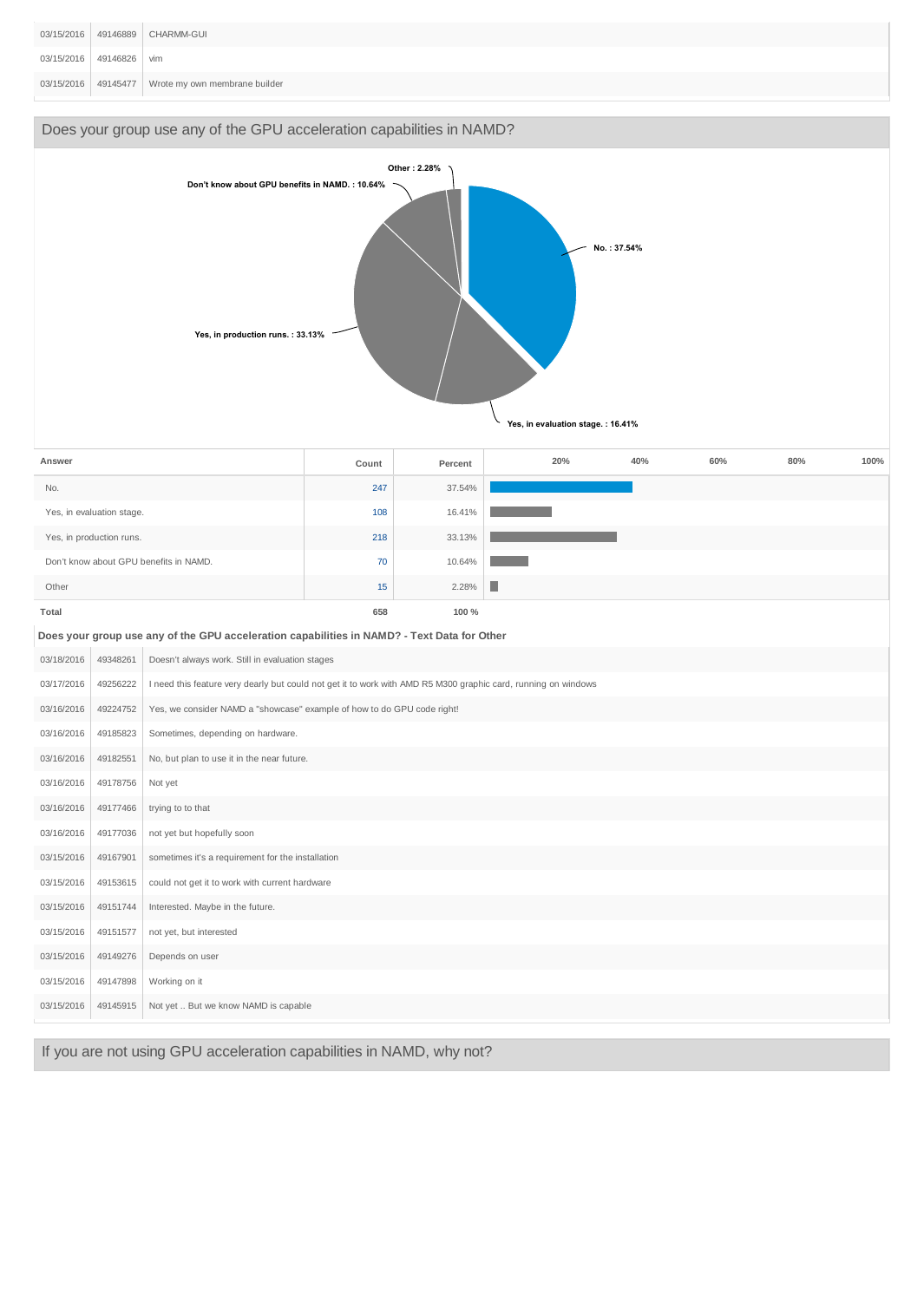|                         | 03/15/2016   49146889   CHARMM-GUI                |
|-------------------------|---------------------------------------------------|
| 03/15/2016 49146826 vim |                                                   |
|                         | 03/15/2016 49145477 Wrote my own membrane builder |



If you are not using GPU acceleration capabilities in NAMD, why not?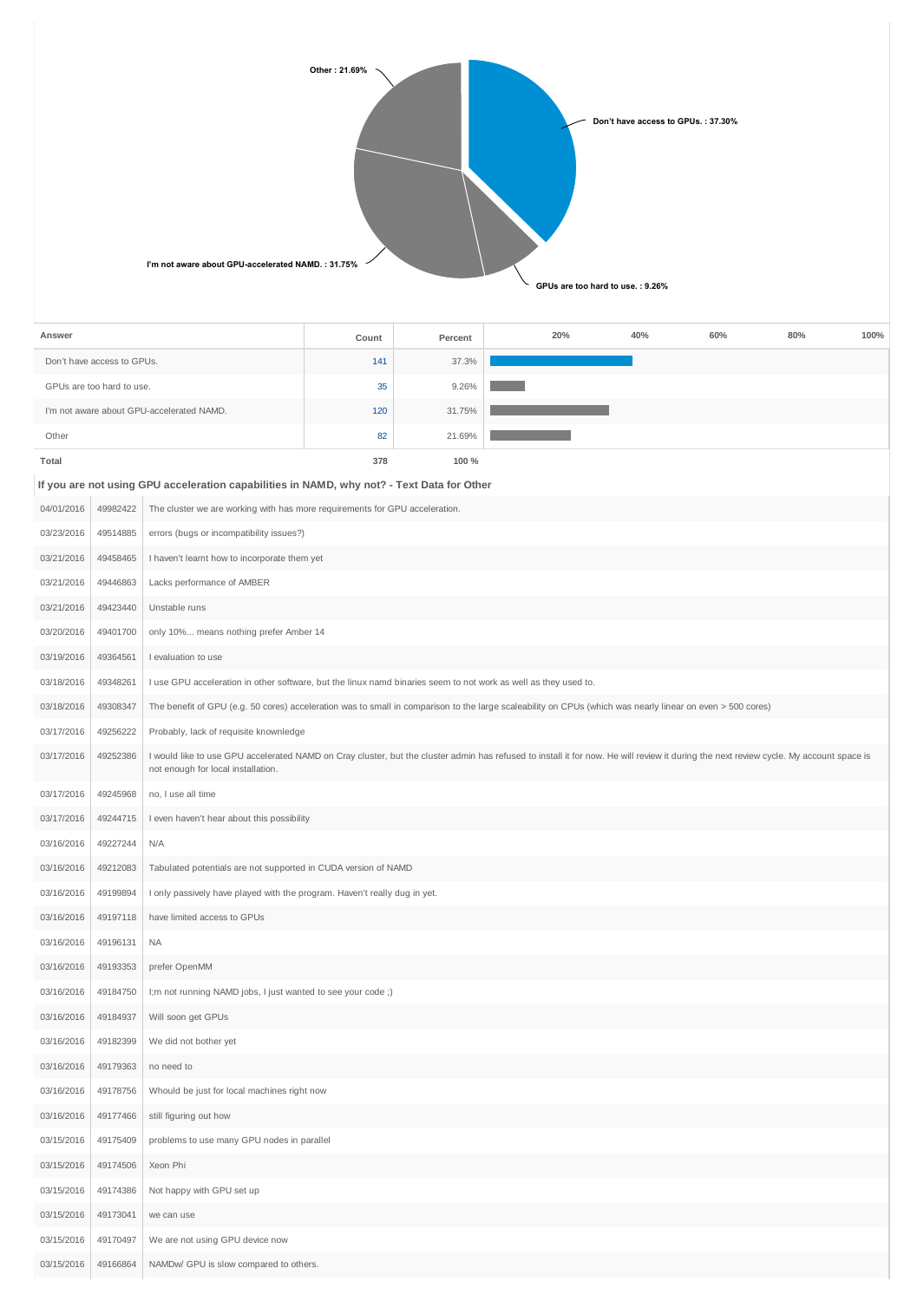| Other: 21.69%<br>Don't have access to GPUs.: 37.30%                                   |
|---------------------------------------------------------------------------------------|
| I'm not aware about GPU-accelerated NAMD.: 31.75%<br>GPUs are too hard to use.: 9.26% |

| 141<br>Don't have access to GPUs.<br>37.3%<br>GPUs are too hard to use.<br>35<br>9.26%<br>I'm not aware about GPU-accelerated NAMD.<br>120<br>31.75%<br>21.69%<br>Other<br>82<br>378<br>100 %<br>Total<br>If you are not using GPU acceleration capabilities in NAMD, why not? - Text Data for Other<br>49982422<br>04/01/2016<br>The cluster we are working with has more requirements for GPU acceleration.<br>03/23/2016<br>49514885<br>errors (bugs or incompatibility issues?)<br>03/21/2016<br>49458465<br>I haven't learnt how to incorporate them yet<br>03/21/2016<br>49446863<br>Lacks performance of AMBER<br>03/21/2016<br>Unstable runs<br>49423440<br>03/20/2016<br>49401700<br>only 10% means nothing prefer Amber 14<br>03/19/2016<br>49364561<br>I evaluation to use<br>03/18/2016<br>49348261<br>I use GPU acceleration in other software, but the linux namd binaries seem to not work as well as they used to.<br>03/18/2016<br>49308347<br>The benefit of GPU (e.g. 50 cores) acceleration was to small in comparison to the large scaleability on CPUs (which was nearly linear on even > 500 cores)<br>49256222<br>03/17/2016<br>Probably, lack of requisite knownledge<br>03/17/2016<br>49252386<br>I would like to use GPU accelerated NAMD on Cray cluster, but the cluster admin has refused to install it for now. He will review it during the next review cycle. My account space is<br>not enough for local installation.<br>03/17/2016<br>49245968<br>no, I use all time<br>I even haven't hear about this possibility<br>03/17/2016<br>49244715<br>03/16/2016<br>N/A<br>49227244<br>03/16/2016<br>49212083<br>Tabulated potentials are not supported in CUDA version of NAMD<br>03/16/2016<br>49199894<br>I only passively have played with the program. Haven't really dug in yet.<br>49197118<br>have limited access to GPUs<br>03/16/2016<br>03/16/2016<br>49196131<br><b>NA</b><br>03/16/2016<br>49193353<br>prefer OpenMM<br>03/16/2016<br>I;m not running NAMD jobs, I just wanted to see your code ;)<br>49184750<br>03/16/2016<br>49184937<br>Will soon get GPUs<br>03/16/2016<br>49182399<br>We did not bother yet<br>49179363<br>no need to<br>03/16/2016<br>03/16/2016<br>49178756<br>Whould be just for local machines right now<br>03/16/2016<br>49177466<br>still figuring out how<br>03/15/2016<br>problems to use many GPU nodes in parallel<br>49175409<br>03/15/2016<br>49174506<br>Xeon Phi<br>03/15/2016<br>49174386<br>Not happy with GPU set up<br>03/15/2016<br>49173041<br>we can use<br>03/15/2016<br>49170497<br>We are not using GPU device now<br>03/15/2016<br>NAMDw/ GPU is slow compared to others.<br>49166864 | Answer |  | Count | Percent | 20% | 40% | 60% | 80% | 100% |
|---------------------------------------------------------------------------------------------------------------------------------------------------------------------------------------------------------------------------------------------------------------------------------------------------------------------------------------------------------------------------------------------------------------------------------------------------------------------------------------------------------------------------------------------------------------------------------------------------------------------------------------------------------------------------------------------------------------------------------------------------------------------------------------------------------------------------------------------------------------------------------------------------------------------------------------------------------------------------------------------------------------------------------------------------------------------------------------------------------------------------------------------------------------------------------------------------------------------------------------------------------------------------------------------------------------------------------------------------------------------------------------------------------------------------------------------------------------------------------------------------------------------------------------------------------------------------------------------------------------------------------------------------------------------------------------------------------------------------------------------------------------------------------------------------------------------------------------------------------------------------------------------------------------------------------------------------------------------------------------------------------------------------------------------------------------------------------------------------------------------------------------------------------------------------------------------------------------------------------------------------------------------------------------------------------------------------------------------------------------------------------------------------------------------------------------------------------------------------------------------------------------------------------------------------------------------------------------------------------------------------------------------------------------------------------|--------|--|-------|---------|-----|-----|-----|-----|------|
|                                                                                                                                                                                                                                                                                                                                                                                                                                                                                                                                                                                                                                                                                                                                                                                                                                                                                                                                                                                                                                                                                                                                                                                                                                                                                                                                                                                                                                                                                                                                                                                                                                                                                                                                                                                                                                                                                                                                                                                                                                                                                                                                                                                                                                                                                                                                                                                                                                                                                                                                                                                                                                                                                 |        |  |       |         |     |     |     |     |      |
|                                                                                                                                                                                                                                                                                                                                                                                                                                                                                                                                                                                                                                                                                                                                                                                                                                                                                                                                                                                                                                                                                                                                                                                                                                                                                                                                                                                                                                                                                                                                                                                                                                                                                                                                                                                                                                                                                                                                                                                                                                                                                                                                                                                                                                                                                                                                                                                                                                                                                                                                                                                                                                                                                 |        |  |       |         |     |     |     |     |      |
|                                                                                                                                                                                                                                                                                                                                                                                                                                                                                                                                                                                                                                                                                                                                                                                                                                                                                                                                                                                                                                                                                                                                                                                                                                                                                                                                                                                                                                                                                                                                                                                                                                                                                                                                                                                                                                                                                                                                                                                                                                                                                                                                                                                                                                                                                                                                                                                                                                                                                                                                                                                                                                                                                 |        |  |       |         |     |     |     |     |      |
|                                                                                                                                                                                                                                                                                                                                                                                                                                                                                                                                                                                                                                                                                                                                                                                                                                                                                                                                                                                                                                                                                                                                                                                                                                                                                                                                                                                                                                                                                                                                                                                                                                                                                                                                                                                                                                                                                                                                                                                                                                                                                                                                                                                                                                                                                                                                                                                                                                                                                                                                                                                                                                                                                 |        |  |       |         |     |     |     |     |      |
|                                                                                                                                                                                                                                                                                                                                                                                                                                                                                                                                                                                                                                                                                                                                                                                                                                                                                                                                                                                                                                                                                                                                                                                                                                                                                                                                                                                                                                                                                                                                                                                                                                                                                                                                                                                                                                                                                                                                                                                                                                                                                                                                                                                                                                                                                                                                                                                                                                                                                                                                                                                                                                                                                 |        |  |       |         |     |     |     |     |      |
|                                                                                                                                                                                                                                                                                                                                                                                                                                                                                                                                                                                                                                                                                                                                                                                                                                                                                                                                                                                                                                                                                                                                                                                                                                                                                                                                                                                                                                                                                                                                                                                                                                                                                                                                                                                                                                                                                                                                                                                                                                                                                                                                                                                                                                                                                                                                                                                                                                                                                                                                                                                                                                                                                 |        |  |       |         |     |     |     |     |      |
|                                                                                                                                                                                                                                                                                                                                                                                                                                                                                                                                                                                                                                                                                                                                                                                                                                                                                                                                                                                                                                                                                                                                                                                                                                                                                                                                                                                                                                                                                                                                                                                                                                                                                                                                                                                                                                                                                                                                                                                                                                                                                                                                                                                                                                                                                                                                                                                                                                                                                                                                                                                                                                                                                 |        |  |       |         |     |     |     |     |      |
|                                                                                                                                                                                                                                                                                                                                                                                                                                                                                                                                                                                                                                                                                                                                                                                                                                                                                                                                                                                                                                                                                                                                                                                                                                                                                                                                                                                                                                                                                                                                                                                                                                                                                                                                                                                                                                                                                                                                                                                                                                                                                                                                                                                                                                                                                                                                                                                                                                                                                                                                                                                                                                                                                 |        |  |       |         |     |     |     |     |      |
|                                                                                                                                                                                                                                                                                                                                                                                                                                                                                                                                                                                                                                                                                                                                                                                                                                                                                                                                                                                                                                                                                                                                                                                                                                                                                                                                                                                                                                                                                                                                                                                                                                                                                                                                                                                                                                                                                                                                                                                                                                                                                                                                                                                                                                                                                                                                                                                                                                                                                                                                                                                                                                                                                 |        |  |       |         |     |     |     |     |      |
|                                                                                                                                                                                                                                                                                                                                                                                                                                                                                                                                                                                                                                                                                                                                                                                                                                                                                                                                                                                                                                                                                                                                                                                                                                                                                                                                                                                                                                                                                                                                                                                                                                                                                                                                                                                                                                                                                                                                                                                                                                                                                                                                                                                                                                                                                                                                                                                                                                                                                                                                                                                                                                                                                 |        |  |       |         |     |     |     |     |      |
|                                                                                                                                                                                                                                                                                                                                                                                                                                                                                                                                                                                                                                                                                                                                                                                                                                                                                                                                                                                                                                                                                                                                                                                                                                                                                                                                                                                                                                                                                                                                                                                                                                                                                                                                                                                                                                                                                                                                                                                                                                                                                                                                                                                                                                                                                                                                                                                                                                                                                                                                                                                                                                                                                 |        |  |       |         |     |     |     |     |      |
|                                                                                                                                                                                                                                                                                                                                                                                                                                                                                                                                                                                                                                                                                                                                                                                                                                                                                                                                                                                                                                                                                                                                                                                                                                                                                                                                                                                                                                                                                                                                                                                                                                                                                                                                                                                                                                                                                                                                                                                                                                                                                                                                                                                                                                                                                                                                                                                                                                                                                                                                                                                                                                                                                 |        |  |       |         |     |     |     |     |      |
|                                                                                                                                                                                                                                                                                                                                                                                                                                                                                                                                                                                                                                                                                                                                                                                                                                                                                                                                                                                                                                                                                                                                                                                                                                                                                                                                                                                                                                                                                                                                                                                                                                                                                                                                                                                                                                                                                                                                                                                                                                                                                                                                                                                                                                                                                                                                                                                                                                                                                                                                                                                                                                                                                 |        |  |       |         |     |     |     |     |      |
|                                                                                                                                                                                                                                                                                                                                                                                                                                                                                                                                                                                                                                                                                                                                                                                                                                                                                                                                                                                                                                                                                                                                                                                                                                                                                                                                                                                                                                                                                                                                                                                                                                                                                                                                                                                                                                                                                                                                                                                                                                                                                                                                                                                                                                                                                                                                                                                                                                                                                                                                                                                                                                                                                 |        |  |       |         |     |     |     |     |      |
|                                                                                                                                                                                                                                                                                                                                                                                                                                                                                                                                                                                                                                                                                                                                                                                                                                                                                                                                                                                                                                                                                                                                                                                                                                                                                                                                                                                                                                                                                                                                                                                                                                                                                                                                                                                                                                                                                                                                                                                                                                                                                                                                                                                                                                                                                                                                                                                                                                                                                                                                                                                                                                                                                 |        |  |       |         |     |     |     |     |      |
|                                                                                                                                                                                                                                                                                                                                                                                                                                                                                                                                                                                                                                                                                                                                                                                                                                                                                                                                                                                                                                                                                                                                                                                                                                                                                                                                                                                                                                                                                                                                                                                                                                                                                                                                                                                                                                                                                                                                                                                                                                                                                                                                                                                                                                                                                                                                                                                                                                                                                                                                                                                                                                                                                 |        |  |       |         |     |     |     |     |      |
|                                                                                                                                                                                                                                                                                                                                                                                                                                                                                                                                                                                                                                                                                                                                                                                                                                                                                                                                                                                                                                                                                                                                                                                                                                                                                                                                                                                                                                                                                                                                                                                                                                                                                                                                                                                                                                                                                                                                                                                                                                                                                                                                                                                                                                                                                                                                                                                                                                                                                                                                                                                                                                                                                 |        |  |       |         |     |     |     |     |      |
|                                                                                                                                                                                                                                                                                                                                                                                                                                                                                                                                                                                                                                                                                                                                                                                                                                                                                                                                                                                                                                                                                                                                                                                                                                                                                                                                                                                                                                                                                                                                                                                                                                                                                                                                                                                                                                                                                                                                                                                                                                                                                                                                                                                                                                                                                                                                                                                                                                                                                                                                                                                                                                                                                 |        |  |       |         |     |     |     |     |      |
|                                                                                                                                                                                                                                                                                                                                                                                                                                                                                                                                                                                                                                                                                                                                                                                                                                                                                                                                                                                                                                                                                                                                                                                                                                                                                                                                                                                                                                                                                                                                                                                                                                                                                                                                                                                                                                                                                                                                                                                                                                                                                                                                                                                                                                                                                                                                                                                                                                                                                                                                                                                                                                                                                 |        |  |       |         |     |     |     |     |      |
|                                                                                                                                                                                                                                                                                                                                                                                                                                                                                                                                                                                                                                                                                                                                                                                                                                                                                                                                                                                                                                                                                                                                                                                                                                                                                                                                                                                                                                                                                                                                                                                                                                                                                                                                                                                                                                                                                                                                                                                                                                                                                                                                                                                                                                                                                                                                                                                                                                                                                                                                                                                                                                                                                 |        |  |       |         |     |     |     |     |      |
|                                                                                                                                                                                                                                                                                                                                                                                                                                                                                                                                                                                                                                                                                                                                                                                                                                                                                                                                                                                                                                                                                                                                                                                                                                                                                                                                                                                                                                                                                                                                                                                                                                                                                                                                                                                                                                                                                                                                                                                                                                                                                                                                                                                                                                                                                                                                                                                                                                                                                                                                                                                                                                                                                 |        |  |       |         |     |     |     |     |      |
|                                                                                                                                                                                                                                                                                                                                                                                                                                                                                                                                                                                                                                                                                                                                                                                                                                                                                                                                                                                                                                                                                                                                                                                                                                                                                                                                                                                                                                                                                                                                                                                                                                                                                                                                                                                                                                                                                                                                                                                                                                                                                                                                                                                                                                                                                                                                                                                                                                                                                                                                                                                                                                                                                 |        |  |       |         |     |     |     |     |      |
|                                                                                                                                                                                                                                                                                                                                                                                                                                                                                                                                                                                                                                                                                                                                                                                                                                                                                                                                                                                                                                                                                                                                                                                                                                                                                                                                                                                                                                                                                                                                                                                                                                                                                                                                                                                                                                                                                                                                                                                                                                                                                                                                                                                                                                                                                                                                                                                                                                                                                                                                                                                                                                                                                 |        |  |       |         |     |     |     |     |      |
|                                                                                                                                                                                                                                                                                                                                                                                                                                                                                                                                                                                                                                                                                                                                                                                                                                                                                                                                                                                                                                                                                                                                                                                                                                                                                                                                                                                                                                                                                                                                                                                                                                                                                                                                                                                                                                                                                                                                                                                                                                                                                                                                                                                                                                                                                                                                                                                                                                                                                                                                                                                                                                                                                 |        |  |       |         |     |     |     |     |      |
|                                                                                                                                                                                                                                                                                                                                                                                                                                                                                                                                                                                                                                                                                                                                                                                                                                                                                                                                                                                                                                                                                                                                                                                                                                                                                                                                                                                                                                                                                                                                                                                                                                                                                                                                                                                                                                                                                                                                                                                                                                                                                                                                                                                                                                                                                                                                                                                                                                                                                                                                                                                                                                                                                 |        |  |       |         |     |     |     |     |      |
|                                                                                                                                                                                                                                                                                                                                                                                                                                                                                                                                                                                                                                                                                                                                                                                                                                                                                                                                                                                                                                                                                                                                                                                                                                                                                                                                                                                                                                                                                                                                                                                                                                                                                                                                                                                                                                                                                                                                                                                                                                                                                                                                                                                                                                                                                                                                                                                                                                                                                                                                                                                                                                                                                 |        |  |       |         |     |     |     |     |      |
|                                                                                                                                                                                                                                                                                                                                                                                                                                                                                                                                                                                                                                                                                                                                                                                                                                                                                                                                                                                                                                                                                                                                                                                                                                                                                                                                                                                                                                                                                                                                                                                                                                                                                                                                                                                                                                                                                                                                                                                                                                                                                                                                                                                                                                                                                                                                                                                                                                                                                                                                                                                                                                                                                 |        |  |       |         |     |     |     |     |      |
|                                                                                                                                                                                                                                                                                                                                                                                                                                                                                                                                                                                                                                                                                                                                                                                                                                                                                                                                                                                                                                                                                                                                                                                                                                                                                                                                                                                                                                                                                                                                                                                                                                                                                                                                                                                                                                                                                                                                                                                                                                                                                                                                                                                                                                                                                                                                                                                                                                                                                                                                                                                                                                                                                 |        |  |       |         |     |     |     |     |      |
|                                                                                                                                                                                                                                                                                                                                                                                                                                                                                                                                                                                                                                                                                                                                                                                                                                                                                                                                                                                                                                                                                                                                                                                                                                                                                                                                                                                                                                                                                                                                                                                                                                                                                                                                                                                                                                                                                                                                                                                                                                                                                                                                                                                                                                                                                                                                                                                                                                                                                                                                                                                                                                                                                 |        |  |       |         |     |     |     |     |      |
|                                                                                                                                                                                                                                                                                                                                                                                                                                                                                                                                                                                                                                                                                                                                                                                                                                                                                                                                                                                                                                                                                                                                                                                                                                                                                                                                                                                                                                                                                                                                                                                                                                                                                                                                                                                                                                                                                                                                                                                                                                                                                                                                                                                                                                                                                                                                                                                                                                                                                                                                                                                                                                                                                 |        |  |       |         |     |     |     |     |      |
|                                                                                                                                                                                                                                                                                                                                                                                                                                                                                                                                                                                                                                                                                                                                                                                                                                                                                                                                                                                                                                                                                                                                                                                                                                                                                                                                                                                                                                                                                                                                                                                                                                                                                                                                                                                                                                                                                                                                                                                                                                                                                                                                                                                                                                                                                                                                                                                                                                                                                                                                                                                                                                                                                 |        |  |       |         |     |     |     |     |      |
|                                                                                                                                                                                                                                                                                                                                                                                                                                                                                                                                                                                                                                                                                                                                                                                                                                                                                                                                                                                                                                                                                                                                                                                                                                                                                                                                                                                                                                                                                                                                                                                                                                                                                                                                                                                                                                                                                                                                                                                                                                                                                                                                                                                                                                                                                                                                                                                                                                                                                                                                                                                                                                                                                 |        |  |       |         |     |     |     |     |      |
|                                                                                                                                                                                                                                                                                                                                                                                                                                                                                                                                                                                                                                                                                                                                                                                                                                                                                                                                                                                                                                                                                                                                                                                                                                                                                                                                                                                                                                                                                                                                                                                                                                                                                                                                                                                                                                                                                                                                                                                                                                                                                                                                                                                                                                                                                                                                                                                                                                                                                                                                                                                                                                                                                 |        |  |       |         |     |     |     |     |      |
|                                                                                                                                                                                                                                                                                                                                                                                                                                                                                                                                                                                                                                                                                                                                                                                                                                                                                                                                                                                                                                                                                                                                                                                                                                                                                                                                                                                                                                                                                                                                                                                                                                                                                                                                                                                                                                                                                                                                                                                                                                                                                                                                                                                                                                                                                                                                                                                                                                                                                                                                                                                                                                                                                 |        |  |       |         |     |     |     |     |      |
|                                                                                                                                                                                                                                                                                                                                                                                                                                                                                                                                                                                                                                                                                                                                                                                                                                                                                                                                                                                                                                                                                                                                                                                                                                                                                                                                                                                                                                                                                                                                                                                                                                                                                                                                                                                                                                                                                                                                                                                                                                                                                                                                                                                                                                                                                                                                                                                                                                                                                                                                                                                                                                                                                 |        |  |       |         |     |     |     |     |      |
|                                                                                                                                                                                                                                                                                                                                                                                                                                                                                                                                                                                                                                                                                                                                                                                                                                                                                                                                                                                                                                                                                                                                                                                                                                                                                                                                                                                                                                                                                                                                                                                                                                                                                                                                                                                                                                                                                                                                                                                                                                                                                                                                                                                                                                                                                                                                                                                                                                                                                                                                                                                                                                                                                 |        |  |       |         |     |     |     |     |      |
|                                                                                                                                                                                                                                                                                                                                                                                                                                                                                                                                                                                                                                                                                                                                                                                                                                                                                                                                                                                                                                                                                                                                                                                                                                                                                                                                                                                                                                                                                                                                                                                                                                                                                                                                                                                                                                                                                                                                                                                                                                                                                                                                                                                                                                                                                                                                                                                                                                                                                                                                                                                                                                                                                 |        |  |       |         |     |     |     |     |      |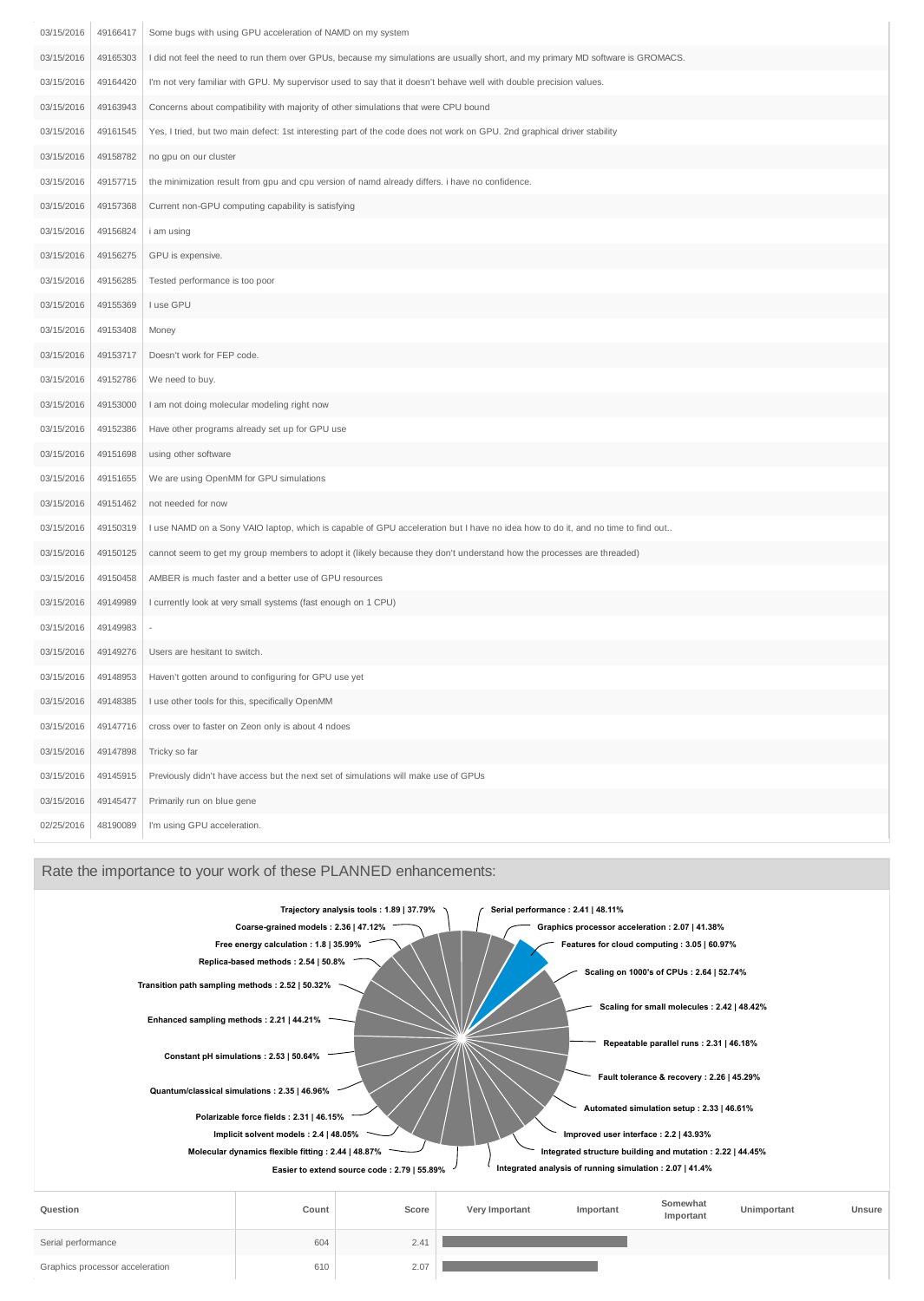| 03/15/2016 | 49166417 | Some bugs with using GPU acceleration of NAMD on my system                                                                      |
|------------|----------|---------------------------------------------------------------------------------------------------------------------------------|
| 03/15/2016 | 49165303 | I did not feel the need to run them over GPUs, because my simulations are usually short, and my primary MD software is GROMACS. |
| 03/15/2016 | 49164420 | I'm not very familiar with GPU. My supervisor used to say that it doesn't behave well with double precision values.             |
| 03/15/2016 | 49163943 | Concerns about compatibility with majority of other simulations that were CPU bound                                             |
| 03/15/2016 | 49161545 | Yes, I tried, but two main defect: 1st interesting part of the code does not work on GPU. 2nd graphical driver stability        |
| 03/15/2016 | 49158782 | no gpu on our cluster                                                                                                           |
| 03/15/2016 | 49157715 | the minimization result from gpu and cpu version of namd already differs. i have no confidence.                                 |
| 03/15/2016 | 49157368 | Current non-GPU computing capability is satisfying                                                                              |
| 03/15/2016 | 49156824 | i am using                                                                                                                      |
| 03/15/2016 | 49156275 | GPU is expensive.                                                                                                               |
| 03/15/2016 | 49156285 | Tested performance is too poor                                                                                                  |
| 03/15/2016 | 49155369 | I use GPU                                                                                                                       |
| 03/15/2016 | 49153408 | Money                                                                                                                           |
| 03/15/2016 | 49153717 | Doesn't work for FEP code.                                                                                                      |
| 03/15/2016 | 49152786 | We need to buy.                                                                                                                 |
| 03/15/2016 | 49153000 | I am not doing molecular modeling right now                                                                                     |
| 03/15/2016 | 49152386 | Have other programs already set up for GPU use                                                                                  |
| 03/15/2016 | 49151698 | using other software                                                                                                            |
| 03/15/2016 | 49151655 | We are using OpenMM for GPU simulations                                                                                         |
| 03/15/2016 | 49151462 | not needed for now                                                                                                              |
| 03/15/2016 | 49150319 | I use NAMD on a Sony VAIO laptop, which is capable of GPU acceleration but I have no idea how to do it, and no time to find out |
| 03/15/2016 | 49150125 | cannot seem to get my group members to adopt it (likely because they don't understand how the processes are threaded)           |
| 03/15/2016 | 49150458 | AMBER is much faster and a better use of GPU resources                                                                          |
| 03/15/2016 | 49149989 | I currently look at very small systems (fast enough on 1 CPU)                                                                   |
| 03/15/2016 | 49149983 |                                                                                                                                 |
| 03/15/2016 | 49149276 | Users are hesitant to switch.                                                                                                   |
| 03/15/2016 | 49148953 | Haven't gotten around to configuring for GPU use yet                                                                            |
| 03/15/2016 | 49148385 | I use other tools for this, specifically OpenMM                                                                                 |
| 03/15/2016 | 49147716 | cross over to faster on Zeon only is about 4 ndoes                                                                              |
| 03/15/2016 | 49147898 | Tricky so far                                                                                                                   |
| 03/15/2016 | 49145915 | Previously didn't have access but the next set of simulations will make use of GPUs                                             |
| 03/15/2016 | 49145477 | Primarily run on blue gene                                                                                                      |
| 02/25/2016 | 48190089 | I'm using GPU acceleration.                                                                                                     |

### Rate the importance to your work of these PLANNED enhancements:

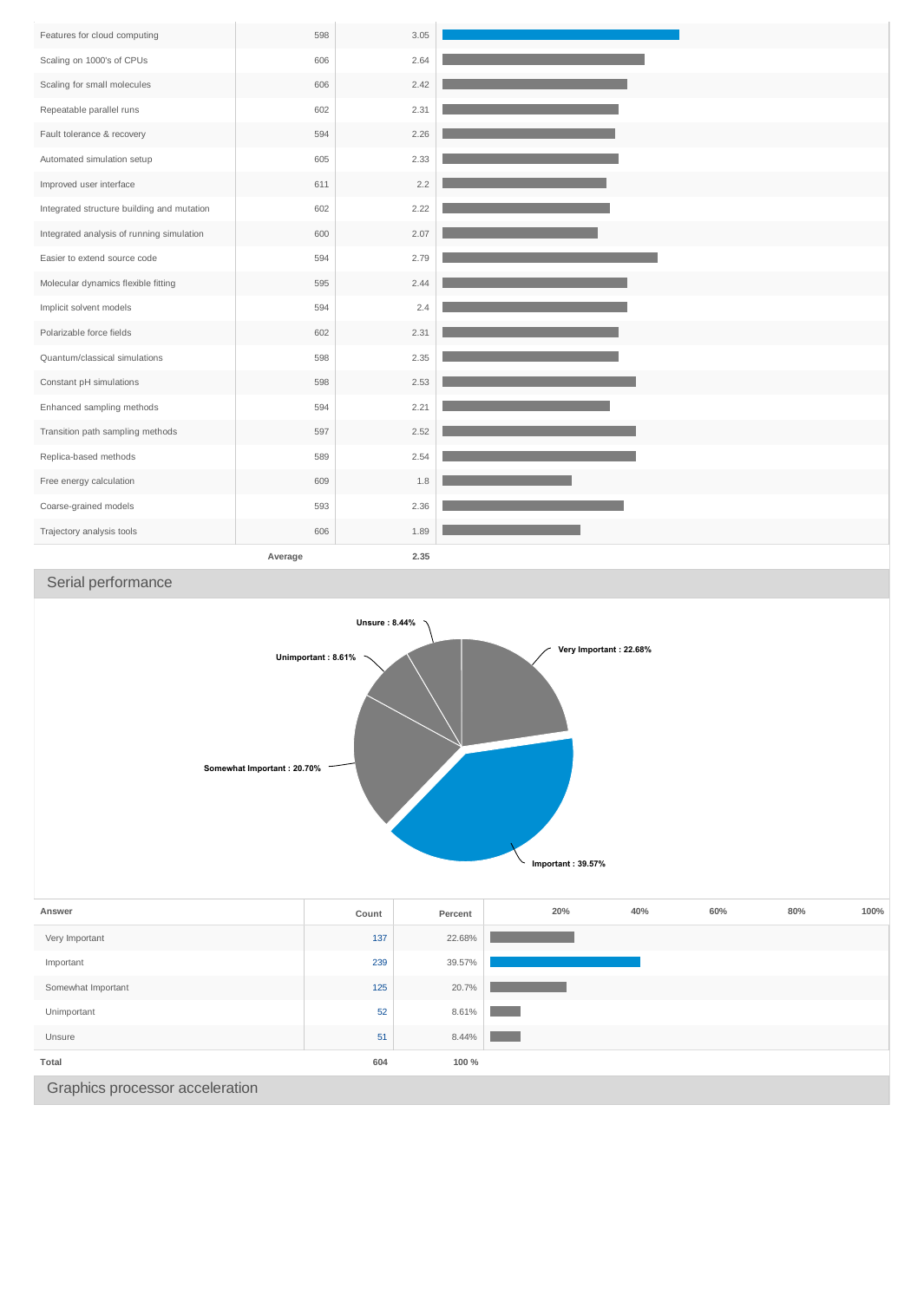| Features for cloud computing               | 598     | 3.05 |
|--------------------------------------------|---------|------|
| Scaling on 1000's of CPUs                  | 606     | 2.64 |
| Scaling for small molecules                | 606     | 2.42 |
| Repeatable parallel runs                   | 602     | 2.31 |
| Fault tolerance & recovery                 | 594     | 2.26 |
| Automated simulation setup                 | 605     | 2.33 |
| Improved user interface                    | 611     | 2.2  |
| Integrated structure building and mutation | 602     | 2.22 |
| Integrated analysis of running simulation  | 600     | 2.07 |
| Easier to extend source code               | 594     | 2.79 |
| Molecular dynamics flexible fitting        | 595     | 2.44 |
| Implicit solvent models                    | 594     | 2.4  |
| Polarizable force fields                   | 602     | 2.31 |
| Quantum/classical simulations              | 598     | 2.35 |
| Constant pH simulations                    | 598     | 2.53 |
| Enhanced sampling methods                  | 594     | 2.21 |
| Transition path sampling methods           | 597     | 2.52 |
| Replica-based methods                      | 589     | 2.54 |
| Free energy calculation                    | 609     | 1.8  |
| Coarse-grained models                      | 593     | 2.36 |
| Trajectory analysis tools                  | 606     | 1.89 |
|                                            | Average | 2.35 |

## Serial performance



| <b>JUILLEVELLAL IMPULLANT</b>   | ᆠ   | 20.170 |  |
|---------------------------------|-----|--------|--|
| Unimportant                     | 52  | 8.61%  |  |
| Unsure                          | 51  | 8.44%  |  |
| Total                           | 604 | 100 %  |  |
| Graphics processor acceleration |     |        |  |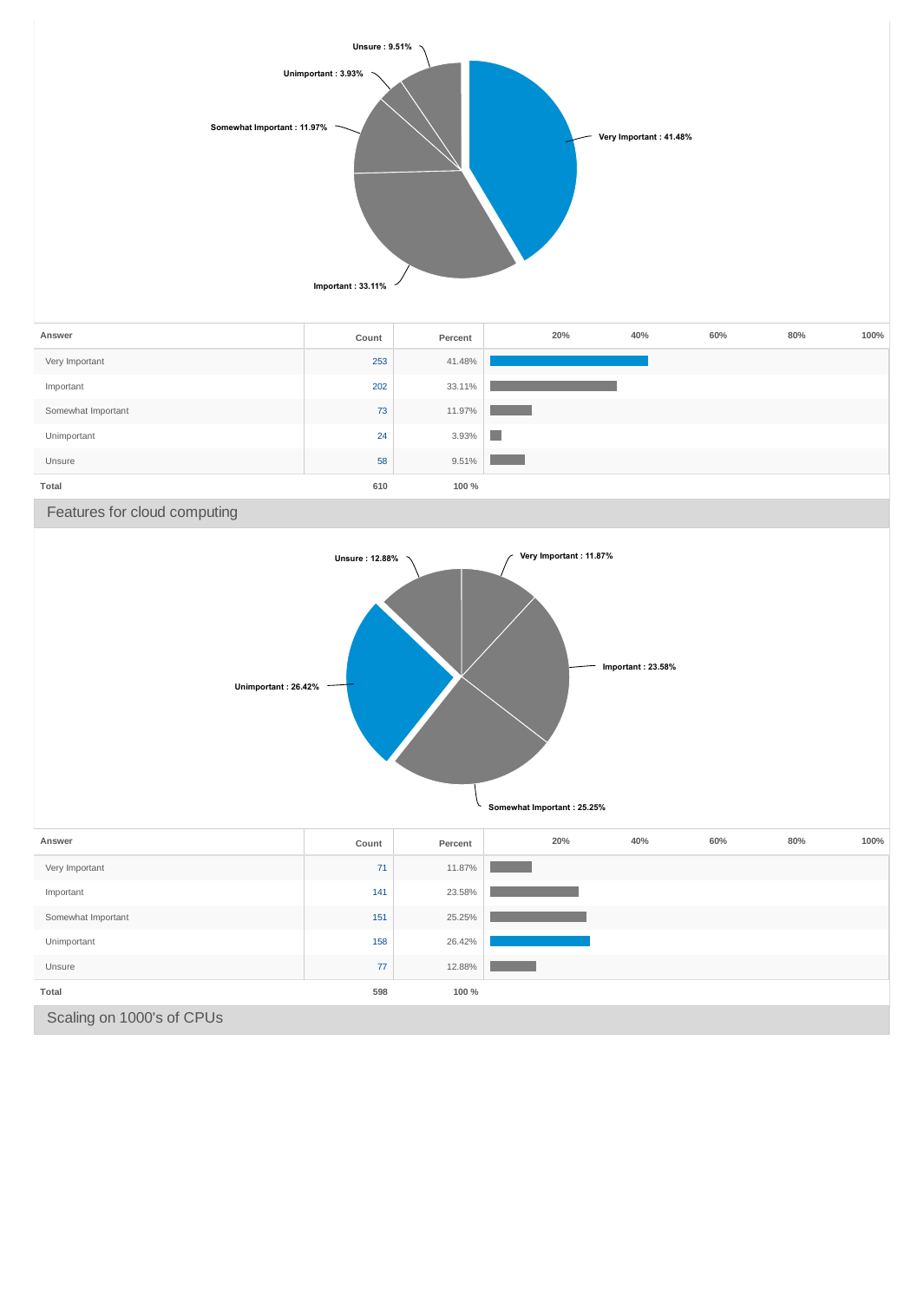

| Answer                    | Count | Percent | 20% | 40% | 60% | 80% | 100% |
|---------------------------|-------|---------|-----|-----|-----|-----|------|
| Very Important            | 71    | 11.87%  |     |     |     |     |      |
| Important                 | 141   | 23.58%  |     |     |     |     |      |
| Somewhat Important        | 151   | 25.25%  |     |     |     |     |      |
| Unimportant               | 158   | 26.42%  |     |     |     |     |      |
| Unsure                    | 77    | 12.88%  |     |     |     |     |      |
| Total                     | 598   | 100 %   |     |     |     |     |      |
| Scaling on 1000's of CPUs |       |         |     |     |     |     |      |

**Somewhat Important : 25.25%**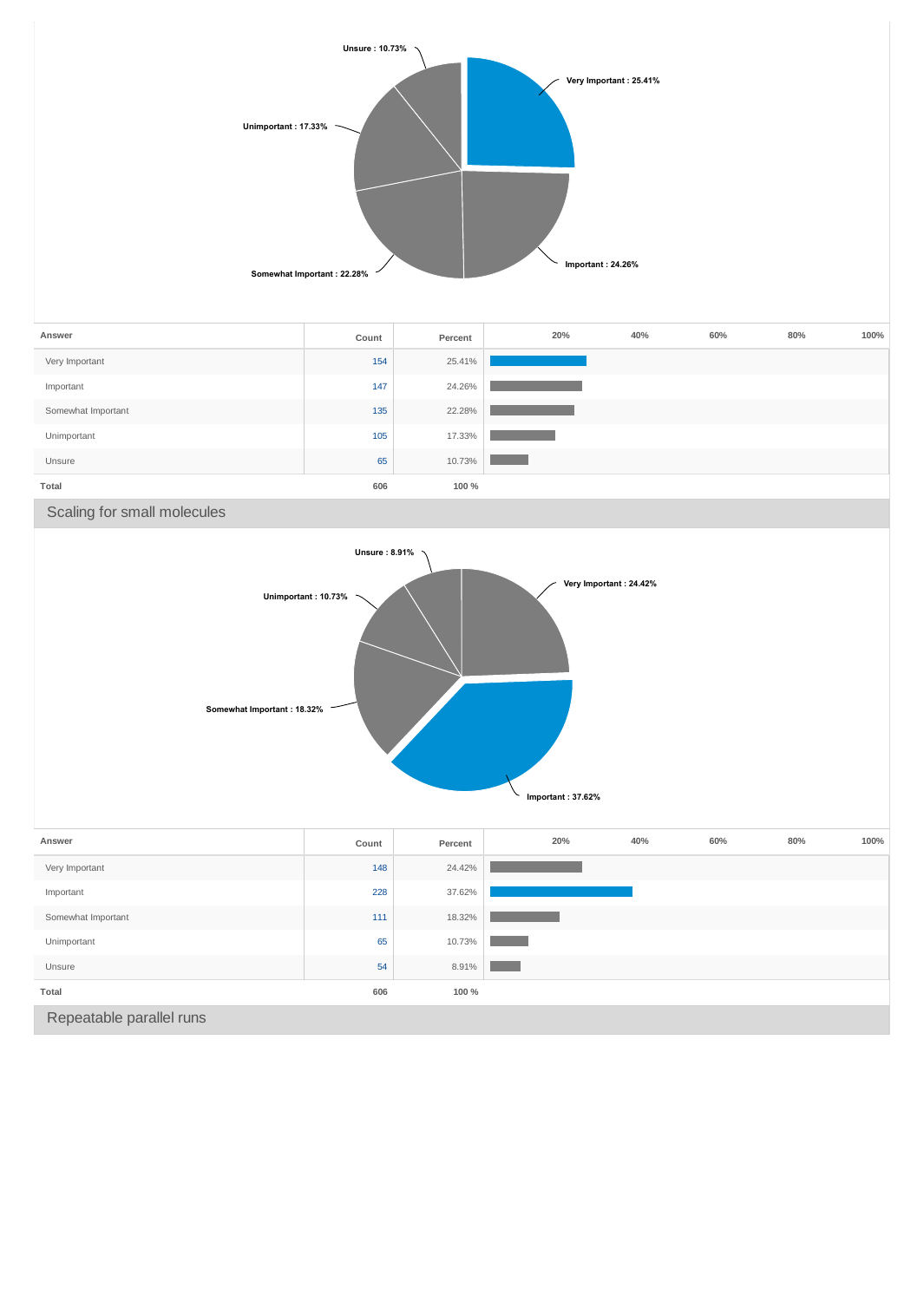

| Answer             | Count | Percent | 20% | 40% | 60% | 80% | 100% |
|--------------------|-------|---------|-----|-----|-----|-----|------|
| Very Important     | 154   | 25.41%  |     |     |     |     |      |
| Important          | 147   | 24.26%  |     |     |     |     |      |
| Somewhat Important | 135   | 22.28%  |     |     |     |     |      |
| Unimportant        | 105   | 17.33%  |     |     |     |     |      |
| Unsure             | 65    | 10.73%  |     |     |     |     |      |
| Total              | 606   | 100 %   |     |     |     |     |      |

Scaling for small molecules



| Answer                   | Count | Percent | 20% | 40% | 60% | 80% | 100% |
|--------------------------|-------|---------|-----|-----|-----|-----|------|
| Very Important           | 148   | 24.42%  |     |     |     |     |      |
| Important                | 228   | 37.62%  |     |     |     |     |      |
| Somewhat Important       | 111   | 18.32%  |     |     |     |     |      |
| Unimportant              | 65    | 10.73%  |     |     |     |     |      |
| Unsure                   | 54    | 8.91%   |     |     |     |     |      |
| Total                    | 606   | 100 %   |     |     |     |     |      |
| Repeatable parallel runs |       |         |     |     |     |     |      |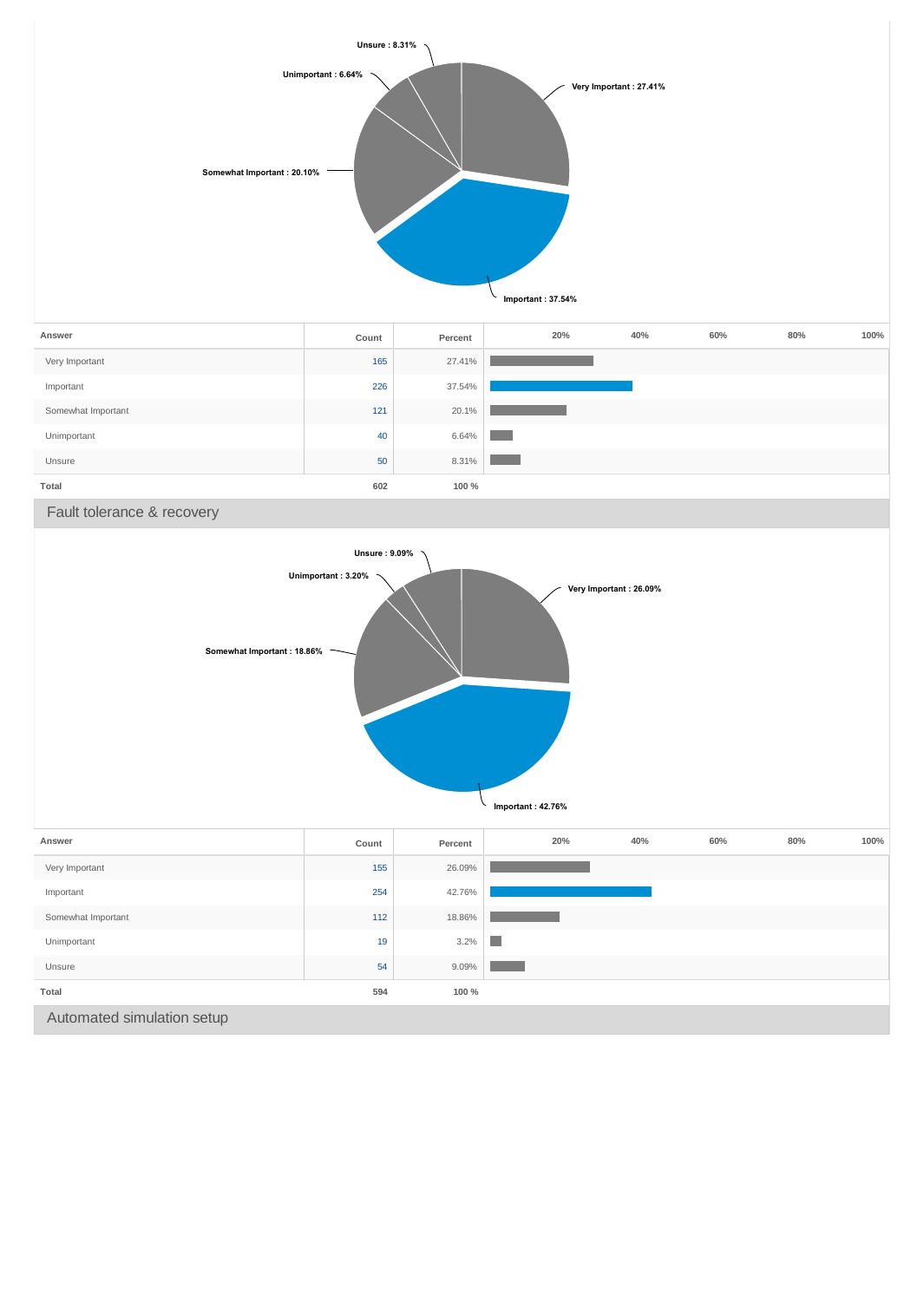

| Answer             | Count | Percent | 20% | 40% | 60% | 80% | 100% |
|--------------------|-------|---------|-----|-----|-----|-----|------|
| Very Important     | 165   | 27.41%  |     |     |     |     |      |
| Important          | 226   | 37.54%  |     |     |     |     |      |
| Somewhat Important | 121   | 20.1%   |     |     |     |     |      |
| Unimportant        | 40    | 6.64%   |     |     |     |     |      |
| Unsure             | 50    | 8.31%   |     |     |     |     |      |
| Total              | 602   | 100 %   |     |     |     |     |      |

Fault tolerance & recovery

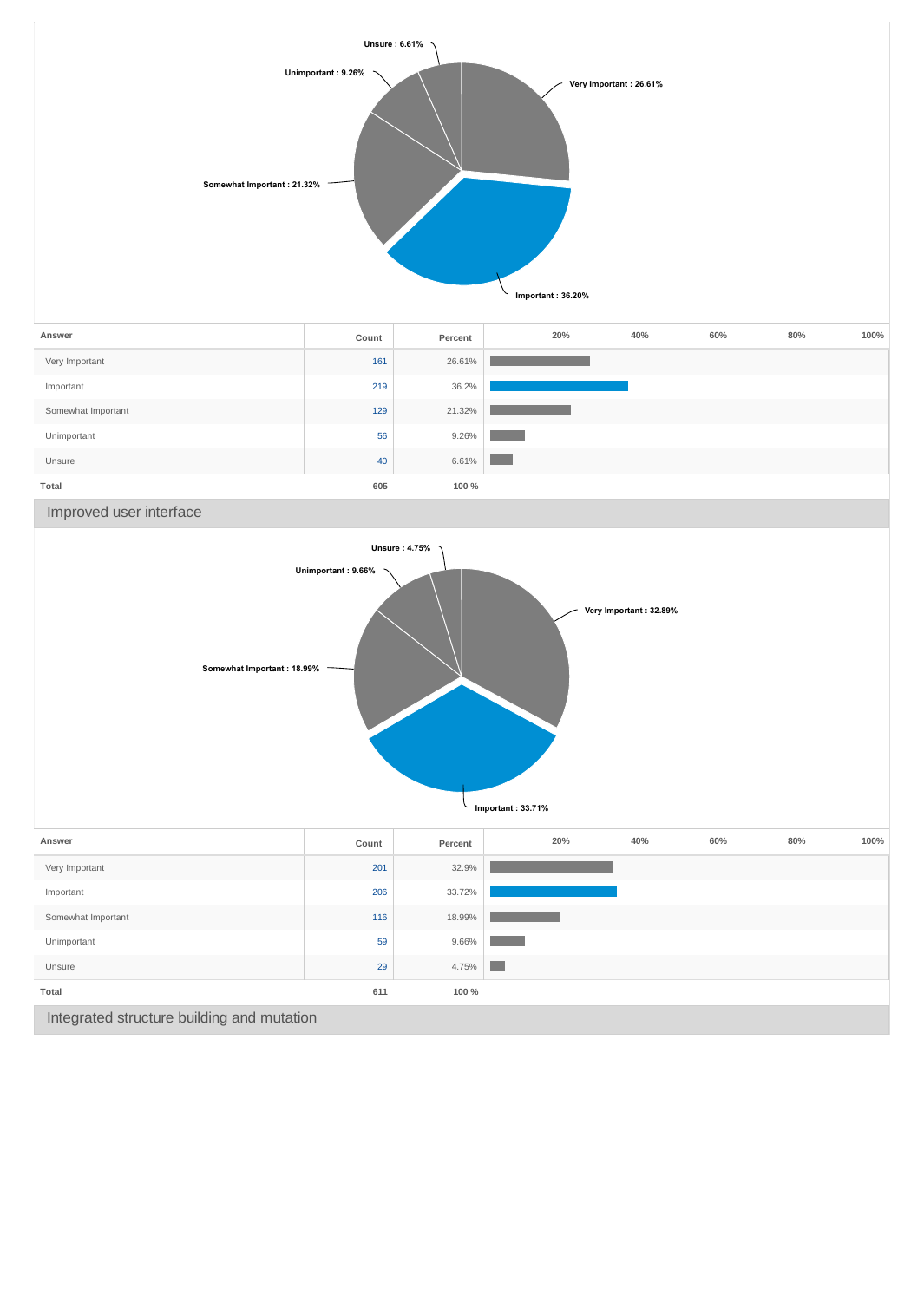

| Answer             | Count | Percent | 20% | 40% | 60% | 80% | 100% |
|--------------------|-------|---------|-----|-----|-----|-----|------|
| Very Important     | 161   | 26.61%  |     |     |     |     |      |
| Important          | 219   | 36.2%   |     |     |     |     |      |
| Somewhat Important | 129   | 21.32%  |     |     |     |     |      |
| Unimportant        | 56    | 9.26%   |     |     |     |     |      |
| Unsure             | 40    | 6.61%   |     |     |     |     |      |
| Total              | 605   | 100 %   |     |     |     |     |      |

Improved user interface

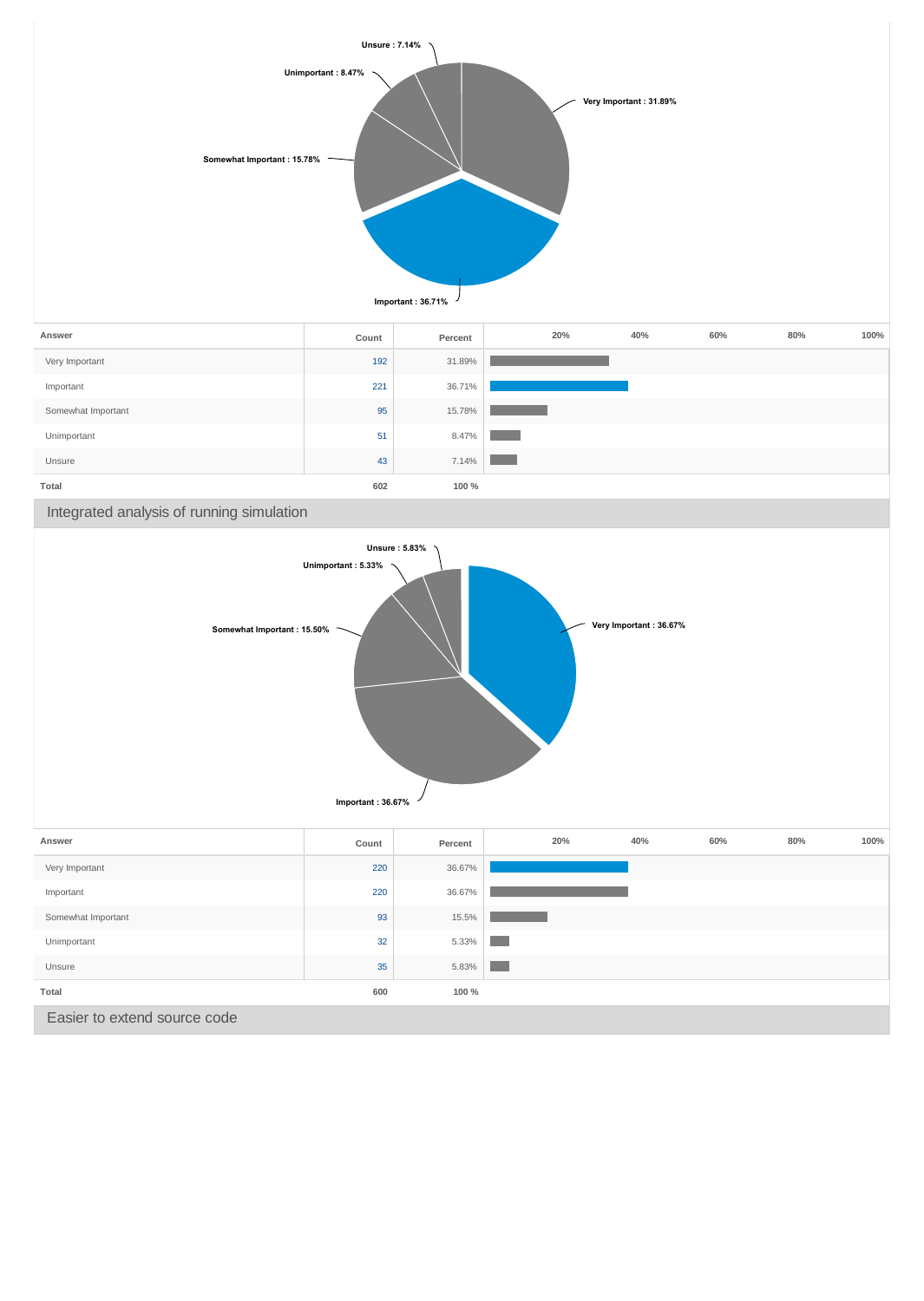

| Answer             | Count | Percent | 20% | 40% | 60% | 80% | 100% |
|--------------------|-------|---------|-----|-----|-----|-----|------|
| Very Important     | 192   | 31.89%  |     |     |     |     |      |
| Important          | 221   | 36.71%  |     |     |     |     |      |
| Somewhat Important | 95    | 15.78%  |     |     |     |     |      |
| Unimportant        | 51    | 8.47%   |     |     |     |     |      |
| Unsure             | 43    | 7.14%   |     |     |     |     |      |
| Total              | 602   | 100 %   |     |     |     |     |      |

Integrated analysis of running simulation



| Answer                       | Count | Percent | 20% | 40% | 60% | 80% | 100% |
|------------------------------|-------|---------|-----|-----|-----|-----|------|
| Very Important               | 220   | 36.67%  |     |     |     |     |      |
| Important                    | 220   | 36.67%  |     |     |     |     |      |
| Somewhat Important           | 93    | 15.5%   |     |     |     |     |      |
| Unimportant                  | 32    | 5.33%   |     |     |     |     |      |
| Unsure                       | 35    | 5.83%   |     |     |     |     |      |
| Total                        | 600   | 100 %   |     |     |     |     |      |
| Easier to extend source code |       |         |     |     |     |     |      |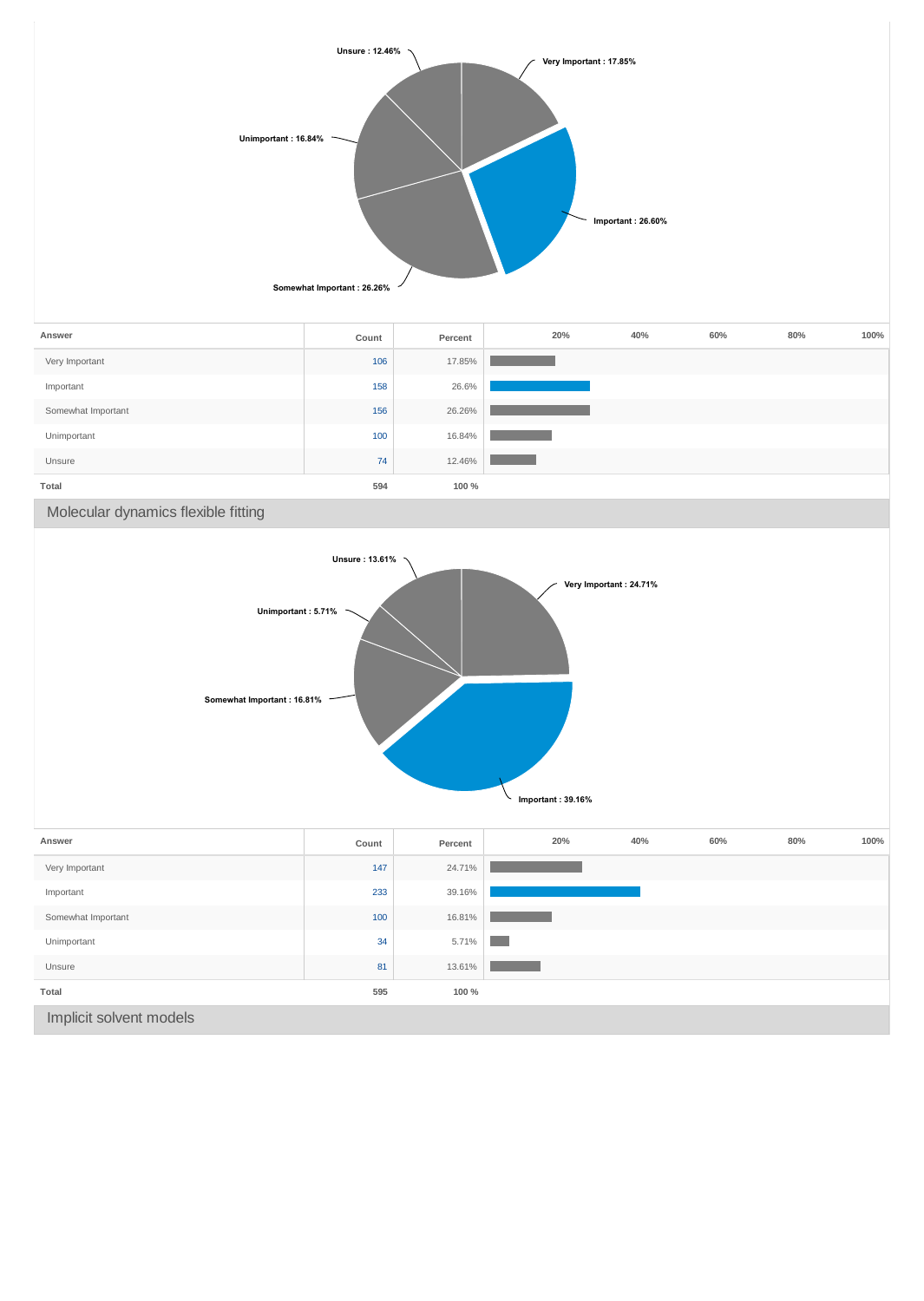

| Answer                  | Count | Percent | 20%               | 40% | 60% | 80% | 100% |
|-------------------------|-------|---------|-------------------|-----|-----|-----|------|
| Very Important          | 147   | 24.71%  |                   |     |     |     |      |
| Important               | 233   | 39.16%  |                   |     |     |     |      |
| Somewhat Important      | 100   | 16.81%  |                   |     |     |     |      |
| Unimportant             | 34    | 5.71%   | <b>CONTRACTOR</b> |     |     |     |      |
| Unsure                  | 81    | 13.61%  |                   |     |     |     |      |
| Total                   | 595   | 100 %   |                   |     |     |     |      |
| Implicit solvent models |       |         |                   |     |     |     |      |

**Important : 39.16%**

∖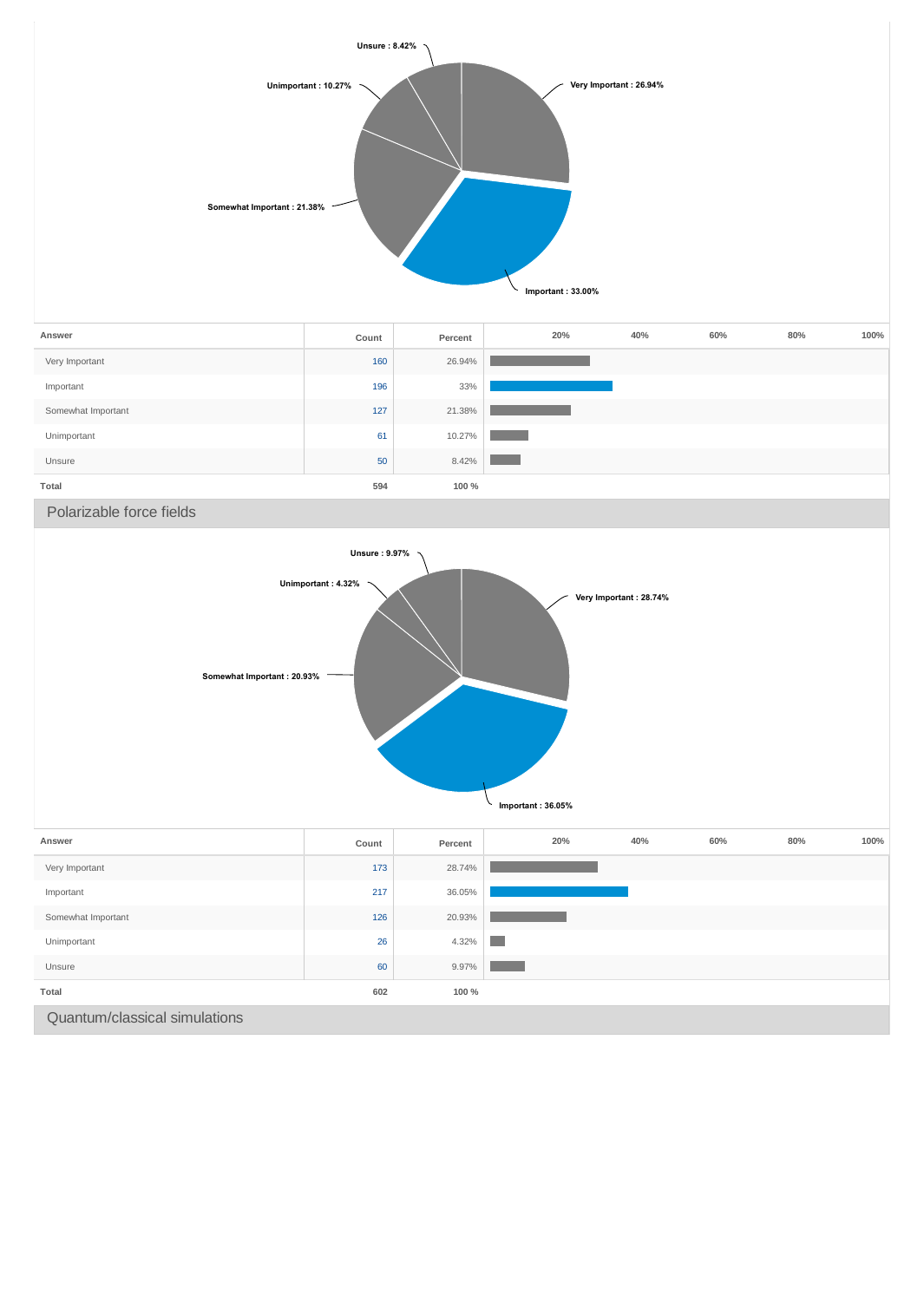

| Answer             | Count | Percent | 20% | 40% | 60% | 80% | 100% |
|--------------------|-------|---------|-----|-----|-----|-----|------|
| Very Important     | 160   | 26.94%  |     |     |     |     |      |
| Important          | 196   | 33%     |     |     |     |     |      |
| Somewhat Important | 127   | 21.38%  |     |     |     |     |      |
| Unimportant        | 61    | 10.27%  |     |     |     |     |      |
| Unsure             | 50    | 8.42%   |     |     |     |     |      |
| Total              | 594   | 100 %   |     |     |     |     |      |

Polarizable force fields

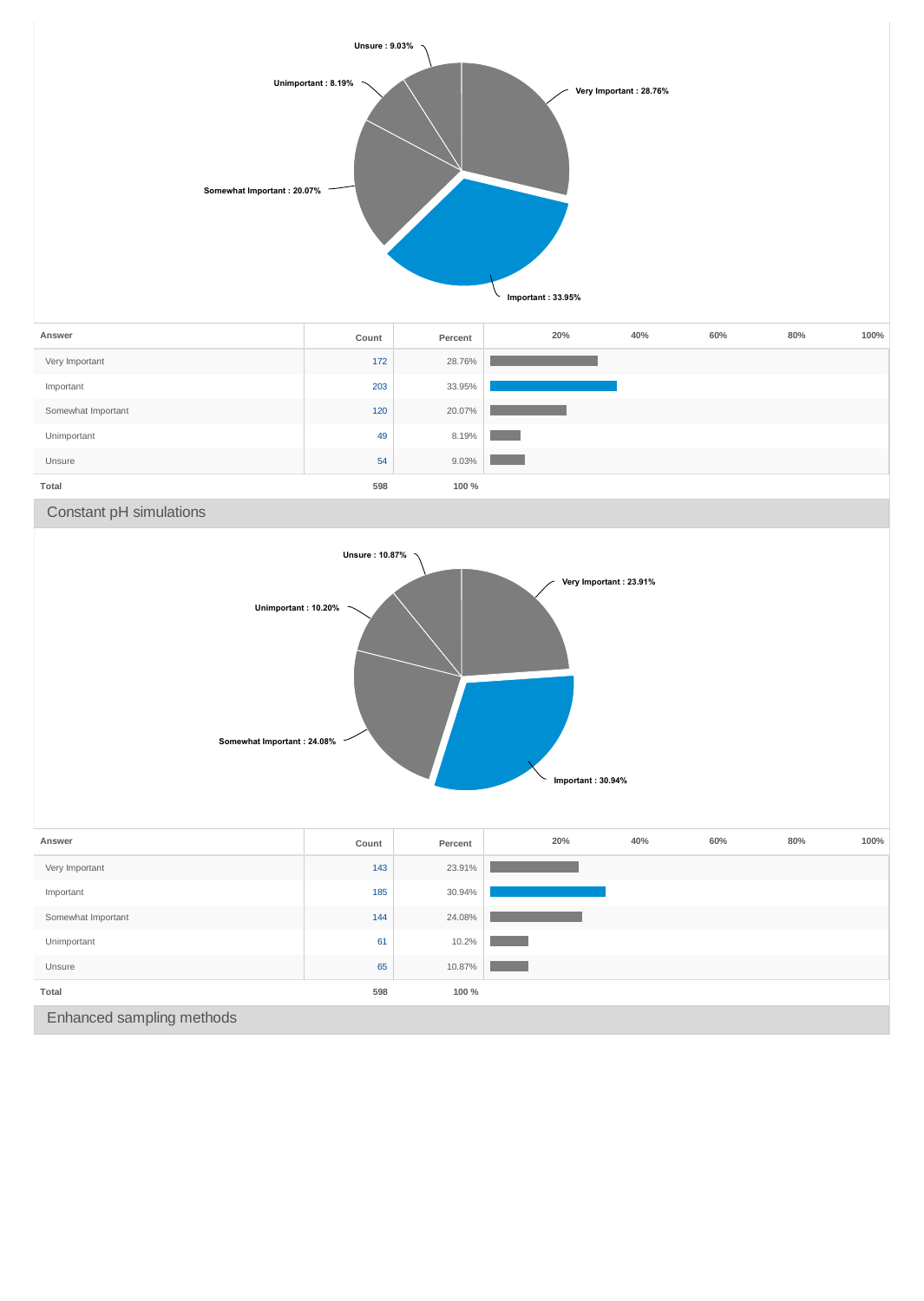

| Answer             | Count | Percent | 20% | 40% | 60% | 80% | 100% |
|--------------------|-------|---------|-----|-----|-----|-----|------|
| Very Important     | 172   | 28.76%  |     |     |     |     |      |
| Important          | 203   | 33.95%  |     |     |     |     |      |
| Somewhat Important | 120   | 20.07%  |     |     |     |     |      |
| Unimportant        | 49    | 8.19%   |     |     |     |     |      |
| Unsure             | 54    | 9.03%   |     |     |     |     |      |
| Total              | 598   | 100 %   |     |     |     |     |      |

Constant pH simulations



| Answer                    | Count | Percent | 20% | 40% | 60% | 80% | 100% |  |
|---------------------------|-------|---------|-----|-----|-----|-----|------|--|
| Very Important            | 143   | 23.91%  |     |     |     |     |      |  |
| Important                 | 185   | 30.94%  |     |     |     |     |      |  |
| Somewhat Important        | 144   | 24.08%  |     |     |     |     |      |  |
| Unimportant               | 61    | 10.2%   |     |     |     |     |      |  |
| Unsure                    | 65    | 10.87%  |     |     |     |     |      |  |
| Total                     | 598   | 100 %   |     |     |     |     |      |  |
| Enhanced sampling methods |       |         |     |     |     |     |      |  |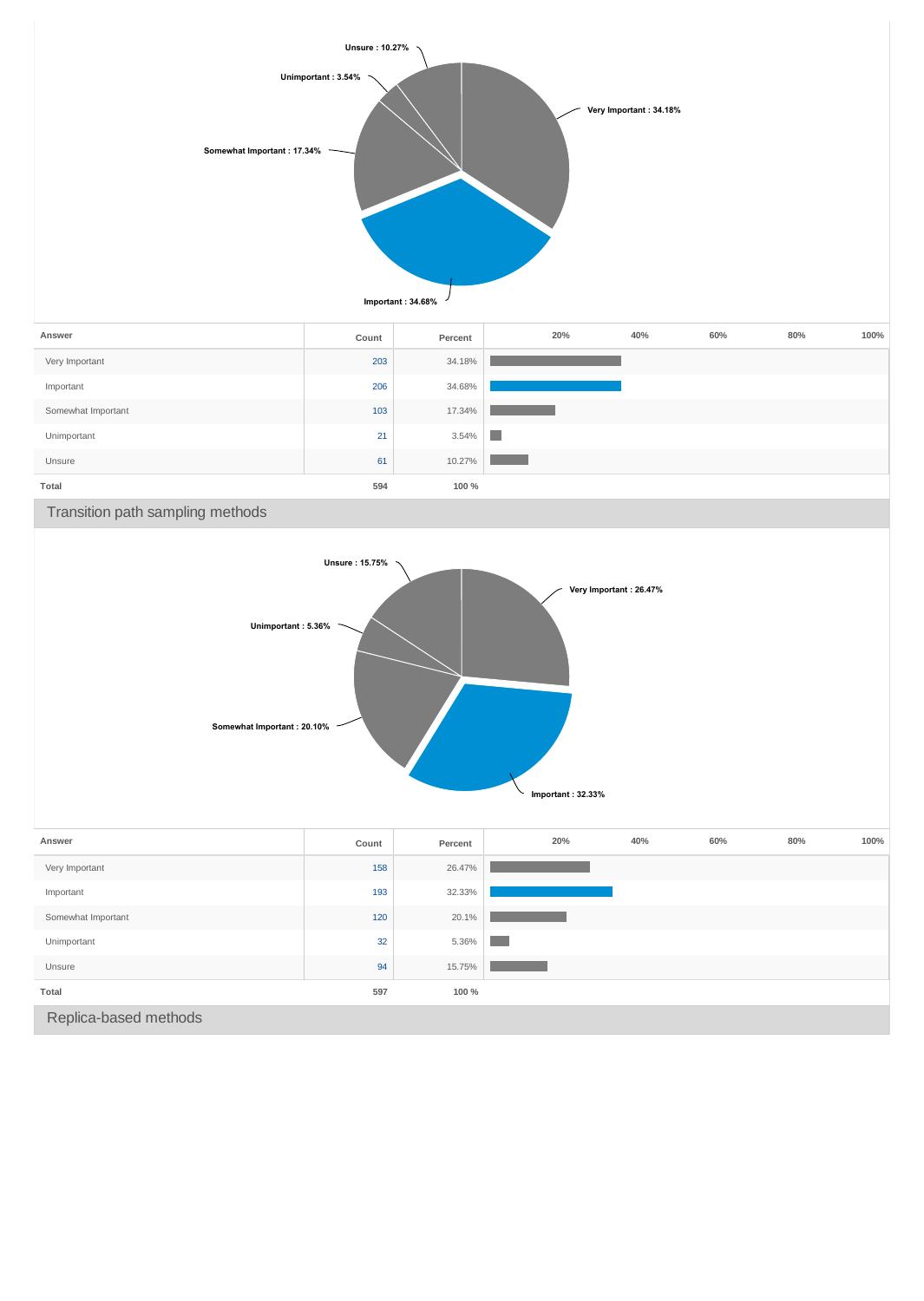

Replica-based methods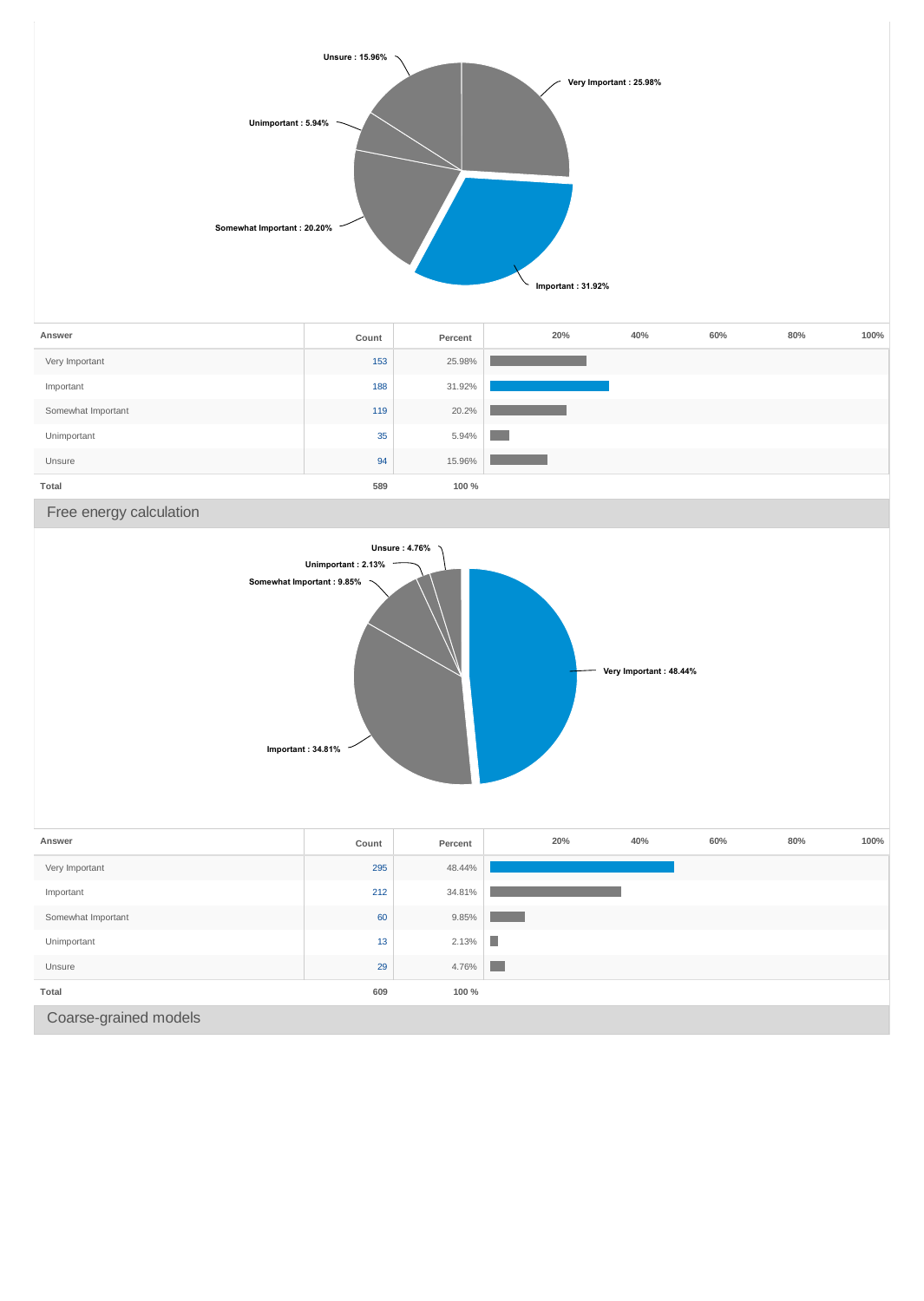

Coarse-grained models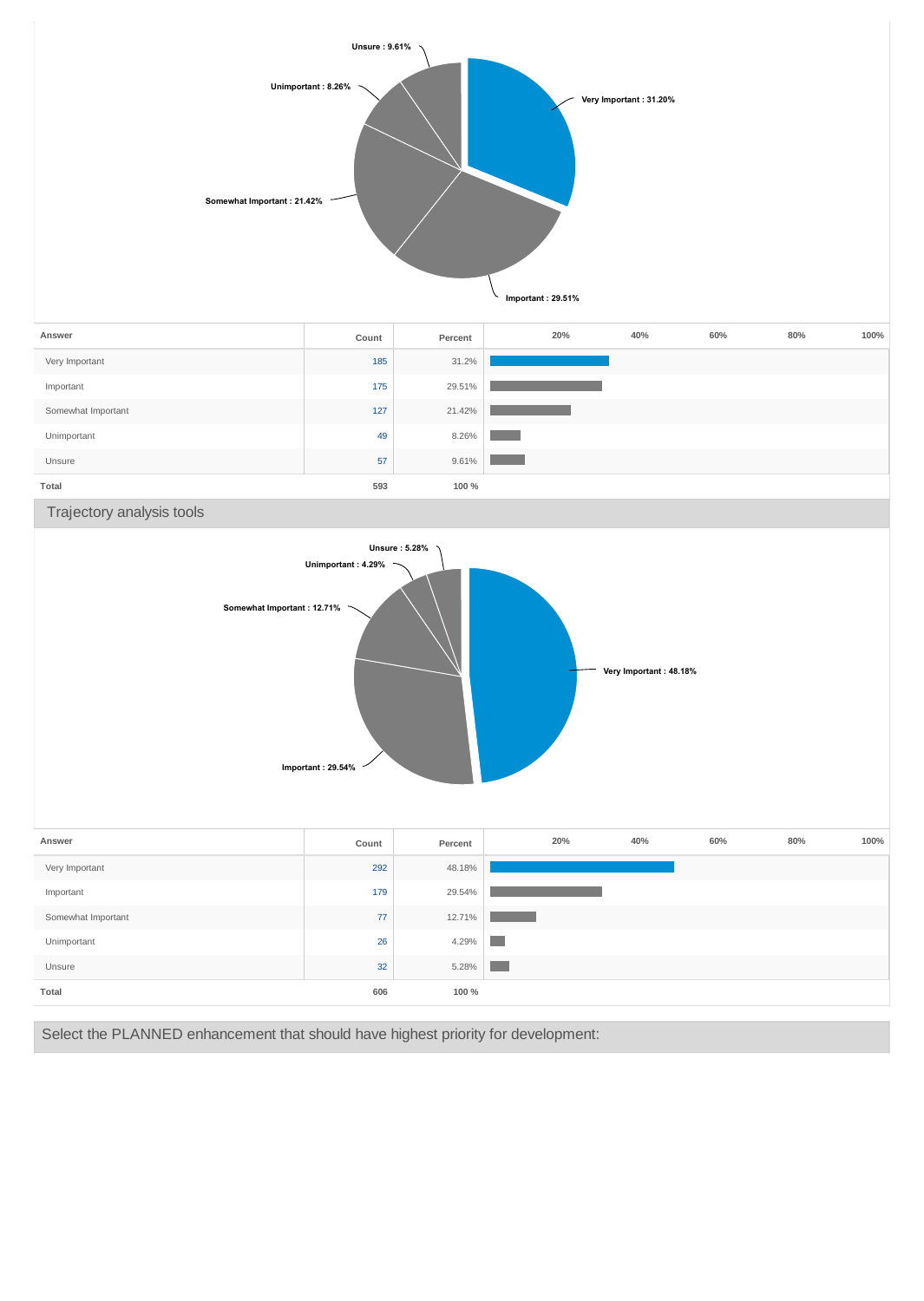

Select the PLANNED enhancement that should have highest priority for development:

**Total 606 100 %**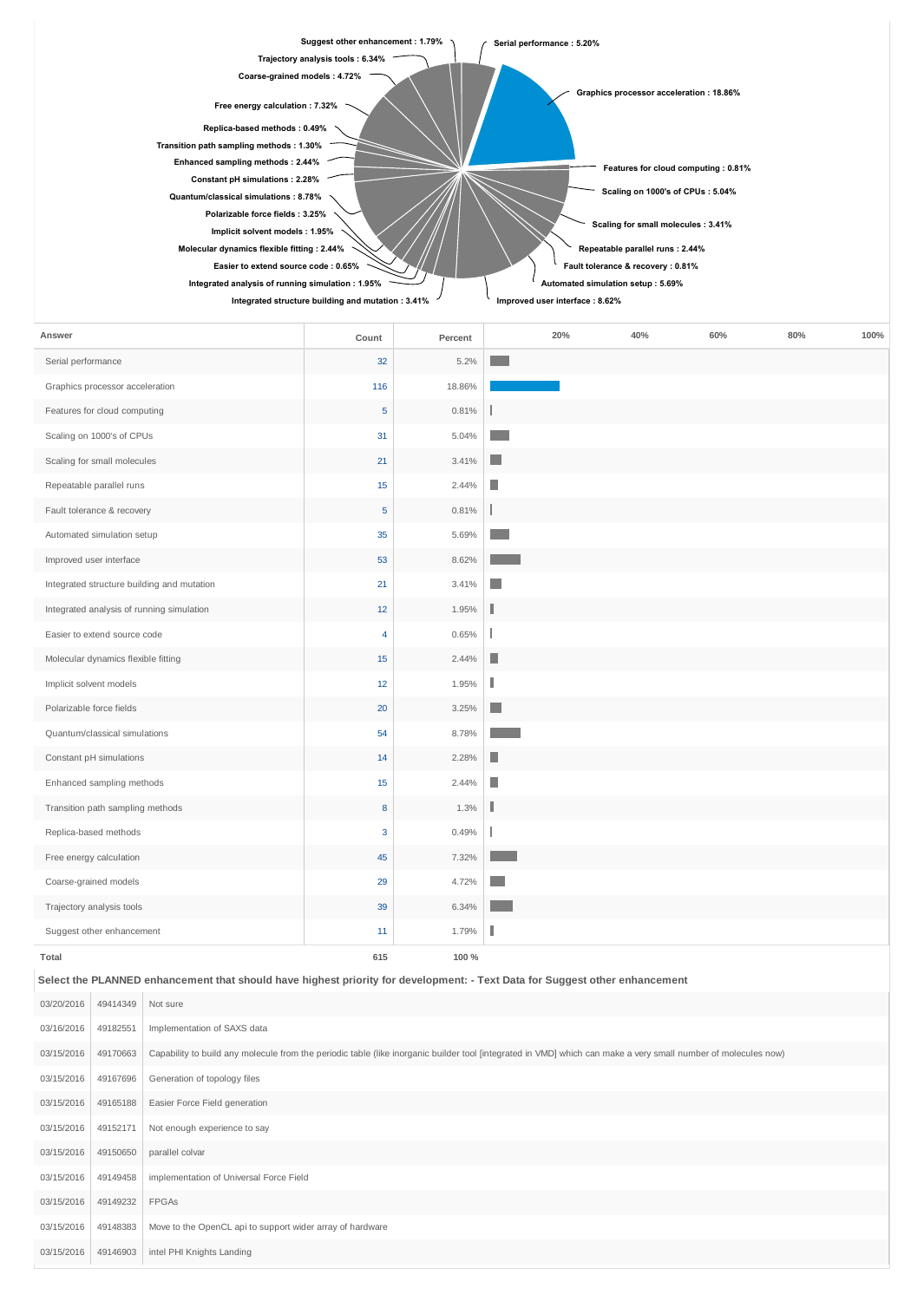| Suggest other enhancement: 1.79%                  | Serial performance: 5.20%               |
|---------------------------------------------------|-----------------------------------------|
| Trajectory analysis tools: 6.34%                  |                                         |
| Coarse-grained models: 4.72%                      | Graphics processor acceleration: 18.86% |
| Free energy calculation : 7.32%                   |                                         |
| Replica-based methods: 0.49%                      |                                         |
| Transition path sampling methods: 1.30%           |                                         |
| Enhanced sampling methods: 2.44%                  | Features for cloud computing : 0.81%    |
| Constant pH simulations: 2.28%                    |                                         |
| Quantum/classical simulations: 8.78%              | Scaling on 1000's of CPUs: 5.04%        |
| Polarizable force fields: 3.25%                   |                                         |
| Implicit solvent models: 1.95%                    | Scaling for small molecules : 3.41%     |
| Molecular dynamics flexible fitting : 2.44%       | Repeatable parallel runs : 2.44%        |
| Easier to extend source code : 0.65%              | Fault tolerance & recovery : 0.81%      |
| Integrated analysis of running simulation : 1.95% | Automated simulation setup: 5.69%       |
| Integrated structure building and mutation: 3.41% | Improved user interface: 8.62%          |

| Answer                                     | Count | Percent |    | 20% | 40% | 60% | 80% | 100% |
|--------------------------------------------|-------|---------|----|-----|-----|-----|-----|------|
| Serial performance                         | 32    | 5.2%    |    |     |     |     |     |      |
| Graphics processor acceleration            | 116   | 18.86%  |    |     |     |     |     |      |
| Features for cloud computing               | 5     | 0.81%   |    |     |     |     |     |      |
| Scaling on 1000's of CPUs                  | 31    | 5.04%   |    |     |     |     |     |      |
| Scaling for small molecules                | 21    | 3.41%   | n. |     |     |     |     |      |
| Repeatable parallel runs                   | 15    | 2.44%   | П  |     |     |     |     |      |
| Fault tolerance & recovery                 | 5     | 0.81%   |    |     |     |     |     |      |
| Automated simulation setup                 | 35    | 5.69%   |    |     |     |     |     |      |
| Improved user interface                    | 53    | 8.62%   |    |     |     |     |     |      |
| Integrated structure building and mutation | 21    | 3.41%   | ٠  |     |     |     |     |      |
| Integrated analysis of running simulation  | 12    | 1.95%   |    |     |     |     |     |      |
| Easier to extend source code               | 4     | 0.65%   |    |     |     |     |     |      |
| Molecular dynamics flexible fitting        | 15    | 2.44%   | Ш  |     |     |     |     |      |
| Implicit solvent models                    | 12    | 1.95%   | П  |     |     |     |     |      |
| Polarizable force fields                   | 20    | 3.25%   | n. |     |     |     |     |      |
| Quantum/classical simulations              | 54    | 8.78%   |    |     |     |     |     |      |
| Constant pH simulations                    | 14    | 2.28%   | ш  |     |     |     |     |      |
| Enhanced sampling methods                  | 15    | 2.44%   | П  |     |     |     |     |      |
| Transition path sampling methods           | 8     | 1.3%    | Г  |     |     |     |     |      |
| Replica-based methods                      | 3     | 0.49%   |    |     |     |     |     |      |
| Free energy calculation                    | 45    | 7.32%   |    |     |     |     |     |      |
| Coarse-grained models                      | 29    | 4.72%   |    |     |     |     |     |      |
| Trajectory analysis tools                  | 39    | 6.34%   |    |     |     |     |     |      |
| Suggest other enhancement                  | 11    | 1.79%   |    |     |     |     |     |      |
| Total                                      | 615   | 100 %   |    |     |     |     |     |      |

**Select the PLANNED enhancement that should have highest priority for development: - Text Data for Suggest other enhancement**

| 03/20/2016 | 49414349 | Not sure                                                                                                                                                       |
|------------|----------|----------------------------------------------------------------------------------------------------------------------------------------------------------------|
| 03/16/2016 | 49182551 | Implementation of SAXS data                                                                                                                                    |
| 03/15/2016 | 49170663 | Capability to build any molecule from the periodic table (like inorganic builder tool [integrated in VMD] which can make a very small number of molecules now) |
| 03/15/2016 | 49167696 | Generation of topology files                                                                                                                                   |
| 03/15/2016 | 49165188 | Easier Force Field generation                                                                                                                                  |
| 03/15/2016 | 49152171 | Not enough experience to say                                                                                                                                   |
| 03/15/2016 | 49150650 | parallel colvar                                                                                                                                                |
| 03/15/2016 | 49149458 | implementation of Universal Force Field                                                                                                                        |
| 03/15/2016 | 49149232 | <b>FPGAS</b>                                                                                                                                                   |
| 03/15/2016 | 49148383 | Move to the OpenCL api to support wider array of hardware                                                                                                      |
| 03/15/2016 | 49146903 | intel PHI Knights Landing                                                                                                                                      |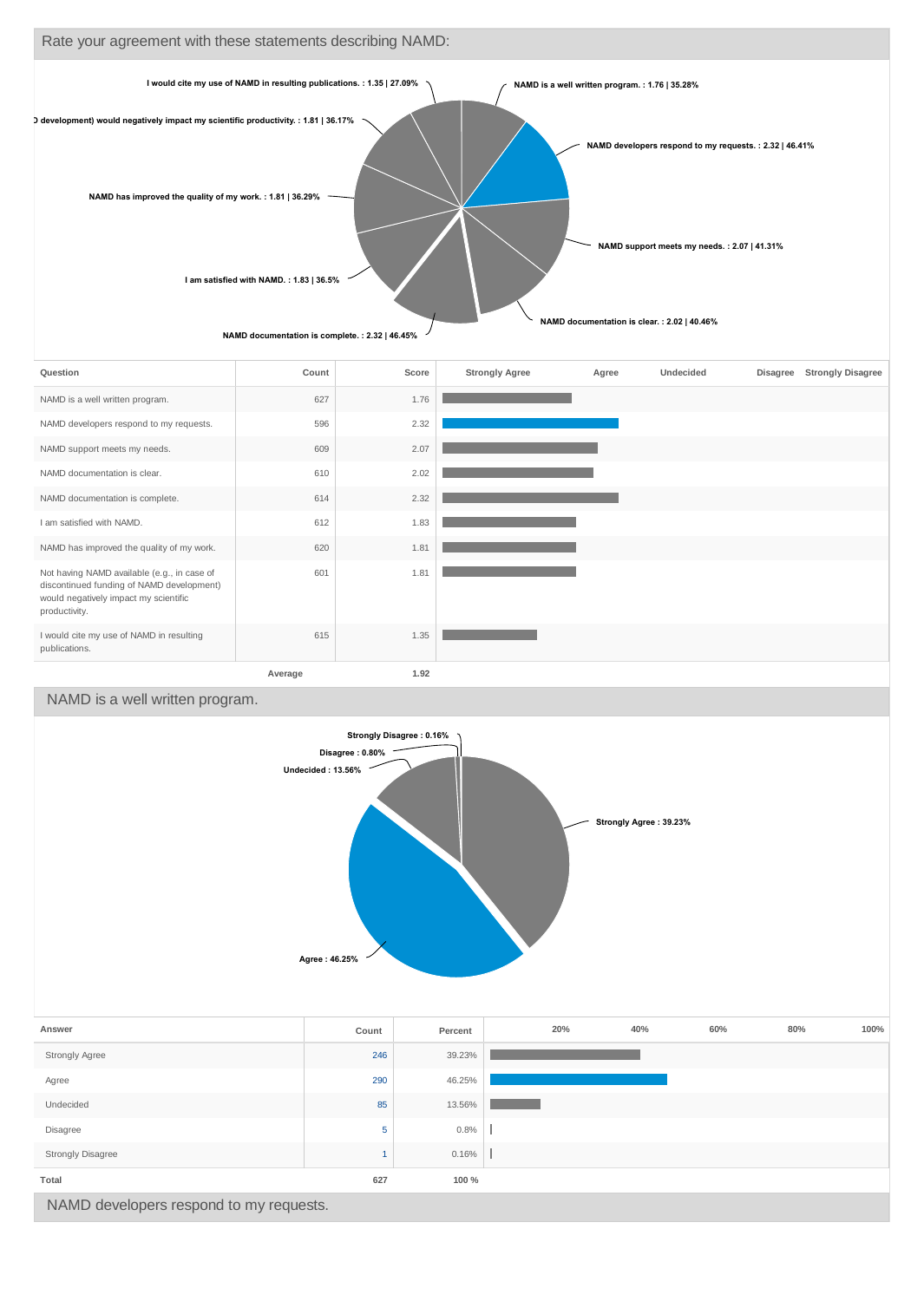

| Question                                                                                                                                           | Count   | Score | <b>Strongly Agree</b> | Agree | <b>Undecided</b> | Disagree | <b>Strongly Disagree</b> |
|----------------------------------------------------------------------------------------------------------------------------------------------------|---------|-------|-----------------------|-------|------------------|----------|--------------------------|
| NAMD is a well written program.                                                                                                                    | 627     | 1.76  |                       |       |                  |          |                          |
| NAMD developers respond to my requests.                                                                                                            | 596     | 2.32  |                       |       |                  |          |                          |
| NAMD support meets my needs.                                                                                                                       | 609     | 2.07  |                       |       |                  |          |                          |
| NAMD documentation is clear.                                                                                                                       | 610     | 2.02  |                       |       |                  |          |                          |
| NAMD documentation is complete.                                                                                                                    | 614     | 2.32  |                       |       |                  |          |                          |
| I am satisfied with NAMD.                                                                                                                          | 612     | 1.83  |                       |       |                  |          |                          |
| NAMD has improved the quality of my work.                                                                                                          | 620     | 1.81  |                       |       |                  |          |                          |
| Not having NAMD available (e.g., in case of<br>discontinued funding of NAMD development)<br>would negatively impact my scientific<br>productivity. | 601     | 1.81  |                       |       |                  |          |                          |
| I would cite my use of NAMD in resulting<br>publications.                                                                                          | 615     | 1.35  |                       |       |                  |          |                          |
|                                                                                                                                                    | Average | 1.92  |                       |       |                  |          |                          |

### NAMD is a well written program.



|                                         |     | .      |  |  |  |  |  |
|-----------------------------------------|-----|--------|--|--|--|--|--|
| Strongly Agree                          | 246 | 39.23% |  |  |  |  |  |
| Agree                                   | 290 | 46.25% |  |  |  |  |  |
| Undecided                               | 85  | 13.56% |  |  |  |  |  |
| Disagree                                | 5   | 0.8%   |  |  |  |  |  |
| <b>Strongly Disagree</b>                |     | 0.16%  |  |  |  |  |  |
| Total                                   | 627 | 100 %  |  |  |  |  |  |
| NAMD developers respond to my requests. |     |        |  |  |  |  |  |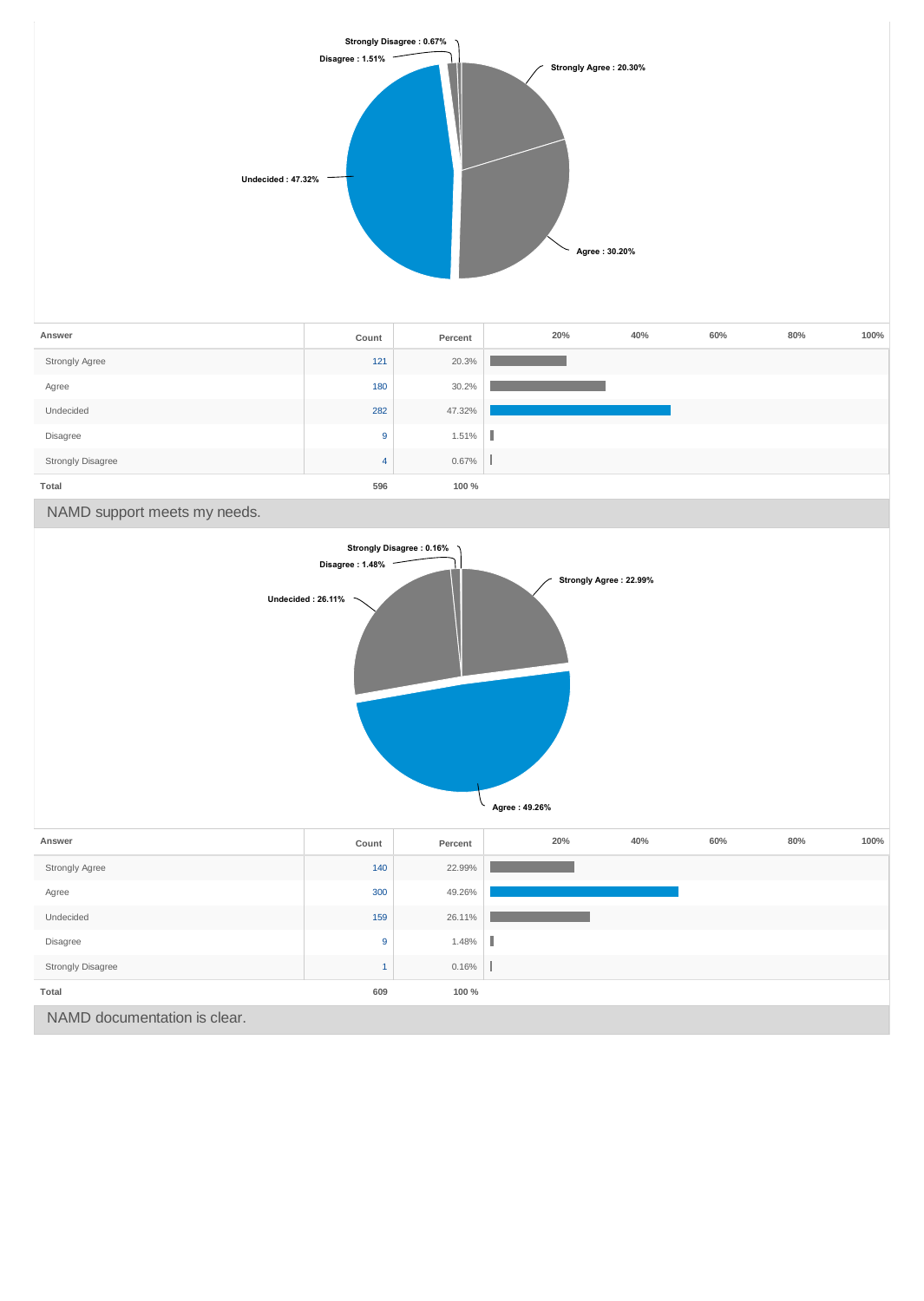

| Answer            | Count | Percent | 20% | 40% | 60% | 80% | 100% |
|-------------------|-------|---------|-----|-----|-----|-----|------|
| Strongly Agree    | 121   | 20.3%   |     |     |     |     |      |
| Agree             | 180   | 30.2%   |     |     |     |     |      |
| Undecided         | 282   | 47.32%  |     |     |     |     |      |
| Disagree          | 9     | 1.51%   |     |     |     |     |      |
| Strongly Disagree | 4     | 0.67%   |     |     |     |     |      |
| Total             | 596   | 100 %   |     |     |     |     |      |

NAMD support meets my needs.

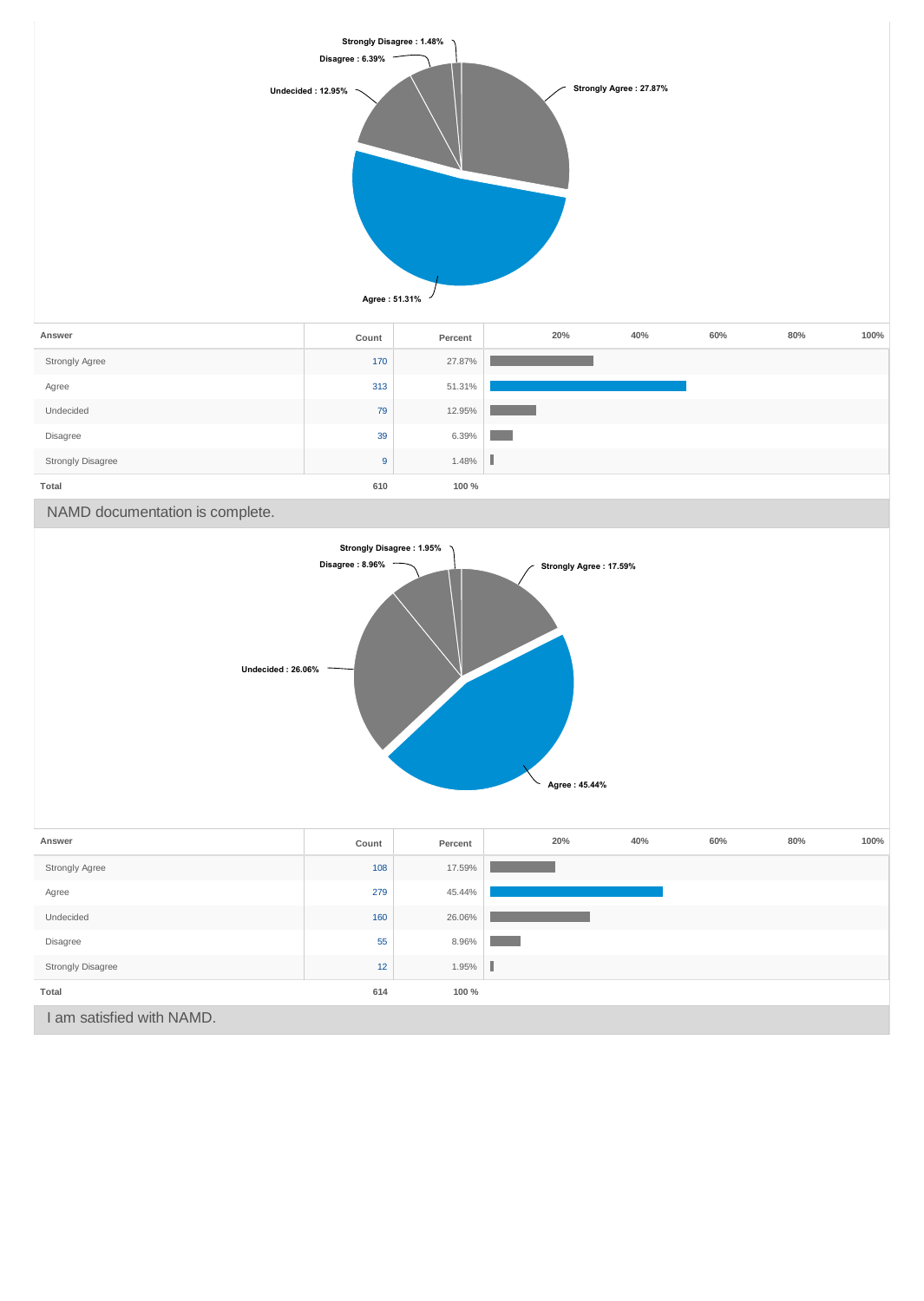

**Agree : 45.44%**

| Answer                   | Count | Percent | 20% | 40% | 60% | 80% | 100% |
|--------------------------|-------|---------|-----|-----|-----|-----|------|
| Strongly Agree           | 108   | 17.59%  |     |     |     |     |      |
| Agree                    | 279   | 45.44%  |     |     |     |     |      |
| Undecided                | 160   | 26.06%  |     |     |     |     |      |
| Disagree                 | 55    | 8.96%   |     |     |     |     |      |
| <b>Strongly Disagree</b> | 12    | 1.95%   |     |     |     |     |      |
| Total                    | 614   | 100 %   |     |     |     |     |      |
| am satisfied with NAMD.  |       |         |     |     |     |     |      |
|                          |       |         |     |     |     |     |      |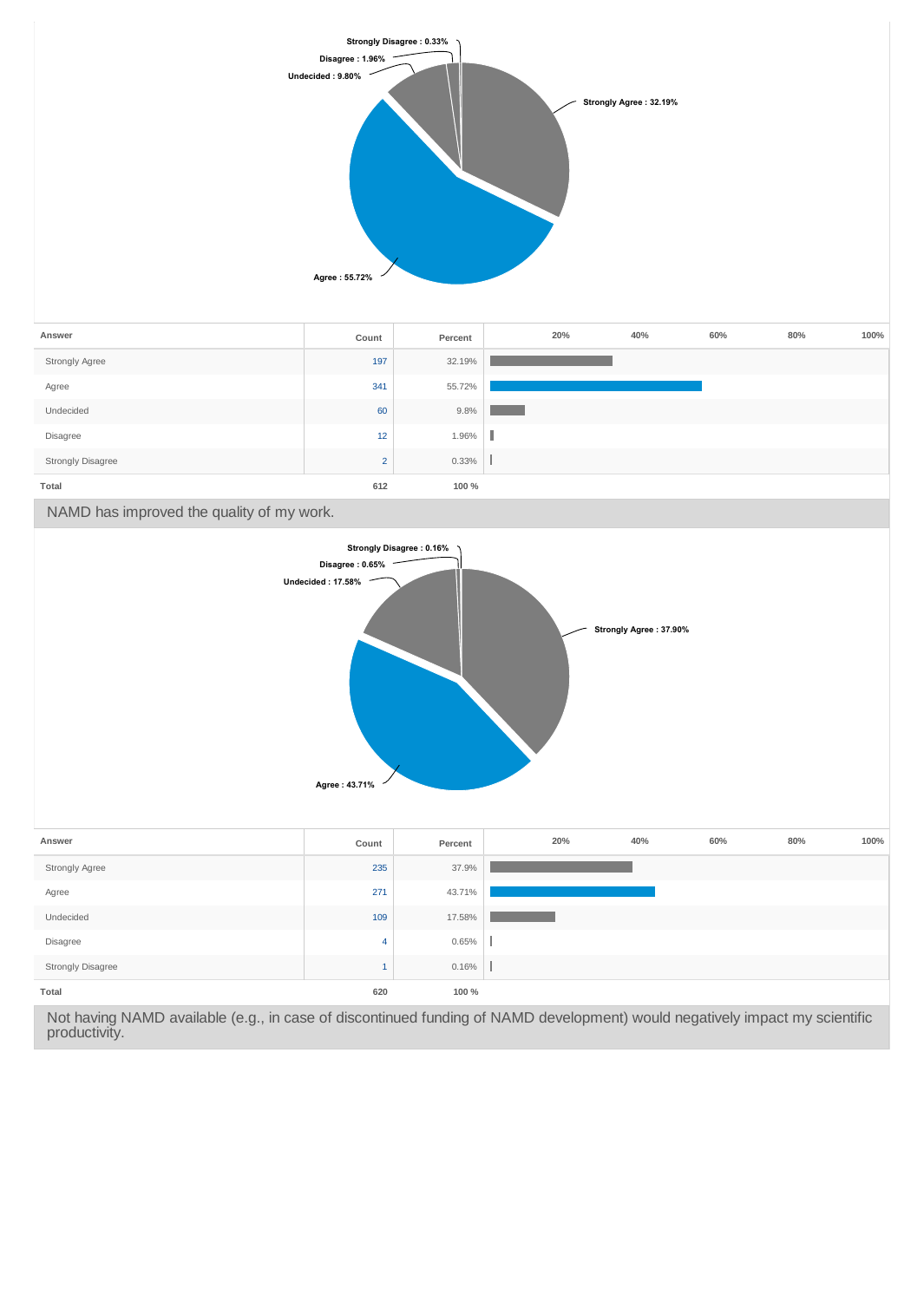

| Answer                   | Count          | Percent | 20% | 40% | 60% | 80% | 100% |
|--------------------------|----------------|---------|-----|-----|-----|-----|------|
| Strongly Agree           | 197            | 32.19%  |     |     |     |     |      |
| Agree                    | 341            | 55.72%  |     |     |     |     |      |
| Undecided                | 60             | 9.8%    |     |     |     |     |      |
| Disagree                 | 12             | 1.96%   |     |     |     |     |      |
| <b>Strongly Disagree</b> | $\overline{2}$ | 0.33%   |     |     |     |     |      |
| Total                    | 612            | 100 %   |     |     |     |     |      |

NAMD has improved the quality of my work.



| Answer                   | Count | Percent | 20% | 40% | 60% | 80% | 100% |
|--------------------------|-------|---------|-----|-----|-----|-----|------|
| Strongly Agree           | 235   | 37.9%   |     |     |     |     |      |
| Agree                    | 271   | 43.71%  |     |     |     |     |      |
| Undecided                | 109   | 17.58%  |     |     |     |     |      |
| Disagree                 | 4     | 0.65%   |     |     |     |     |      |
| <b>Strongly Disagree</b> |       | 0.16%   |     |     |     |     |      |
| Total                    | 620   | 100 %   |     |     |     |     |      |

Not having NAMD available (e.g., in case of discontinued funding of NAMD development) would negatively impact my scientific productivity.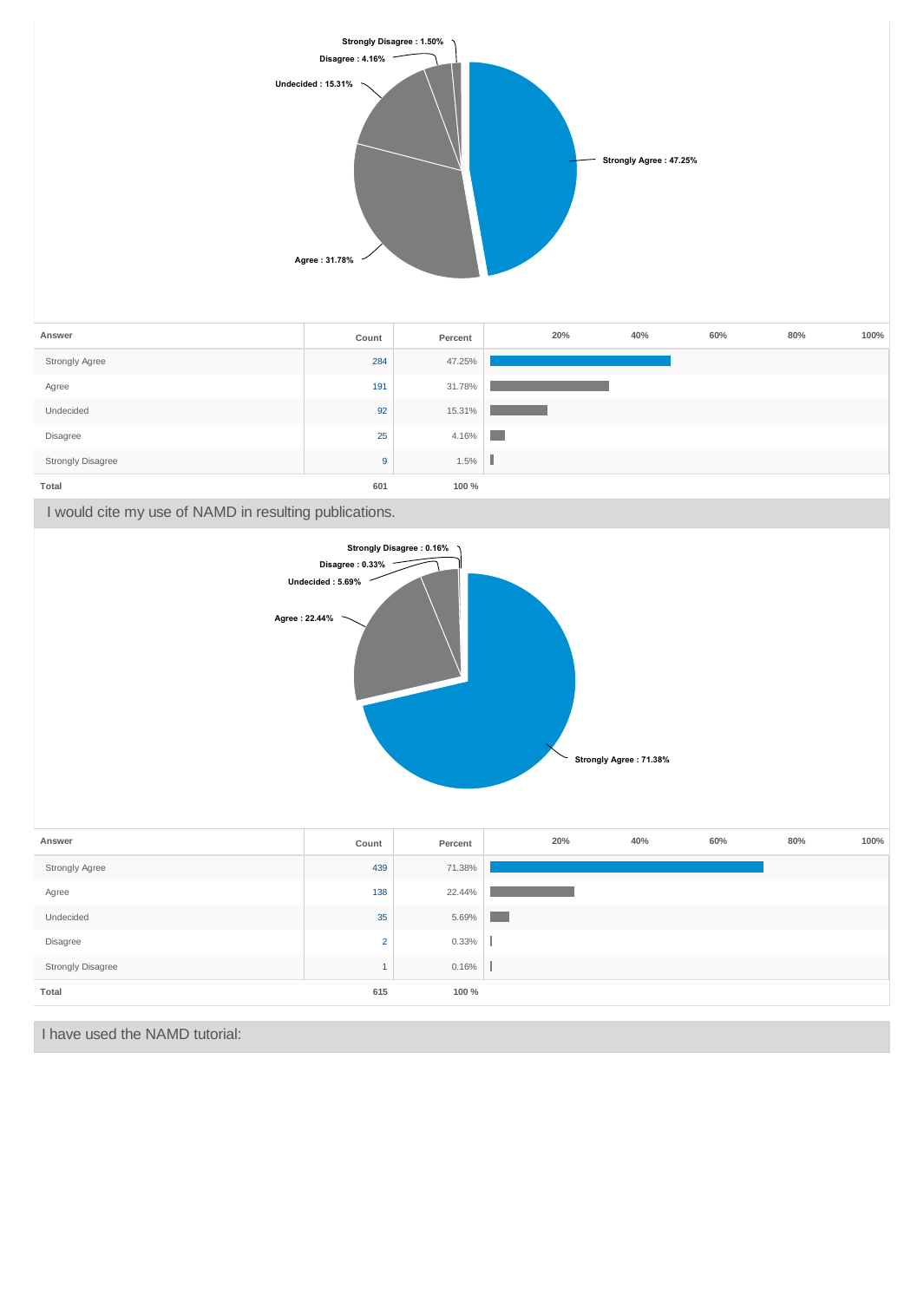

I have used the NAMD tutorial: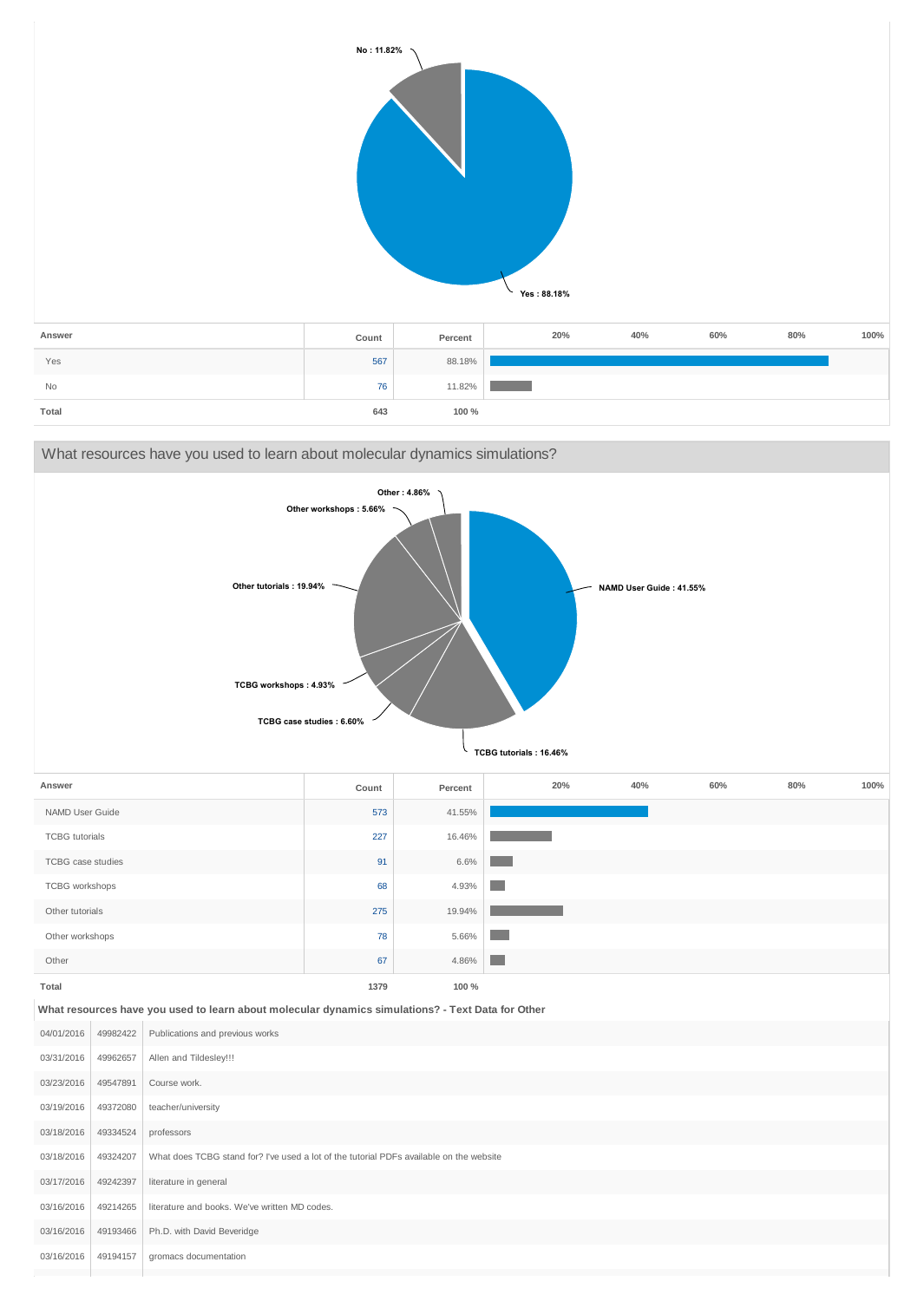|           | No: 11.82% |         | Yes: 88.18% |     |     |        |      |
|-----------|------------|---------|-------------|-----|-----|--------|------|
| Answer    | Count      | Percent | 20%         | 40% | 60% | $80\%$ | 100% |
| Yes       | 567        | 88.18%  |             |     |     |        |      |
| <b>No</b> | 76         | 11.82%  |             |     |     |        |      |

**Total 643 100 %**

| What resources have you used to learn about molecular dynamics simulations?                                                                                                 |                      |                                                                                                       |       |         |                 |     |     |     |     |      |
|-----------------------------------------------------------------------------------------------------------------------------------------------------------------------------|----------------------|-------------------------------------------------------------------------------------------------------|-------|---------|-----------------|-----|-----|-----|-----|------|
| Other: 4.86%<br>Other workshops: 5.66%<br>Other tutorials: 19.94%<br>NAMD User Guide: 41.55%<br>TCBG workshops: 4.93%<br>TCBG case studies: 6.60%<br>TCBG tutorials: 16.46% |                      |                                                                                                       |       |         |                 |     |     |     |     |      |
| Answer                                                                                                                                                                      |                      |                                                                                                       | Count | Percent |                 | 20% | 40% | 60% | 80% | 100% |
| NAMD User Guide                                                                                                                                                             |                      |                                                                                                       | 573   | 41.55%  |                 |     |     |     |     |      |
| <b>TCBG</b> tutorials                                                                                                                                                       |                      |                                                                                                       | 227   | 16.46%  |                 |     |     |     |     |      |
| <b>TCBG</b> case studies                                                                                                                                                    |                      |                                                                                                       | 91    | 6.6%    |                 |     |     |     |     |      |
| TCBG workshops                                                                                                                                                              |                      |                                                                                                       | 68    | 4.93%   |                 |     |     |     |     |      |
| Other tutorials                                                                                                                                                             |                      |                                                                                                       | 275   | 19.94%  |                 |     |     |     |     |      |
| Other workshops                                                                                                                                                             |                      |                                                                                                       | 78    | 5.66%   |                 |     |     |     |     |      |
| Other                                                                                                                                                                       |                      |                                                                                                       | 67    | 4.86%   | <b>Contract</b> |     |     |     |     |      |
| <b>Total</b>                                                                                                                                                                |                      |                                                                                                       | 1379  | 100 %   |                 |     |     |     |     |      |
|                                                                                                                                                                             |                      | What resources have you used to learn about molecular dynamics simulations? - Text Data for Other     |       |         |                 |     |     |     |     |      |
| 04/01/2016                                                                                                                                                                  | 49982422             | Publications and previous works                                                                       |       |         |                 |     |     |     |     |      |
| 03/31/2016                                                                                                                                                                  | 49962657             | Allen and Tildesley!!!                                                                                |       |         |                 |     |     |     |     |      |
| 03/23/2016                                                                                                                                                                  | 49547891             | Course work.                                                                                          |       |         |                 |     |     |     |     |      |
| 03/19/2016                                                                                                                                                                  | 49372080             | teacher/university                                                                                    |       |         |                 |     |     |     |     |      |
| 03/18/2016<br>03/18/2016                                                                                                                                                    | 49334524<br>49324207 | professors<br>What does TCBG stand for? I've used a lot of the tutorial PDFs available on the website |       |         |                 |     |     |     |     |      |
|                                                                                                                                                                             | 49242397             | literature in general                                                                                 |       |         |                 |     |     |     |     |      |
| 03/17/2016<br>03/16/2016                                                                                                                                                    | 49214265             | literature and books. We've written MD codes.                                                         |       |         |                 |     |     |     |     |      |
| 03/16/2016                                                                                                                                                                  | 49193466             |                                                                                                       |       |         |                 |     |     |     |     |      |
| 03/16/2016                                                                                                                                                                  | 49194157             | Ph.D. with David Beveridge                                                                            |       |         |                 |     |     |     |     |      |
|                                                                                                                                                                             |                      | gromacs documentation                                                                                 |       |         |                 |     |     |     |     |      |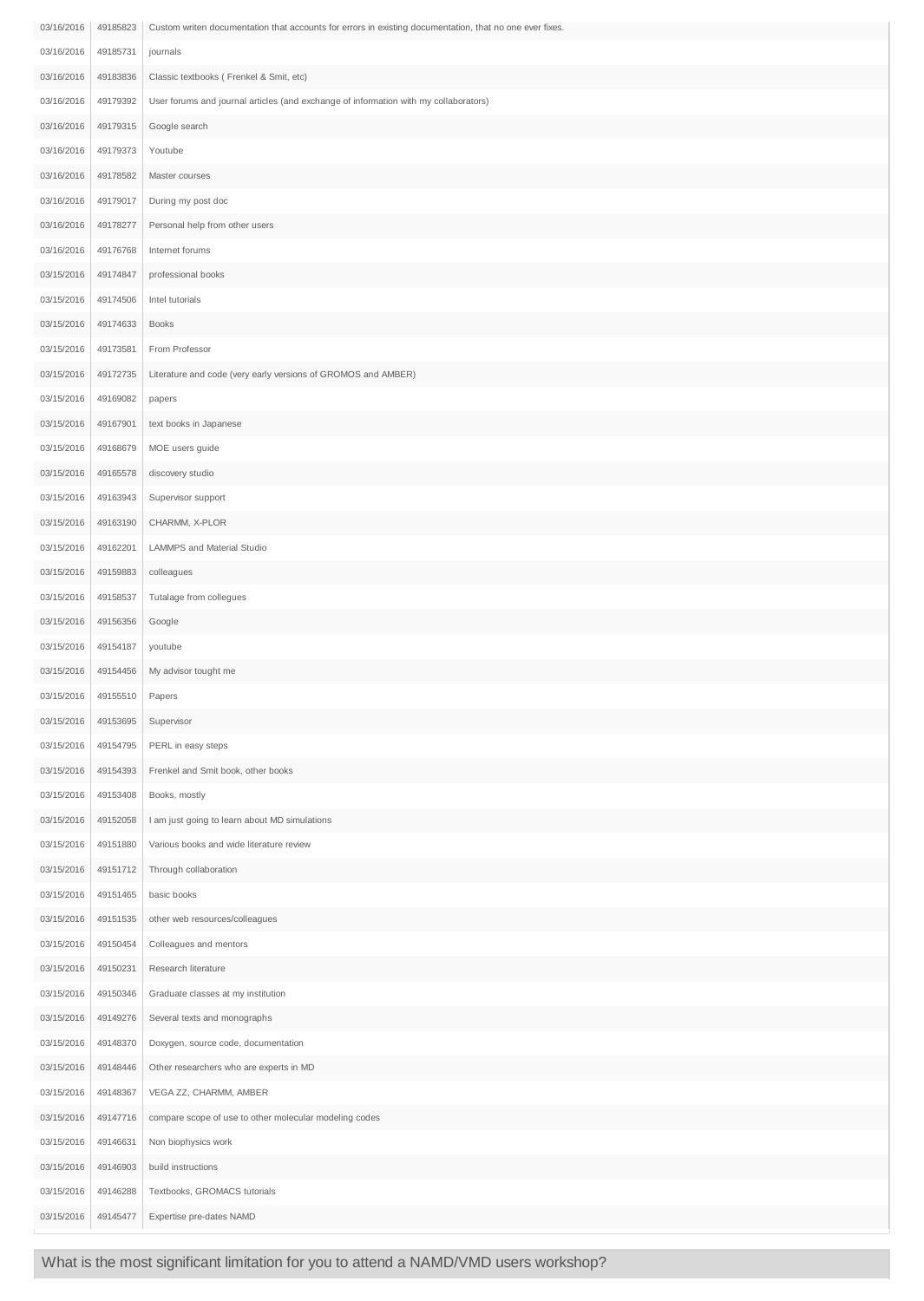| 03/16/2016 | 49185823 | Custom writen documentation that accounts for errors in existing documentation, that no one ever fixes. |
|------------|----------|---------------------------------------------------------------------------------------------------------|
| 03/16/2016 | 49185731 | journals                                                                                                |
| 03/16/2016 | 49183836 | Classic textbooks (Frenkel & Smit, etc)                                                                 |
| 03/16/2016 | 49179392 | User forums and journal articles (and exchange of information with my collaborators)                    |
| 03/16/2016 | 49179315 | Google search                                                                                           |
| 03/16/2016 | 49179373 | Youtube                                                                                                 |
| 03/16/2016 | 49178582 | Master courses                                                                                          |
| 03/16/2016 | 49179017 | During my post doc                                                                                      |
| 03/16/2016 | 49178277 | Personal help from other users                                                                          |
| 03/16/2016 | 49176768 | Internet forums                                                                                         |
| 03/15/2016 | 49174847 | professional books                                                                                      |
| 03/15/2016 | 49174506 | Intel tutorials                                                                                         |
| 03/15/2016 | 49174633 | <b>Books</b>                                                                                            |
| 03/15/2016 | 49173581 | From Professor                                                                                          |
| 03/15/2016 | 49172735 | Literature and code (very early versions of GROMOS and AMBER)                                           |
| 03/15/2016 | 49169082 | papers                                                                                                  |
| 03/15/2016 | 49167901 | text books in Japanese                                                                                  |
| 03/15/2016 | 49168679 | MOE users guide                                                                                         |
| 03/15/2016 | 49165578 | discovery studio                                                                                        |
| 03/15/2016 | 49163943 | Supervisor support                                                                                      |
| 03/15/2016 | 49163190 | CHARMM, X-PLOR                                                                                          |
| 03/15/2016 | 49162201 | LAMMPS and Material Studio                                                                              |
| 03/15/2016 | 49159883 | colleagues                                                                                              |
| 03/15/2016 | 49158537 | Tutalage from collegues                                                                                 |
| 03/15/2016 | 49156356 | Google                                                                                                  |
| 03/15/2016 | 49154187 | youtube                                                                                                 |
| 03/15/2016 | 49154456 | My advisor tought me                                                                                    |
| 03/15/2016 | 49155510 | Papers                                                                                                  |
| 03/15/2016 | 49153695 | Supervisor                                                                                              |
| 03/15/2016 | 49154795 | PERL in easy steps                                                                                      |
| 03/15/2016 | 49154393 | Frenkel and Smit book, other books                                                                      |
| 03/15/2016 | 49153408 | Books, mostly                                                                                           |
| 03/15/2016 | 49152058 | I am just going to learn about MD simulations                                                           |
| 03/15/2016 | 49151880 | Various books and wide literature review                                                                |
| 03/15/2016 | 49151712 | Through collaboration                                                                                   |
| 03/15/2016 | 49151465 | basic books                                                                                             |
| 03/15/2016 | 49151535 | other web resources/colleagues                                                                          |
| 03/15/2016 | 49150454 | Colleagues and mentors                                                                                  |
| 03/15/2016 | 49150231 | Research literature                                                                                     |
| 03/15/2016 | 49150346 | Graduate classes at my institution                                                                      |
| 03/15/2016 | 49149276 | Several texts and monographs                                                                            |
| 03/15/2016 | 49148370 | Doxygen, source code, documentation                                                                     |
| 03/15/2016 | 49148446 | Other researchers who are experts in MD                                                                 |
| 03/15/2016 | 49148367 | VEGA ZZ, CHARMM, AMBER                                                                                  |
| 03/15/2016 | 49147716 | compare scope of use to other molecular modeling codes                                                  |
| 03/15/2016 | 49146631 | Non biophysics work                                                                                     |
| 03/15/2016 | 49146903 | build instructions                                                                                      |
| 03/15/2016 | 49146288 | Textbooks, GROMACS tutorials                                                                            |
| 03/15/2016 | 49145477 | Expertise pre-dates NAMD                                                                                |

What is the most significant limitation for you to attend a NAMD/VMD users workshop?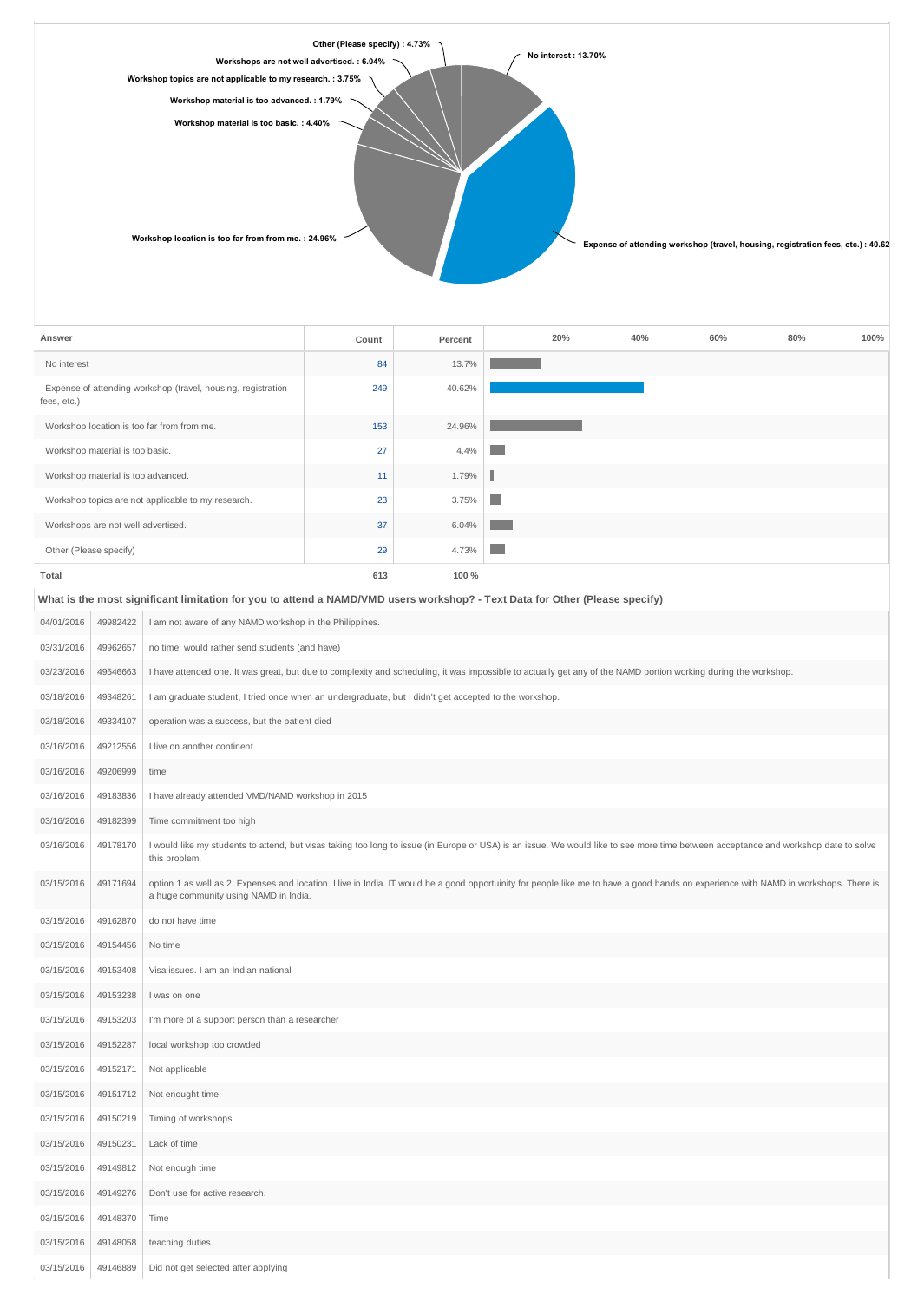

| Answer                                                                      | Count | Percent | 20%            | 40% | 60% | 80% | 100% |
|-----------------------------------------------------------------------------|-------|---------|----------------|-----|-----|-----|------|
| No interest                                                                 | 84    | 13.7%   |                |     |     |     |      |
| Expense of attending workshop (travel, housing, registration<br>fees, etc.) | 249   | 40.62%  |                |     |     |     |      |
| Workshop location is too far from from me.                                  | 153   | 24.96%  |                |     |     |     |      |
| Workshop material is too basic.                                             | 27    | 4.4%    |                |     |     |     |      |
| Workshop material is too advanced.                                          | 11    | 1.79%   |                |     |     |     |      |
| Workshop topics are not applicable to my research.                          | 23    | 3.75%   | n.             |     |     |     |      |
| Workshops are not well advertised.                                          | 37    | 6.04%   |                |     |     |     |      |
| Other (Please specify)                                                      | 29    | 4.73%   | <b>COLLEGE</b> |     |     |     |      |
| Total                                                                       | 613   | 100 %   |                |     |     |     |      |

#### **What is the most significant limitation for you to attend a NAMD/VMD users workshop? - Text Data for Other (Please specify)**

| 04/01/2016 | 49982422 | I am not aware of any NAMD workshop in the Philippines.                                                                                                                                                                        |
|------------|----------|--------------------------------------------------------------------------------------------------------------------------------------------------------------------------------------------------------------------------------|
| 03/31/2016 | 49962657 | no time; would rather send students (and have)                                                                                                                                                                                 |
| 03/23/2016 | 49546663 | I have attended one. It was great, but due to complexity and scheduling, it was impossible to actually get any of the NAMD portion working during the workshop.                                                                |
| 03/18/2016 | 49348261 | I am graduate student, I tried once when an undergraduate, but I didn't get accepted to the workshop.                                                                                                                          |
| 03/18/2016 | 49334107 | operation was a success, but the patient died                                                                                                                                                                                  |
| 03/16/2016 | 49212556 | I live on another continent                                                                                                                                                                                                    |
| 03/16/2016 | 49206999 | time                                                                                                                                                                                                                           |
| 03/16/2016 | 49183836 | I have already attended VMD/NAMD workshop in 2015                                                                                                                                                                              |
| 03/16/2016 | 49182399 | Time commitment too high                                                                                                                                                                                                       |
| 03/16/2016 | 49178170 | I would like my students to attend, but visas taking too long to issue (in Europe or USA) is an issue. We would like to see more time between acceptance and workshop date to solve<br>this problem.                           |
| 03/15/2016 | 49171694 | option 1 as well as 2. Expenses and location. I live in India. IT would be a good opportuinity for people like me to have a good hands on experience with NAMD in workshops. There is<br>a huge community using NAMD in India. |
| 03/15/2016 | 49162870 | do not have time                                                                                                                                                                                                               |
| 03/15/2016 | 49154456 | No time                                                                                                                                                                                                                        |
| 03/15/2016 | 49153408 | Visa issues. I am an Indian national                                                                                                                                                                                           |
| 03/15/2016 | 49153238 | I was on one                                                                                                                                                                                                                   |
| 03/15/2016 | 49153203 | I'm more of a support person than a researcher                                                                                                                                                                                 |
| 03/15/2016 | 49152287 | local workshop too crowded                                                                                                                                                                                                     |
| 03/15/2016 | 49152171 | Not applicable                                                                                                                                                                                                                 |
| 03/15/2016 | 49151712 | Not enought time                                                                                                                                                                                                               |
| 03/15/2016 | 49150219 | Timing of workshops                                                                                                                                                                                                            |
| 03/15/2016 | 49150231 | Lack of time                                                                                                                                                                                                                   |
| 03/15/2016 | 49149812 | Not enough time                                                                                                                                                                                                                |
| 03/15/2016 | 49149276 | Don't use for active research.                                                                                                                                                                                                 |
| 03/15/2016 | 49148370 | Time                                                                                                                                                                                                                           |
| 03/15/2016 | 49148058 | teaching duties                                                                                                                                                                                                                |
| 03/15/2016 | 49146889 | Did not get selected after applying                                                                                                                                                                                            |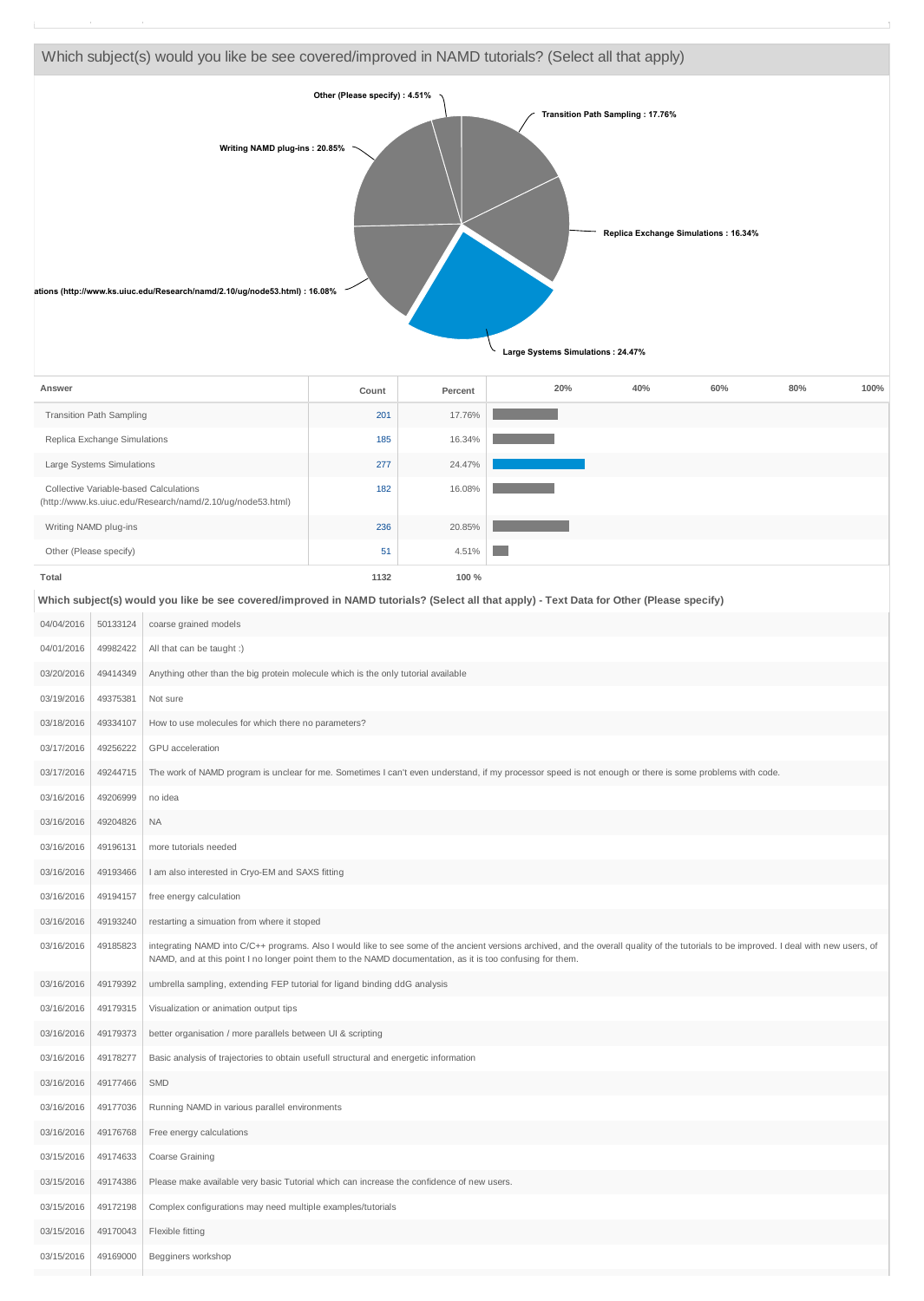

| Answer                                                                                               | Count | Percent | 20% | 40% | 60% | 80% | 100% |
|------------------------------------------------------------------------------------------------------|-------|---------|-----|-----|-----|-----|------|
| <b>Transition Path Sampling</b>                                                                      | 201   | 17.76%  |     |     |     |     |      |
| Replica Exchange Simulations                                                                         | 185   | 16.34%  |     |     |     |     |      |
| Large Systems Simulations                                                                            | 277   | 24.47%  |     |     |     |     |      |
| Collective Variable-based Calculations<br>(http://www.ks.uiuc.edu/Research/namd/2.10/ug/node53.html) | 182   | 16.08%  |     |     |     |     |      |
| Writing NAMD plug-ins                                                                                | 236   | 20.85%  |     |     |     |     |      |
| Other (Please specify)                                                                               | 51    | 4.51%   |     |     |     |     |      |
| Total                                                                                                | 1132  | 100 %   |     |     |     |     |      |

#### **Which subject(s) would you like be see covered/improved in NAMD tutorials? (Select all that apply) - Text Data for Other (Please specify)**

| 04/04/2016 | 50133124 | coarse grained models                                                                                                                                                                                                                                                                                  |
|------------|----------|--------------------------------------------------------------------------------------------------------------------------------------------------------------------------------------------------------------------------------------------------------------------------------------------------------|
| 04/01/2016 | 49982422 | All that can be taught :)                                                                                                                                                                                                                                                                              |
| 03/20/2016 | 49414349 | Anything other than the big protein molecule which is the only tutorial available                                                                                                                                                                                                                      |
| 03/19/2016 | 49375381 | Not sure                                                                                                                                                                                                                                                                                               |
| 03/18/2016 | 49334107 | How to use molecules for which there no parameters?                                                                                                                                                                                                                                                    |
| 03/17/2016 | 49256222 | GPU acceleration                                                                                                                                                                                                                                                                                       |
| 03/17/2016 | 49244715 | The work of NAMD program is unclear for me. Sometimes I can't even understand, if my processor speed is not enough or there is some problems with code.                                                                                                                                                |
| 03/16/2016 | 49206999 | no idea                                                                                                                                                                                                                                                                                                |
| 03/16/2016 | 49204826 | <b>NA</b>                                                                                                                                                                                                                                                                                              |
| 03/16/2016 | 49196131 | more tutorials needed                                                                                                                                                                                                                                                                                  |
| 03/16/2016 | 49193466 | I am also interested in Cryo-EM and SAXS fitting                                                                                                                                                                                                                                                       |
| 03/16/2016 | 49194157 | free energy calculation                                                                                                                                                                                                                                                                                |
| 03/16/2016 | 49193240 | restarting a simuation from where it stoped                                                                                                                                                                                                                                                            |
| 03/16/2016 | 49185823 | integrating NAMD into C/C++ programs. Also I would like to see some of the ancient versions archived, and the overall quality of the tutorials to be improved. I deal with new users, of<br>NAMD, and at this point I no longer point them to the NAMD documentation, as it is too confusing for them. |
| 03/16/2016 | 49179392 | umbrella sampling, extending FEP tutorial for ligand binding ddG analysis                                                                                                                                                                                                                              |
| 03/16/2016 | 49179315 | Visualization or animation output tips                                                                                                                                                                                                                                                                 |
| 03/16/2016 | 49179373 | better organisation / more parallels between UI & scripting                                                                                                                                                                                                                                            |
| 03/16/2016 | 49178277 | Basic analysis of trajectories to obtain usefull structural and energetic information                                                                                                                                                                                                                  |
| 03/16/2016 | 49177466 | <b>SMD</b>                                                                                                                                                                                                                                                                                             |
| 03/16/2016 | 49177036 | Running NAMD in various parallel environments                                                                                                                                                                                                                                                          |
| 03/16/2016 | 49176768 | Free energy calculations                                                                                                                                                                                                                                                                               |
| 03/15/2016 | 49174633 | Coarse Graining                                                                                                                                                                                                                                                                                        |
| 03/15/2016 | 49174386 | Please make available very basic Tutorial which can increase the confidence of new users.                                                                                                                                                                                                              |
| 03/15/2016 | 49172198 | Complex configurations may need multiple examples/tutorials                                                                                                                                                                                                                                            |
| 03/15/2016 | 49170043 | Flexible fitting                                                                                                                                                                                                                                                                                       |
| 03/15/2016 | 49169000 | Begginers workshop                                                                                                                                                                                                                                                                                     |
|            |          |                                                                                                                                                                                                                                                                                                        |